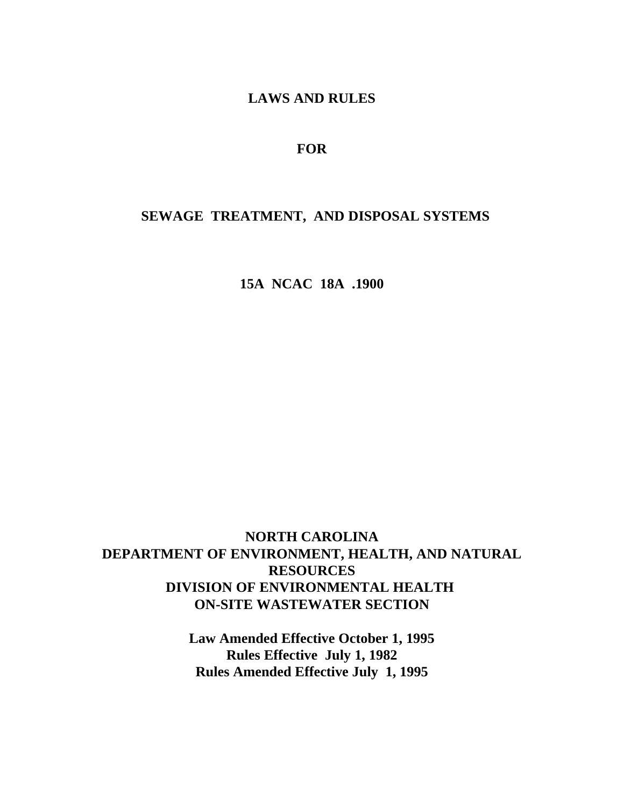**LAWS AND RULES**

## **FOR**

## **SEWAGE TREATMENT, AND DISPOSAL SYSTEMS**

**15A NCAC 18A .1900**

# **NORTH CAROLINA DEPARTMENT OF ENVIRONMENT, HEALTH, AND NATURAL RESOURCES DIVISION OF ENVIRONMENTAL HEALTH ON-SITE WASTEWATER SECTION**

**Law Amended Effective October 1, 1995 Rules Effective July 1, 1982 Rules Amended Effective July 1, 1995**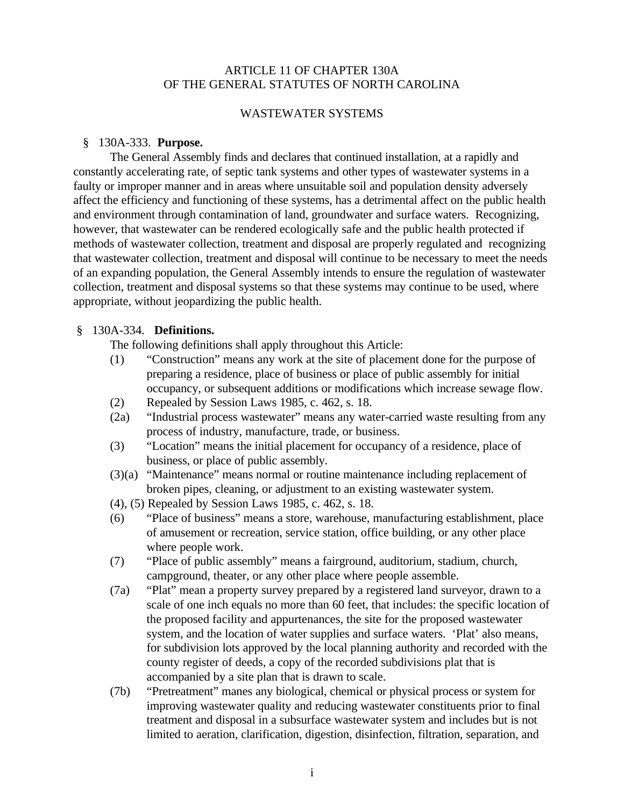### ARTICLE 11 OF CHAPTER 130A OF THE GENERAL STATUTES OF NORTH CAROLINA

### WASTEWATER SYSTEMS

### § 130A-333. **Purpose.**

The General Assembly finds and declares that continued installation, at a rapidly and constantly accelerating rate, of septic tank systems and other types of wastewater systems in a faulty or improper manner and in areas where unsuitable soil and population density adversely affect the efficiency and functioning of these systems, has a detrimental affect on the public health and environment through contamination of land, groundwater and surface waters. Recognizing, however, that wastewater can be rendered ecologically safe and the public health protected if methods of wastewater collection, treatment and disposal are properly regulated and recognizing that wastewater collection, treatment and disposal will continue to be necessary to meet the needs of an expanding population, the General Assembly intends to ensure the regulation of wastewater collection, treatment and disposal systems so that these systems may continue to be used, where appropriate, without jeopardizing the public health.

#### § 130A-334. **Definitions.**

The following definitions shall apply throughout this Article:

- (1) "Construction" means any work at the site of placement done for the purpose of preparing a residence, place of business or place of public assembly for initial occupancy, or subsequent additions or modifications which increase sewage flow.
- (2) Repealed by Session Laws 1985, c. 462, s. 18.
- (2a) "Industrial process wastewater" means any water-carried waste resulting from any process of industry, manufacture, trade, or business.
- (3) "Location" means the initial placement for occupancy of a residence, place of business, or place of public assembly.
- (3)(a) "Maintenance" means normal or routine maintenance including replacement of broken pipes, cleaning, or adjustment to an existing wastewater system.
- (4), (5) Repealed by Session Laws 1985, c. 462, s. 18.
- (6) "Place of business" means a store, warehouse, manufacturing establishment, place of amusement or recreation, service station, office building, or any other place where people work.
- (7) "Place of public assembly" means a fairground, auditorium, stadium, church, campground, theater, or any other place where people assemble.
- (7a) "Plat" mean a property survey prepared by a registered land surveyor, drawn to a scale of one inch equals no more than 60 feet, that includes: the specific location of the proposed facility and appurtenances, the site for the proposed wastewater system, and the location of water supplies and surface waters. 'Plat' also means, for subdivision lots approved by the local planning authority and recorded with the county register of deeds, a copy of the recorded subdivisions plat that is accompanied by a site plan that is drawn to scale.
- (7b) "Pretreatment" manes any biological, chemical or physical process or system for improving wastewater quality and reducing wastewater constituents prior to final treatment and disposal in a subsurface wastewater system and includes but is not limited to aeration, clarification, digestion, disinfection, filtration, separation, and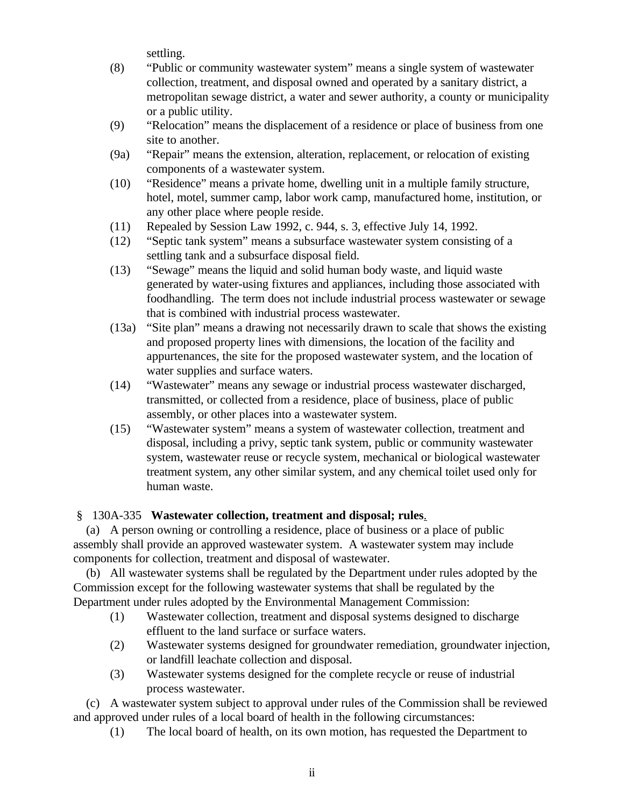settling.

- (8) "Public or community wastewater system" means a single system of wastewater collection, treatment, and disposal owned and operated by a sanitary district, a metropolitan sewage district, a water and sewer authority, a county or municipality or a public utility.
- (9) "Relocation" means the displacement of a residence or place of business from one site to another.
- (9a) "Repair" means the extension, alteration, replacement, or relocation of existing components of a wastewater system.
- (10) "Residence" means a private home, dwelling unit in a multiple family structure, hotel, motel, summer camp, labor work camp, manufactured home, institution, or any other place where people reside.
- (11) Repealed by Session Law 1992, c. 944, s. 3, effective July 14, 1992.
- (12) "Septic tank system" means a subsurface wastewater system consisting of a settling tank and a subsurface disposal field.
- (13) "Sewage" means the liquid and solid human body waste, and liquid waste generated by water-using fixtures and appliances, including those associated with foodhandling. The term does not include industrial process wastewater or sewage that is combined with industrial process wastewater.
- (13a) "Site plan" means a drawing not necessarily drawn to scale that shows the existing and proposed property lines with dimensions, the location of the facility and appurtenances, the site for the proposed wastewater system, and the location of water supplies and surface waters.
- (14) "Wastewater" means any sewage or industrial process wastewater discharged, transmitted, or collected from a residence, place of business, place of public assembly, or other places into a wastewater system.
- (15) "Wastewater system" means a system of wastewater collection, treatment and disposal, including a privy, septic tank system, public or community wastewater system, wastewater reuse or recycle system, mechanical or biological wastewater treatment system, any other similar system, and any chemical toilet used only for human waste.

## § 130A-335 **Wastewater collection, treatment and disposal; rules**.

 (a) A person owning or controlling a residence, place of business or a place of public assembly shall provide an approved wastewater system. A wastewater system may include components for collection, treatment and disposal of wastewater.

 (b) All wastewater systems shall be regulated by the Department under rules adopted by the Commission except for the following wastewater systems that shall be regulated by the Department under rules adopted by the Environmental Management Commission:

- (1) Wastewater collection, treatment and disposal systems designed to discharge effluent to the land surface or surface waters.
- (2) Wastewater systems designed for groundwater remediation, groundwater injection, or landfill leachate collection and disposal.
- (3) Wastewater systems designed for the complete recycle or reuse of industrial process wastewater.

 (c) A wastewater system subject to approval under rules of the Commission shall be reviewed and approved under rules of a local board of health in the following circumstances:

(1) The local board of health, on its own motion, has requested the Department to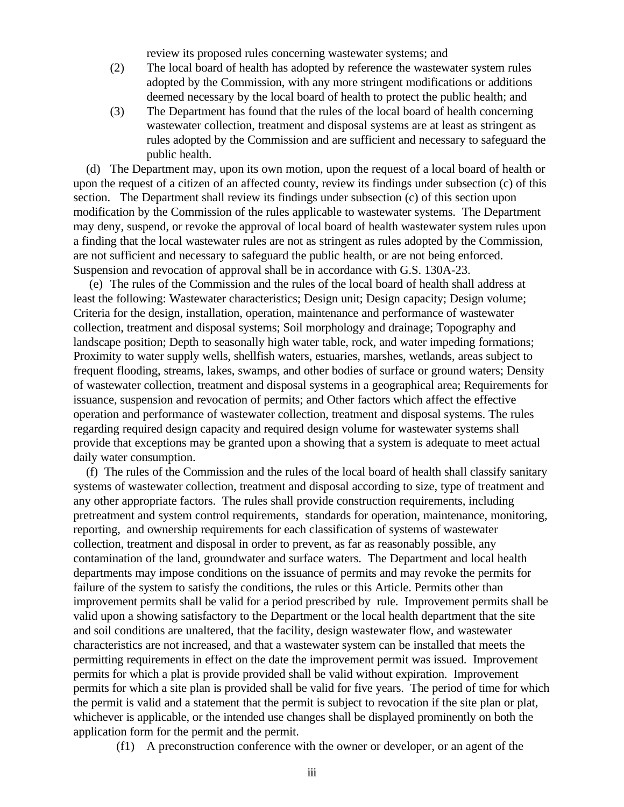review its proposed rules concerning wastewater systems; and

- (2) The local board of health has adopted by reference the wastewater system rules adopted by the Commission, with any more stringent modifications or additions deemed necessary by the local board of health to protect the public health; and
- (3) The Department has found that the rules of the local board of health concerning wastewater collection, treatment and disposal systems are at least as stringent as rules adopted by the Commission and are sufficient and necessary to safeguard the public health.

 (d) The Department may, upon its own motion, upon the request of a local board of health or upon the request of a citizen of an affected county, review its findings under subsection (c) of this section. The Department shall review its findings under subsection (c) of this section upon modification by the Commission of the rules applicable to wastewater systems. The Department may deny, suspend, or revoke the approval of local board of health wastewater system rules upon a finding that the local wastewater rules are not as stringent as rules adopted by the Commission, are not sufficient and necessary to safeguard the public health, or are not being enforced. Suspension and revocation of approval shall be in accordance with G.S. 130A-23.

 (e) The rules of the Commission and the rules of the local board of health shall address at least the following: Wastewater characteristics; Design unit; Design capacity; Design volume; Criteria for the design, installation, operation, maintenance and performance of wastewater collection, treatment and disposal systems; Soil morphology and drainage; Topography and landscape position; Depth to seasonally high water table, rock, and water impeding formations; Proximity to water supply wells, shellfish waters, estuaries, marshes, wetlands, areas subject to frequent flooding, streams, lakes, swamps, and other bodies of surface or ground waters; Density of wastewater collection, treatment and disposal systems in a geographical area; Requirements for issuance, suspension and revocation of permits; and Other factors which affect the effective operation and performance of wastewater collection, treatment and disposal systems. The rules regarding required design capacity and required design volume for wastewater systems shall provide that exceptions may be granted upon a showing that a system is adequate to meet actual daily water consumption.

 (f) The rules of the Commission and the rules of the local board of health shall classify sanitary systems of wastewater collection, treatment and disposal according to size, type of treatment and any other appropriate factors. The rules shall provide construction requirements, including pretreatment and system control requirements, standards for operation, maintenance, monitoring, reporting, and ownership requirements for each classification of systems of wastewater collection, treatment and disposal in order to prevent, as far as reasonably possible, any contamination of the land, groundwater and surface waters. The Department and local health departments may impose conditions on the issuance of permits and may revoke the permits for failure of the system to satisfy the conditions, the rules or this Article. Permits other than improvement permits shall be valid for a period prescribed by rule. Improvement permits shall be valid upon a showing satisfactory to the Department or the local health department that the site and soil conditions are unaltered, that the facility, design wastewater flow, and wastewater characteristics are not increased, and that a wastewater system can be installed that meets the permitting requirements in effect on the date the improvement permit was issued. Improvement permits for which a plat is provide provided shall be valid without expiration. Improvement permits for which a site plan is provided shall be valid for five years. The period of time for which the permit is valid and a statement that the permit is subject to revocation if the site plan or plat, whichever is applicable, or the intended use changes shall be displayed prominently on both the application form for the permit and the permit.

(f1) A preconstruction conference with the owner or developer, or an agent of the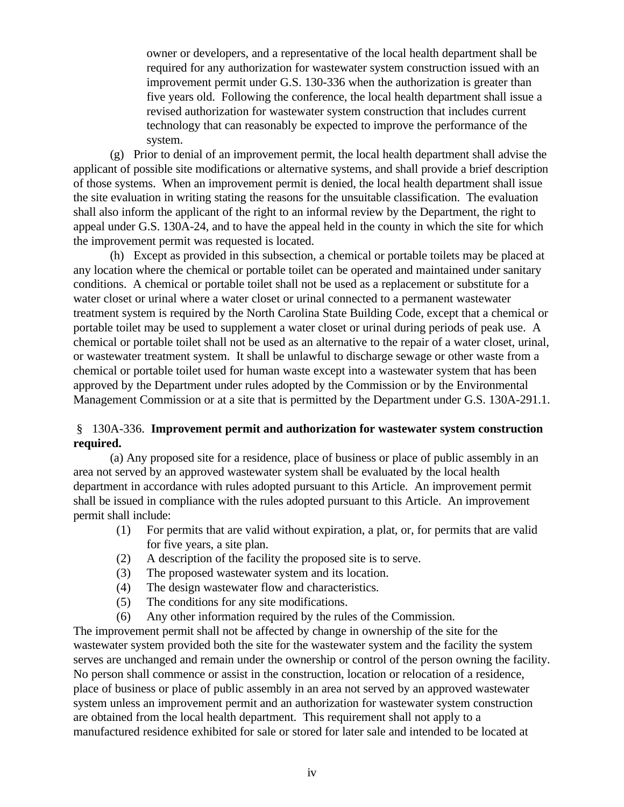owner or developers, and a representative of the local health department shall be required for any authorization for wastewater system construction issued with an improvement permit under G.S. 130-336 when the authorization is greater than five years old. Following the conference, the local health department shall issue a revised authorization for wastewater system construction that includes current technology that can reasonably be expected to improve the performance of the system.

(g) Prior to denial of an improvement permit, the local health department shall advise the applicant of possible site modifications or alternative systems, and shall provide a brief description of those systems. When an improvement permit is denied, the local health department shall issue the site evaluation in writing stating the reasons for the unsuitable classification. The evaluation shall also inform the applicant of the right to an informal review by the Department, the right to appeal under G.S. 130A-24, and to have the appeal held in the county in which the site for which the improvement permit was requested is located.

(h) Except as provided in this subsection, a chemical or portable toilets may be placed at any location where the chemical or portable toilet can be operated and maintained under sanitary conditions. A chemical or portable toilet shall not be used as a replacement or substitute for a water closet or urinal where a water closet or urinal connected to a permanent wastewater treatment system is required by the North Carolina State Building Code, except that a chemical or portable toilet may be used to supplement a water closet or urinal during periods of peak use. A chemical or portable toilet shall not be used as an alternative to the repair of a water closet, urinal, or wastewater treatment system. It shall be unlawful to discharge sewage or other waste from a chemical or portable toilet used for human waste except into a wastewater system that has been approved by the Department under rules adopted by the Commission or by the Environmental Management Commission or at a site that is permitted by the Department under G.S. 130A-291.1.

## § 130A-336. **Improvement permit and authorization for wastewater system construction required.**

(a) Any proposed site for a residence, place of business or place of public assembly in an area not served by an approved wastewater system shall be evaluated by the local health department in accordance with rules adopted pursuant to this Article. An improvement permit shall be issued in compliance with the rules adopted pursuant to this Article. An improvement permit shall include:

- (1) For permits that are valid without expiration, a plat, or, for permits that are valid for five years, a site plan.
- (2) A description of the facility the proposed site is to serve.
- (3) The proposed wastewater system and its location.
- (4) The design wastewater flow and characteristics.
- (5) The conditions for any site modifications.
- (6) Any other information required by the rules of the Commission.

The improvement permit shall not be affected by change in ownership of the site for the wastewater system provided both the site for the wastewater system and the facility the system serves are unchanged and remain under the ownership or control of the person owning the facility. No person shall commence or assist in the construction, location or relocation of a residence, place of business or place of public assembly in an area not served by an approved wastewater system unless an improvement permit and an authorization for wastewater system construction are obtained from the local health department. This requirement shall not apply to a manufactured residence exhibited for sale or stored for later sale and intended to be located at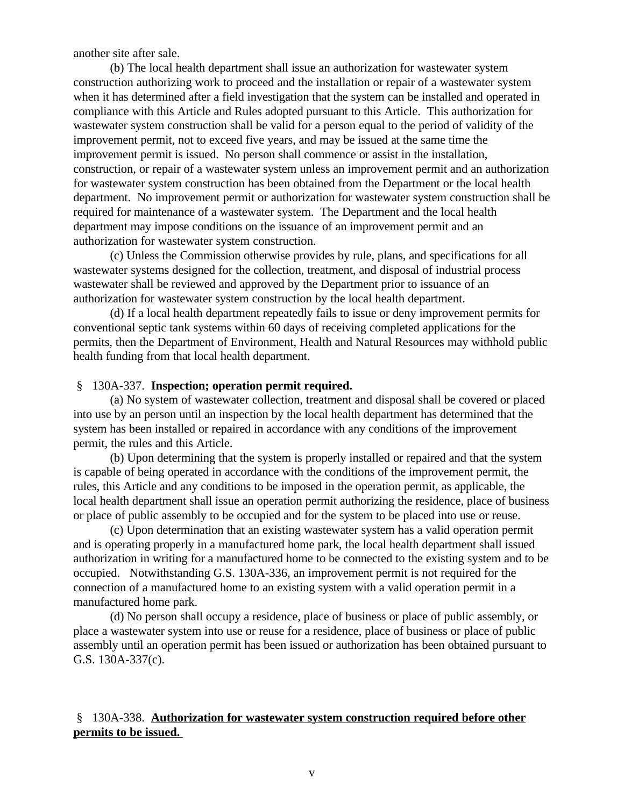another site after sale.

(b) The local health department shall issue an authorization for wastewater system construction authorizing work to proceed and the installation or repair of a wastewater system when it has determined after a field investigation that the system can be installed and operated in compliance with this Article and Rules adopted pursuant to this Article. This authorization for wastewater system construction shall be valid for a person equal to the period of validity of the improvement permit, not to exceed five years, and may be issued at the same time the improvement permit is issued. No person shall commence or assist in the installation, construction, or repair of a wastewater system unless an improvement permit and an authorization for wastewater system construction has been obtained from the Department or the local health department. No improvement permit or authorization for wastewater system construction shall be required for maintenance of a wastewater system. The Department and the local health department may impose conditions on the issuance of an improvement permit and an authorization for wastewater system construction.

(c) Unless the Commission otherwise provides by rule, plans, and specifications for all wastewater systems designed for the collection, treatment, and disposal of industrial process wastewater shall be reviewed and approved by the Department prior to issuance of an authorization for wastewater system construction by the local health department.

(d) If a local health department repeatedly fails to issue or deny improvement permits for conventional septic tank systems within 60 days of receiving completed applications for the permits, then the Department of Environment, Health and Natural Resources may withhold public health funding from that local health department.

### § 130A-337. **Inspection; operation permit required.**

(a) No system of wastewater collection, treatment and disposal shall be covered or placed into use by an person until an inspection by the local health department has determined that the system has been installed or repaired in accordance with any conditions of the improvement permit, the rules and this Article.

(b) Upon determining that the system is properly installed or repaired and that the system is capable of being operated in accordance with the conditions of the improvement permit, the rules, this Article and any conditions to be imposed in the operation permit, as applicable, the local health department shall issue an operation permit authorizing the residence, place of business or place of public assembly to be occupied and for the system to be placed into use or reuse.

(c) Upon determination that an existing wastewater system has a valid operation permit and is operating properly in a manufactured home park, the local health department shall issued authorization in writing for a manufactured home to be connected to the existing system and to be occupied. Notwithstanding G.S. 130A-336, an improvement permit is not required for the connection of a manufactured home to an existing system with a valid operation permit in a manufactured home park.

(d) No person shall occupy a residence, place of business or place of public assembly, or place a wastewater system into use or reuse for a residence, place of business or place of public assembly until an operation permit has been issued or authorization has been obtained pursuant to G.S. 130A-337(c).

## § 130A-338. **Authorization for wastewater system construction required before other permits to be issued.**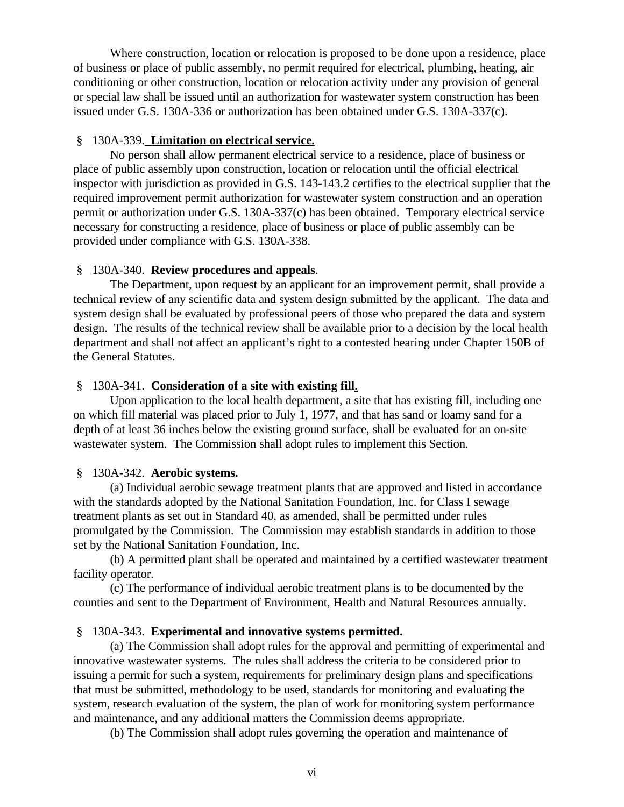Where construction, location or relocation is proposed to be done upon a residence, place of business or place of public assembly, no permit required for electrical, plumbing, heating, air conditioning or other construction, location or relocation activity under any provision of general or special law shall be issued until an authorization for wastewater system construction has been issued under G.S. 130A-336 or authorization has been obtained under G.S. 130A-337(c).

### § 130A-339. **Limitation on electrical service.**

No person shall allow permanent electrical service to a residence, place of business or place of public assembly upon construction, location or relocation until the official electrical inspector with jurisdiction as provided in G.S. 143-143.2 certifies to the electrical supplier that the required improvement permit authorization for wastewater system construction and an operation permit or authorization under G.S. 130A-337(c) has been obtained. Temporary electrical service necessary for constructing a residence, place of business or place of public assembly can be provided under compliance with G.S. 130A-338.

### § 130A-340. **Review procedures and appeals**.

The Department, upon request by an applicant for an improvement permit, shall provide a technical review of any scientific data and system design submitted by the applicant. The data and system design shall be evaluated by professional peers of those who prepared the data and system design. The results of the technical review shall be available prior to a decision by the local health department and shall not affect an applicant's right to a contested hearing under Chapter 150B of the General Statutes.

### § 130A-341. **Consideration of a site with existing fill**.

Upon application to the local health department, a site that has existing fill, including one on which fill material was placed prior to July 1, 1977, and that has sand or loamy sand for a depth of at least 36 inches below the existing ground surface, shall be evaluated for an on-site wastewater system. The Commission shall adopt rules to implement this Section.

### § 130A-342. **Aerobic systems.**

(a) Individual aerobic sewage treatment plants that are approved and listed in accordance with the standards adopted by the National Sanitation Foundation, Inc. for Class I sewage treatment plants as set out in Standard 40, as amended, shall be permitted under rules promulgated by the Commission. The Commission may establish standards in addition to those set by the National Sanitation Foundation, Inc.

(b) A permitted plant shall be operated and maintained by a certified wastewater treatment facility operator.

(c) The performance of individual aerobic treatment plans is to be documented by the counties and sent to the Department of Environment, Health and Natural Resources annually.

### § 130A-343. **Experimental and innovative systems permitted.**

(a) The Commission shall adopt rules for the approval and permitting of experimental and innovative wastewater systems. The rules shall address the criteria to be considered prior to issuing a permit for such a system, requirements for preliminary design plans and specifications that must be submitted, methodology to be used, standards for monitoring and evaluating the system, research evaluation of the system, the plan of work for monitoring system performance and maintenance, and any additional matters the Commission deems appropriate.

(b) The Commission shall adopt rules governing the operation and maintenance of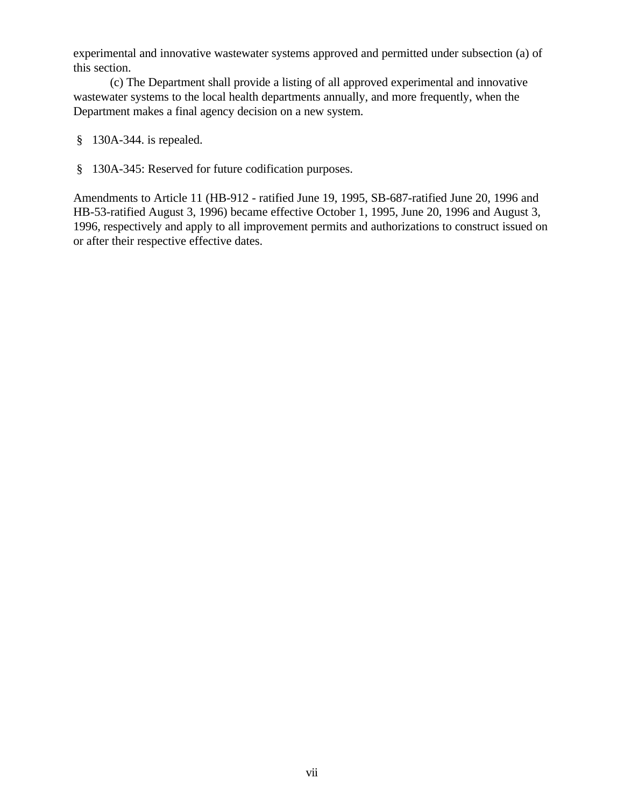experimental and innovative wastewater systems approved and permitted under subsection (a) of this section.

(c) The Department shall provide a listing of all approved experimental and innovative wastewater systems to the local health departments annually, and more frequently, when the Department makes a final agency decision on a new system.

- § 130A-344. is repealed.
- § 130A-345: Reserved for future codification purposes.

Amendments to Article 11 (HB-912 - ratified June 19, 1995, SB-687-ratified June 20, 1996 and HB-53-ratified August 3, 1996) became effective October 1, 1995, June 20, 1996 and August 3, 1996, respectively and apply to all improvement permits and authorizations to construct issued on or after their respective effective dates.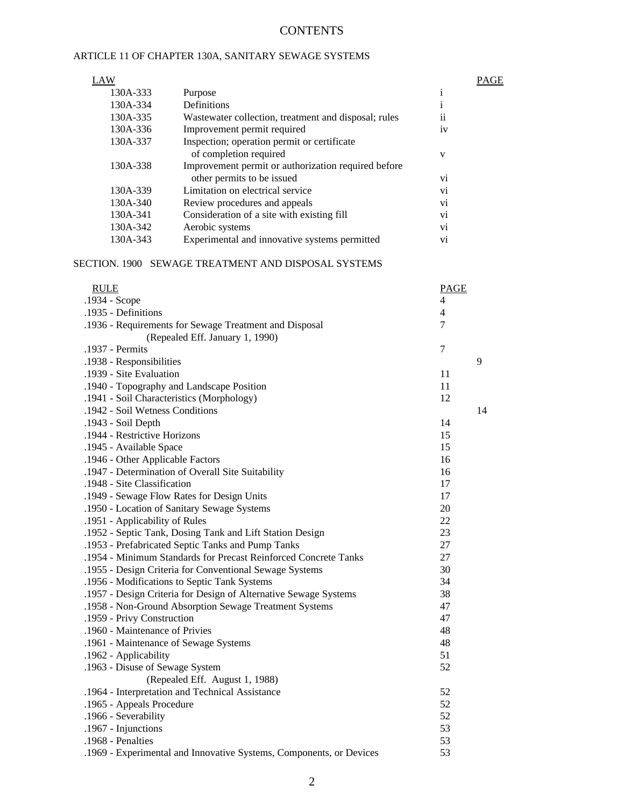## **CONTENTS**

### ARTICLE 11 OF CHAPTER 130A, SANITARY SEWAGE SYSTEMS

| LAW      |                                                      |                        | PAGE |
|----------|------------------------------------------------------|------------------------|------|
| 130A-333 | Purpose                                              | $\mathbf{1}$           |      |
| 130A-334 | Definitions                                          | 1                      |      |
| 130A-335 | Wastewater collection, treatment and disposal; rules | . .<br>$\overline{11}$ |      |
| 130A-336 | Improvement permit required                          | iv                     |      |
| 130A-337 | Inspection; operation permit or certificate          |                        |      |
|          | of completion required                               | V                      |      |
| 130A-338 | Improvement permit or authorization required before  |                        |      |
|          | other permits to be issued                           | V1                     |      |
| 130A-339 | Limitation on electrical service                     | V1                     |      |
| 130A-340 | Review procedures and appeals                        | V <sub>1</sub>         |      |
| 130A-341 | Consideration of a site with existing fill           | V1                     |      |
| 130A-342 | Aerobic systems                                      | Vİ.                    |      |
| 130A-343 | Experimental and innovative systems permitted        | V1                     |      |

#### SECTION. 1900 SEWAGE TREATMENT AND DISPOSAL SYSTEMS

| <b>RULE</b>                                                         | <b>PAGE</b>              |    |
|---------------------------------------------------------------------|--------------------------|----|
| .1934 - Scope                                                       | 4                        |    |
| .1935 - Definitions                                                 | $\overline{\mathcal{L}}$ |    |
| .1936 - Requirements for Sewage Treatment and Disposal              | $\overline{7}$           |    |
| (Repealed Eff. January 1, 1990)                                     |                          |    |
| .1937 - Permits                                                     | 7                        |    |
| .1938 - Responsibilities                                            |                          | 9  |
| .1939 - Site Evaluation                                             | 11                       |    |
| .1940 - Topography and Landscape Position                           | 11                       |    |
| .1941 - Soil Characteristics (Morphology)                           | 12                       |    |
| .1942 - Soil Wetness Conditions                                     |                          | 14 |
| .1943 - Soil Depth                                                  | 14                       |    |
| .1944 - Restrictive Horizons                                        | 15                       |    |
| .1945 - Available Space                                             | 15                       |    |
| .1946 - Other Applicable Factors                                    | 16                       |    |
| .1947 - Determination of Overall Site Suitability                   | 16                       |    |
| .1948 - Site Classification                                         | 17                       |    |
| .1949 - Sewage Flow Rates for Design Units                          | 17                       |    |
| .1950 - Location of Sanitary Sewage Systems                         | 20                       |    |
| .1951 - Applicability of Rules                                      | 22                       |    |
| .1952 - Septic Tank, Dosing Tank and Lift Station Design            | 23                       |    |
| .1953 - Prefabricated Septic Tanks and Pump Tanks                   | 27                       |    |
| .1954 - Minimum Standards for Precast Reinforced Concrete Tanks     | 27                       |    |
| .1955 - Design Criteria for Conventional Sewage Systems             | 30                       |    |
| .1956 - Modifications to Septic Tank Systems                        | 34                       |    |
| .1957 - Design Criteria for Design of Alternative Sewage Systems    | 38                       |    |
| .1958 - Non-Ground Absorption Sewage Treatment Systems              | 47                       |    |
| .1959 - Privy Construction                                          | 47                       |    |
| .1960 - Maintenance of Privies                                      | 48                       |    |
| .1961 - Maintenance of Sewage Systems                               | 48                       |    |
| .1962 - Applicability                                               | 51                       |    |
| .1963 - Disuse of Sewage System                                     | 52                       |    |
| (Repealed Eff. August 1, 1988)                                      |                          |    |
| .1964 - Interpretation and Technical Assistance                     | 52                       |    |
| .1965 - Appeals Procedure                                           | 52                       |    |
| .1966 - Severability                                                | 52                       |    |
| .1967 - Injunctions                                                 | 53                       |    |
| .1968 - Penalties                                                   | 53                       |    |
| .1969 - Experimental and Innovative Systems, Components, or Devices | 53                       |    |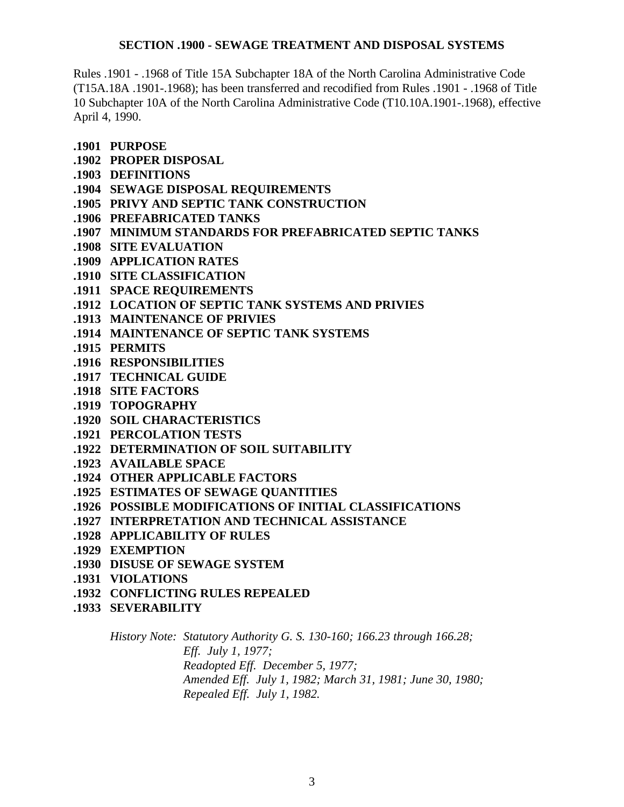## **SECTION .1900 - SEWAGE TREATMENT AND DISPOSAL SYSTEMS**

Rules .1901 - .1968 of Title 15A Subchapter 18A of the North Carolina Administrative Code (T15A.18A .1901-.1968); has been transferred and recodified from Rules .1901 - .1968 of Title 10 Subchapter 10A of the North Carolina Administrative Code (T10.10A.1901-.1968), effective April 4, 1990.

**.1901 PURPOSE**

- **.1902 PROPER DISPOSAL**
- **.1903 DEFINITIONS**
- **.1904 SEWAGE DISPOSAL REQUIREMENTS**
- **.1905 PRIVY AND SEPTIC TANK CONSTRUCTION**
- **.1906 PREFABRICATED TANKS**
- **.1907 MINIMUM STANDARDS FOR PREFABRICATED SEPTIC TANKS**
- **.1908 SITE EVALUATION**
- **.1909 APPLICATION RATES**
- **.1910 SITE CLASSIFICATION**
- **.1911 SPACE REQUIREMENTS**
- **.1912 LOCATION OF SEPTIC TANK SYSTEMS AND PRIVIES**
- **.1913 MAINTENANCE OF PRIVIES**
- **.1914 MAINTENANCE OF SEPTIC TANK SYSTEMS**
- **.1915 PERMITS**
- **.1916 RESPONSIBILITIES**
- **.1917 TECHNICAL GUIDE**
- **.1918 SITE FACTORS**
- **.1919 TOPOGRAPHY**
- **.1920 SOIL CHARACTERISTICS**
- **.1921 PERCOLATION TESTS**
- **.1922 DETERMINATION OF SOIL SUITABILITY**
- **.1923 AVAILABLE SPACE**
- **.1924 OTHER APPLICABLE FACTORS**
- **.1925 ESTIMATES OF SEWAGE QUANTITIES**
- **.1926 POSSIBLE MODIFICATIONS OF INITIAL CLASSIFICATIONS**
- **.1927 INTERPRETATION AND TECHNICAL ASSISTANCE**
- **.1928 APPLICABILITY OF RULES**
- **.1929 EXEMPTION**
- **.1930 DISUSE OF SEWAGE SYSTEM**
- **.1931 VIOLATIONS**
- **.1932 CONFLICTING RULES REPEALED**
- **.1933 SEVERABILITY**

*History Note: Statutory Authority G. S. 130-160; 166.23 through 166.28; Eff. July 1, 1977; Readopted Eff. December 5, 1977; Amended Eff. July 1, 1982; March 31, 1981; June 30, 1980; Repealed Eff. July 1, 1982.*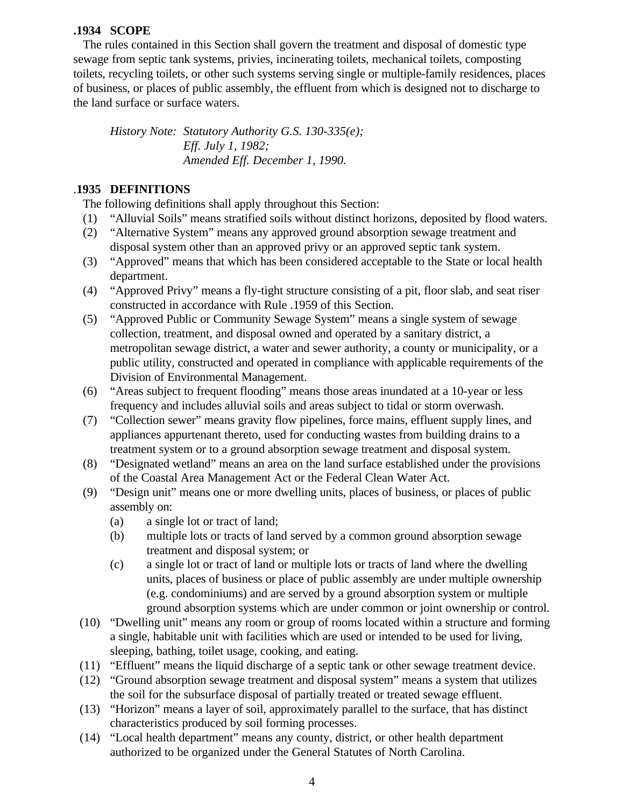### **.1934 SCOPE**

 The rules contained in this Section shall govern the treatment and disposal of domestic type sewage from septic tank systems, privies, incinerating toilets, mechanical toilets, composting toilets, recycling toilets, or other such systems serving single or multiple-family residences, places of business, or places of public assembly, the effluent from which is designed not to discharge to the land surface or surface waters.

*History Note: Statutory Authority G.S. 130-335(e); Eff. July 1, 1982; Amended Eff. December 1, 1990.*

### .**1935 DEFINITIONS**

The following definitions shall apply throughout this Section:

- (1) "Alluvial Soils" means stratified soils without distinct horizons, deposited by flood waters.
- (2) "Alternative System" means any approved ground absorption sewage treatment and disposal system other than an approved privy or an approved septic tank system.
- (3) "Approved" means that which has been considered acceptable to the State or local health department.
- (4) "Approved Privy" means a fly-tight structure consisting of a pit, floor slab, and seat riser constructed in accordance with Rule .1959 of this Section.
- (5) "Approved Public or Community Sewage System" means a single system of sewage collection, treatment, and disposal owned and operated by a sanitary district, a metropolitan sewage district, a water and sewer authority, a county or municipality, or a public utility, constructed and operated in compliance with applicable requirements of the Division of Environmental Management.
- (6) "Areas subject to frequent flooding" means those areas inundated at a 10-year or less frequency and includes alluvial soils and areas subject to tidal or storm overwash.
- (7) "Collection sewer" means gravity flow pipelines, force mains, effluent supply lines, and appliances appurtenant thereto, used for conducting wastes from building drains to a treatment system or to a ground absorption sewage treatment and disposal system.
- (8) "Designated wetland" means an area on the land surface established under the provisions of the Coastal Area Management Act or the Federal Clean Water Act.
- (9) "Design unit" means one or more dwelling units, places of business, or places of public assembly on:
	- (a) a single lot or tract of land;
	- (b) multiple lots or tracts of land served by a common ground absorption sewage treatment and disposal system; or
	- (c) a single lot or tract of land or multiple lots or tracts of land where the dwelling units, places of business or place of public assembly are under multiple ownership (e.g. condominiums) and are served by a ground absorption system or multiple ground absorption systems which are under common or joint ownership or control.
- (10) "Dwelling unit" means any room or group of rooms located within a structure and forming a single, habitable unit with facilities which are used or intended to be used for living, sleeping, bathing, toilet usage, cooking, and eating.
- (11) "Effluent" means the liquid discharge of a septic tank or other sewage treatment device.
- (12) "Ground absorption sewage treatment and disposal system" means a system that utilizes the soil for the subsurface disposal of partially treated or treated sewage effluent.
- (13) "Horizon" means a layer of soil, approximately parallel to the surface, that has distinct characteristics produced by soil forming processes.
- (14) "Local health department" means any county, district, or other health department authorized to be organized under the General Statutes of North Carolina.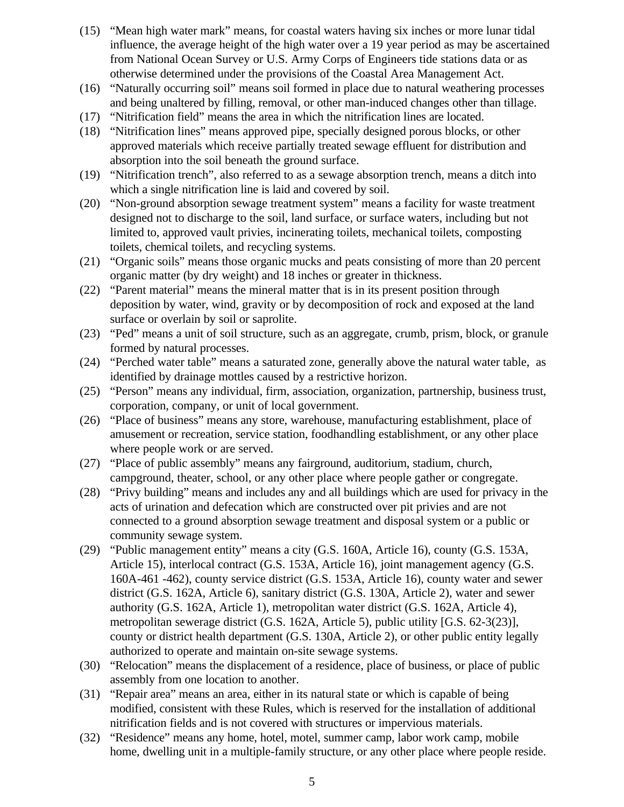- (15) "Mean high water mark" means, for coastal waters having six inches or more lunar tidal influence, the average height of the high water over a 19 year period as may be ascertained from National Ocean Survey or U.S. Army Corps of Engineers tide stations data or as otherwise determined under the provisions of the Coastal Area Management Act.
- (16) "Naturally occurring soil" means soil formed in place due to natural weathering processes and being unaltered by filling, removal, or other man-induced changes other than tillage.
- (17) "Nitrification field" means the area in which the nitrification lines are located.
- (18) "Nitrification lines" means approved pipe, specially designed porous blocks, or other approved materials which receive partially treated sewage effluent for distribution and absorption into the soil beneath the ground surface.
- (19) "Nitrification trench", also referred to as a sewage absorption trench, means a ditch into which a single nitrification line is laid and covered by soil.
- (20) "Non-ground absorption sewage treatment system" means a facility for waste treatment designed not to discharge to the soil, land surface, or surface waters, including but not limited to, approved vault privies, incinerating toilets, mechanical toilets, composting toilets, chemical toilets, and recycling systems.
- (21) "Organic soils" means those organic mucks and peats consisting of more than 20 percent organic matter (by dry weight) and 18 inches or greater in thickness.
- (22) "Parent material" means the mineral matter that is in its present position through deposition by water, wind, gravity or by decomposition of rock and exposed at the land surface or overlain by soil or saprolite.
- (23) "Ped" means a unit of soil structure, such as an aggregate, crumb, prism, block, or granule formed by natural processes.
- (24) "Perched water table" means a saturated zone, generally above the natural water table, as identified by drainage mottles caused by a restrictive horizon.
- (25) "Person" means any individual, firm, association, organization, partnership, business trust, corporation, company, or unit of local government.
- (26) "Place of business" means any store, warehouse, manufacturing establishment, place of amusement or recreation, service station, foodhandling establishment, or any other place where people work or are served.
- (27) "Place of public assembly" means any fairground, auditorium, stadium, church, campground, theater, school, or any other place where people gather or congregate.
- (28) "Privy building" means and includes any and all buildings which are used for privacy in the acts of urination and defecation which are constructed over pit privies and are not connected to a ground absorption sewage treatment and disposal system or a public or community sewage system.
- (29) "Public management entity" means a city (G.S. 160A, Article 16), county (G.S. 153A, Article 15), interlocal contract (G.S. 153A, Article 16), joint management agency (G.S. 160A-461 -462), county service district (G.S. 153A, Article 16), county water and sewer district (G.S. 162A, Article 6), sanitary district (G.S. 130A, Article 2), water and sewer authority (G.S. 162A, Article 1), metropolitan water district (G.S. 162A, Article 4), metropolitan sewerage district (G.S. 162A, Article 5), public utility [G.S. 62-3(23)], county or district health department (G.S. 130A, Article 2), or other public entity legally authorized to operate and maintain on-site sewage systems.
- (30) "Relocation" means the displacement of a residence, place of business, or place of public assembly from one location to another.
- (31) "Repair area" means an area, either in its natural state or which is capable of being modified, consistent with these Rules, which is reserved for the installation of additional nitrification fields and is not covered with structures or impervious materials.
- (32) "Residence" means any home, hotel, motel, summer camp, labor work camp, mobile home, dwelling unit in a multiple-family structure, or any other place where people reside.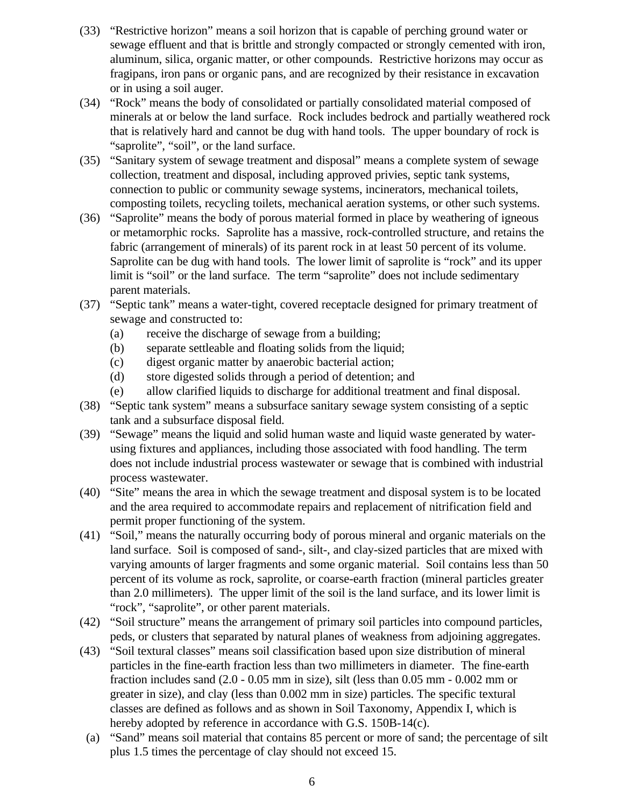- (33) "Restrictive horizon" means a soil horizon that is capable of perching ground water or sewage effluent and that is brittle and strongly compacted or strongly cemented with iron, aluminum, silica, organic matter, or other compounds. Restrictive horizons may occur as fragipans, iron pans or organic pans, and are recognized by their resistance in excavation or in using a soil auger.
- (34) "Rock" means the body of consolidated or partially consolidated material composed of minerals at or below the land surface. Rock includes bedrock and partially weathered rock that is relatively hard and cannot be dug with hand tools. The upper boundary of rock is "saprolite", "soil", or the land surface.
- (35) "Sanitary system of sewage treatment and disposal" means a complete system of sewage collection, treatment and disposal, including approved privies, septic tank systems, connection to public or community sewage systems, incinerators, mechanical toilets, composting toilets, recycling toilets, mechanical aeration systems, or other such systems.
- (36) "Saprolite" means the body of porous material formed in place by weathering of igneous or metamorphic rocks. Saprolite has a massive, rock-controlled structure, and retains the fabric (arrangement of minerals) of its parent rock in at least 50 percent of its volume. Saprolite can be dug with hand tools. The lower limit of saprolite is "rock" and its upper limit is "soil" or the land surface. The term "saprolite" does not include sedimentary parent materials.
- (37) "Septic tank" means a water-tight, covered receptacle designed for primary treatment of sewage and constructed to:
	- (a) receive the discharge of sewage from a building;
	- (b) separate settleable and floating solids from the liquid;
	- (c) digest organic matter by anaerobic bacterial action;
	- (d) store digested solids through a period of detention; and
	- (e) allow clarified liquids to discharge for additional treatment and final disposal.
- (38) "Septic tank system" means a subsurface sanitary sewage system consisting of a septic tank and a subsurface disposal field.
- (39) "Sewage" means the liquid and solid human waste and liquid waste generated by waterusing fixtures and appliances, including those associated with food handling. The term does not include industrial process wastewater or sewage that is combined with industrial process wastewater.
- (40) "Site" means the area in which the sewage treatment and disposal system is to be located and the area required to accommodate repairs and replacement of nitrification field and permit proper functioning of the system.
- (41) "Soil," means the naturally occurring body of porous mineral and organic materials on the land surface. Soil is composed of sand-, silt-, and clay-sized particles that are mixed with varying amounts of larger fragments and some organic material. Soil contains less than 50 percent of its volume as rock, saprolite, or coarse-earth fraction (mineral particles greater than 2.0 millimeters). The upper limit of the soil is the land surface, and its lower limit is "rock", "saprolite", or other parent materials.
- (42) "Soil structure" means the arrangement of primary soil particles into compound particles, peds, or clusters that separated by natural planes of weakness from adjoining aggregates.
- (43) "Soil textural classes" means soil classification based upon size distribution of mineral particles in the fine-earth fraction less than two millimeters in diameter. The fine-earth fraction includes sand (2.0 - 0.05 mm in size), silt (less than 0.05 mm - 0.002 mm or greater in size), and clay (less than 0.002 mm in size) particles. The specific textural classes are defined as follows and as shown in Soil Taxonomy, Appendix I, which is hereby adopted by reference in accordance with G.S. 150B-14(c).
- (a) "Sand" means soil material that contains 85 percent or more of sand; the percentage of silt plus 1.5 times the percentage of clay should not exceed 15.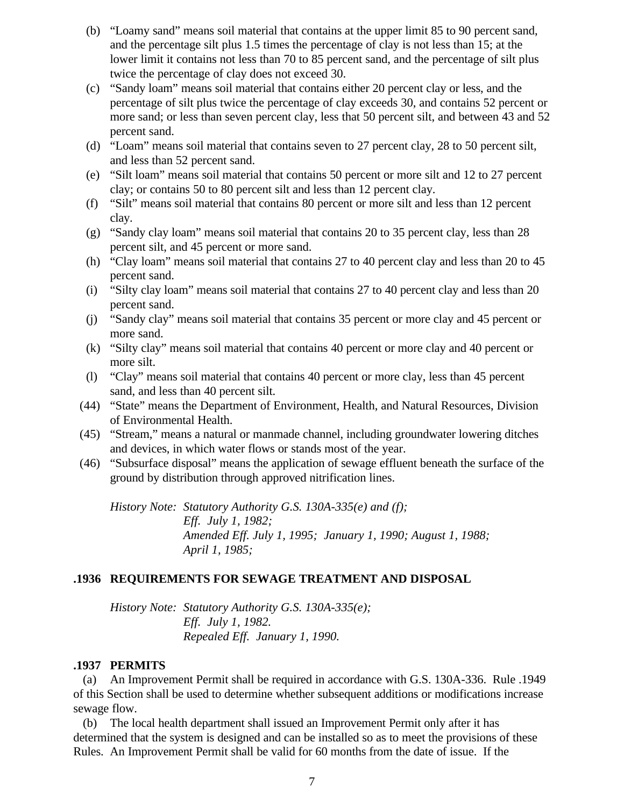- (b) "Loamy sand" means soil material that contains at the upper limit 85 to 90 percent sand, and the percentage silt plus 1.5 times the percentage of clay is not less than 15; at the lower limit it contains not less than 70 to 85 percent sand, and the percentage of silt plus twice the percentage of clay does not exceed 30.
- (c) "Sandy loam" means soil material that contains either 20 percent clay or less, and the percentage of silt plus twice the percentage of clay exceeds 30, and contains 52 percent or more sand; or less than seven percent clay, less that 50 percent silt, and between 43 and 52 percent sand.
- (d) "Loam" means soil material that contains seven to 27 percent clay, 28 to 50 percent silt, and less than 52 percent sand.
- (e) "Silt loam" means soil material that contains 50 percent or more silt and 12 to 27 percent clay; or contains 50 to 80 percent silt and less than 12 percent clay.
- (f) "Silt" means soil material that contains 80 percent or more silt and less than 12 percent clay.
- (g) "Sandy clay loam" means soil material that contains 20 to 35 percent clay, less than 28 percent silt, and 45 percent or more sand.
- (h) "Clay loam" means soil material that contains 27 to 40 percent clay and less than 20 to 45 percent sand.
- (i) "Silty clay loam" means soil material that contains 27 to 40 percent clay and less than 20 percent sand.
- (j) "Sandy clay" means soil material that contains 35 percent or more clay and 45 percent or more sand.
- (k) "Silty clay" means soil material that contains 40 percent or more clay and 40 percent or more silt.
- (l) "Clay" means soil material that contains 40 percent or more clay, less than 45 percent sand, and less than 40 percent silt.
- (44) "State" means the Department of Environment, Health, and Natural Resources, Division of Environmental Health.
- (45) "Stream," means a natural or manmade channel, including groundwater lowering ditches and devices, in which water flows or stands most of the year.
- (46) "Subsurface disposal" means the application of sewage effluent beneath the surface of the ground by distribution through approved nitrification lines.

*History Note: Statutory Authority G.S. 130A-335(e) and (f); Eff. July 1, 1982; Amended Eff. July 1, 1995; January 1, 1990; August 1, 1988; April 1, 1985;*

### **.1936 REQUIREMENTS FOR SEWAGE TREATMENT AND DISPOSAL**

*History Note: Statutory Authority G.S. 130A-335(e); Eff. July 1, 1982. Repealed Eff. January 1, 1990.*

### **.1937 PERMITS**

 (a) An Improvement Permit shall be required in accordance with G.S. 130A-336. Rule .1949 of this Section shall be used to determine whether subsequent additions or modifications increase sewage flow.

 (b) The local health department shall issued an Improvement Permit only after it has determined that the system is designed and can be installed so as to meet the provisions of these Rules. An Improvement Permit shall be valid for 60 months from the date of issue. If the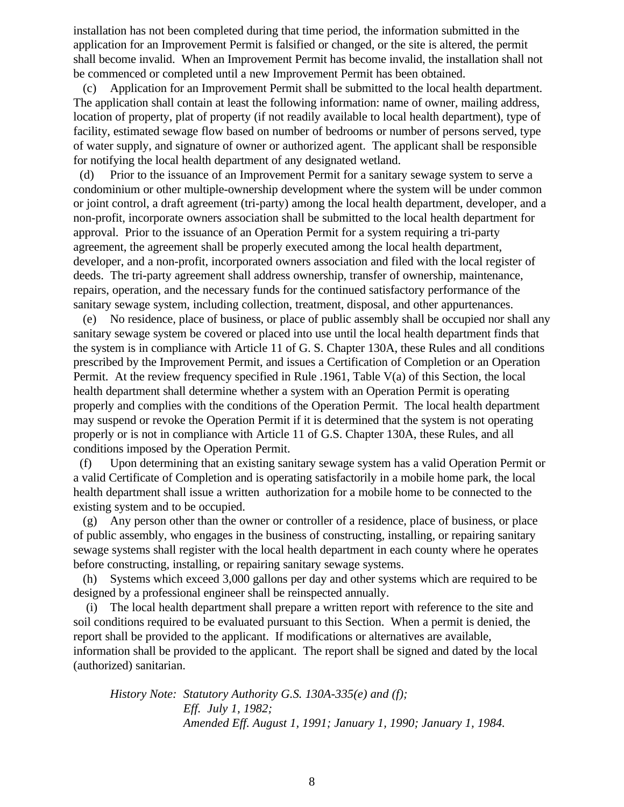installation has not been completed during that time period, the information submitted in the application for an Improvement Permit is falsified or changed, or the site is altered, the permit shall become invalid. When an Improvement Permit has become invalid, the installation shall not be commenced or completed until a new Improvement Permit has been obtained.

 (c) Application for an Improvement Permit shall be submitted to the local health department. The application shall contain at least the following information: name of owner, mailing address, location of property, plat of property (if not readily available to local health department), type of facility, estimated sewage flow based on number of bedrooms or number of persons served, type of water supply, and signature of owner or authorized agent. The applicant shall be responsible for notifying the local health department of any designated wetland.

 (d) Prior to the issuance of an Improvement Permit for a sanitary sewage system to serve a condominium or other multiple-ownership development where the system will be under common or joint control, a draft agreement (tri-party) among the local health department, developer, and a non-profit, incorporate owners association shall be submitted to the local health department for approval. Prior to the issuance of an Operation Permit for a system requiring a tri-party agreement, the agreement shall be properly executed among the local health department, developer, and a non-profit, incorporated owners association and filed with the local register of deeds. The tri-party agreement shall address ownership, transfer of ownership, maintenance, repairs, operation, and the necessary funds for the continued satisfactory performance of the sanitary sewage system, including collection, treatment, disposal, and other appurtenances.

 (e) No residence, place of business, or place of public assembly shall be occupied nor shall any sanitary sewage system be covered or placed into use until the local health department finds that the system is in compliance with Article 11 of G. S. Chapter 130A, these Rules and all conditions prescribed by the Improvement Permit, and issues a Certification of Completion or an Operation Permit. At the review frequency specified in Rule .1961, Table V(a) of this Section, the local health department shall determine whether a system with an Operation Permit is operating properly and complies with the conditions of the Operation Permit. The local health department may suspend or revoke the Operation Permit if it is determined that the system is not operating properly or is not in compliance with Article 11 of G.S. Chapter 130A, these Rules, and all conditions imposed by the Operation Permit.

 (f) Upon determining that an existing sanitary sewage system has a valid Operation Permit or a valid Certificate of Completion and is operating satisfactorily in a mobile home park, the local health department shall issue a written authorization for a mobile home to be connected to the existing system and to be occupied.

 (g) Any person other than the owner or controller of a residence, place of business, or place of public assembly, who engages in the business of constructing, installing, or repairing sanitary sewage systems shall register with the local health department in each county where he operates before constructing, installing, or repairing sanitary sewage systems.

 (h) Systems which exceed 3,000 gallons per day and other systems which are required to be designed by a professional engineer shall be reinspected annually.

 (i) The local health department shall prepare a written report with reference to the site and soil conditions required to be evaluated pursuant to this Section. When a permit is denied, the report shall be provided to the applicant. If modifications or alternatives are available, information shall be provided to the applicant. The report shall be signed and dated by the local (authorized) sanitarian.

*History Note: Statutory Authority G.S. 130A-335(e) and (f); Eff. July 1, 1982; Amended Eff. August 1, 1991; January 1, 1990; January 1, 1984.*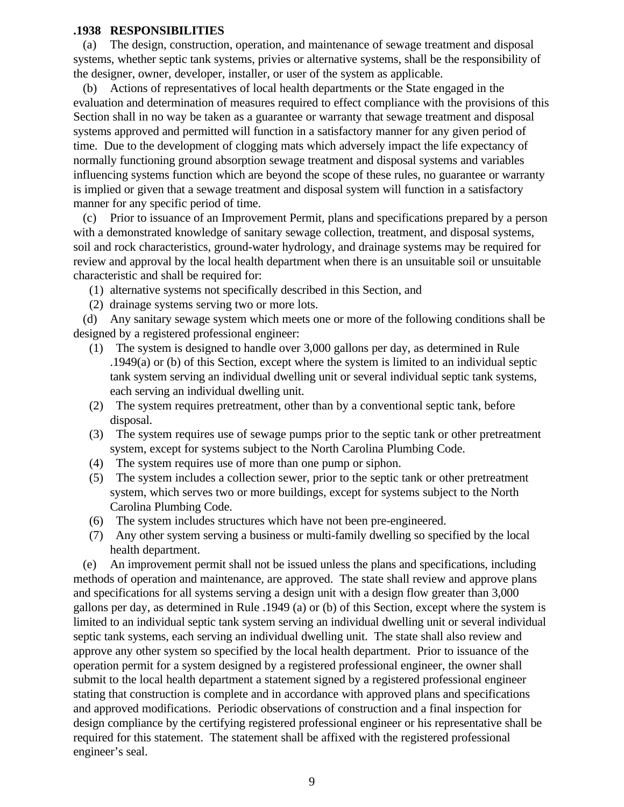### **.1938 RESPONSIBILITIES**

 (a) The design, construction, operation, and maintenance of sewage treatment and disposal systems, whether septic tank systems, privies or alternative systems, shall be the responsibility of the designer, owner, developer, installer, or user of the system as applicable.

 (b) Actions of representatives of local health departments or the State engaged in the evaluation and determination of measures required to effect compliance with the provisions of this Section shall in no way be taken as a guarantee or warranty that sewage treatment and disposal systems approved and permitted will function in a satisfactory manner for any given period of time. Due to the development of clogging mats which adversely impact the life expectancy of normally functioning ground absorption sewage treatment and disposal systems and variables influencing systems function which are beyond the scope of these rules, no guarantee or warranty is implied or given that a sewage treatment and disposal system will function in a satisfactory manner for any specific period of time.

 (c) Prior to issuance of an Improvement Permit, plans and specifications prepared by a person with a demonstrated knowledge of sanitary sewage collection, treatment, and disposal systems, soil and rock characteristics, ground-water hydrology, and drainage systems may be required for review and approval by the local health department when there is an unsuitable soil or unsuitable characteristic and shall be required for:

- (1) alternative systems not specifically described in this Section, and
- (2) drainage systems serving two or more lots.

 (d) Any sanitary sewage system which meets one or more of the following conditions shall be designed by a registered professional engineer:

- (1) The system is designed to handle over 3,000 gallons per day, as determined in Rule .1949(a) or (b) of this Section, except where the system is limited to an individual septic tank system serving an individual dwelling unit or several individual septic tank systems, each serving an individual dwelling unit.
- (2) The system requires pretreatment, other than by a conventional septic tank, before disposal.
- (3) The system requires use of sewage pumps prior to the septic tank or other pretreatment system, except for systems subject to the North Carolina Plumbing Code.
- (4) The system requires use of more than one pump or siphon.
- (5) The system includes a collection sewer, prior to the septic tank or other pretreatment system, which serves two or more buildings, except for systems subject to the North Carolina Plumbing Code.
- (6) The system includes structures which have not been pre-engineered.
- (7) Any other system serving a business or multi-family dwelling so specified by the local health department.

 (e) An improvement permit shall not be issued unless the plans and specifications, including methods of operation and maintenance, are approved. The state shall review and approve plans and specifications for all systems serving a design unit with a design flow greater than 3,000 gallons per day, as determined in Rule .1949 (a) or (b) of this Section, except where the system is limited to an individual septic tank system serving an individual dwelling unit or several individual septic tank systems, each serving an individual dwelling unit. The state shall also review and approve any other system so specified by the local health department. Prior to issuance of the operation permit for a system designed by a registered professional engineer, the owner shall submit to the local health department a statement signed by a registered professional engineer stating that construction is complete and in accordance with approved plans and specifications and approved modifications. Periodic observations of construction and a final inspection for design compliance by the certifying registered professional engineer or his representative shall be required for this statement. The statement shall be affixed with the registered professional engineer's seal.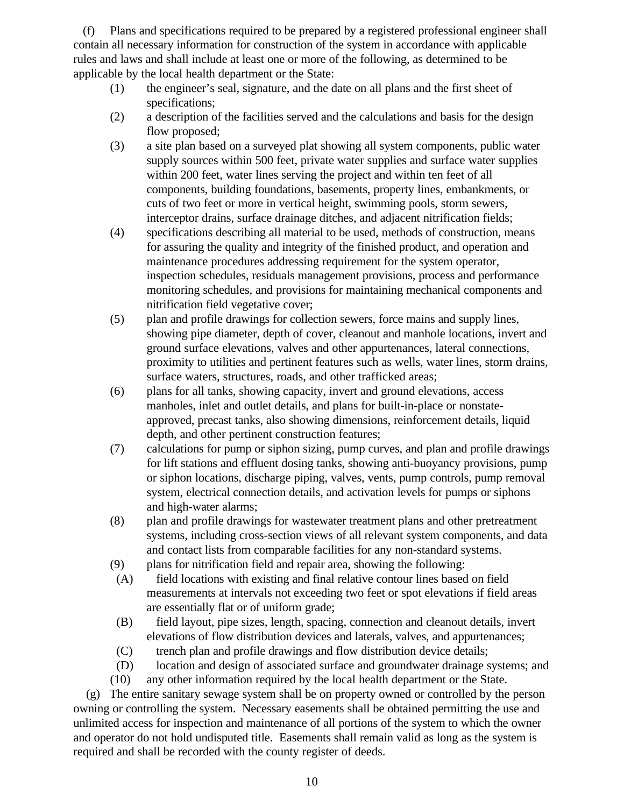(f) Plans and specifications required to be prepared by a registered professional engineer shall contain all necessary information for construction of the system in accordance with applicable rules and laws and shall include at least one or more of the following, as determined to be applicable by the local health department or the State:

- (1) the engineer's seal, signature, and the date on all plans and the first sheet of specifications;
- (2) a description of the facilities served and the calculations and basis for the design flow proposed;
- (3) a site plan based on a surveyed plat showing all system components, public water supply sources within 500 feet, private water supplies and surface water supplies within 200 feet, water lines serving the project and within ten feet of all components, building foundations, basements, property lines, embankments, or cuts of two feet or more in vertical height, swimming pools, storm sewers, interceptor drains, surface drainage ditches, and adjacent nitrification fields;
- (4) specifications describing all material to be used, methods of construction, means for assuring the quality and integrity of the finished product, and operation and maintenance procedures addressing requirement for the system operator, inspection schedules, residuals management provisions, process and performance monitoring schedules, and provisions for maintaining mechanical components and nitrification field vegetative cover;
- (5) plan and profile drawings for collection sewers, force mains and supply lines, showing pipe diameter, depth of cover, cleanout and manhole locations, invert and ground surface elevations, valves and other appurtenances, lateral connections, proximity to utilities and pertinent features such as wells, water lines, storm drains, surface waters, structures, roads, and other trafficked areas;
- (6) plans for all tanks, showing capacity, invert and ground elevations, access manholes, inlet and outlet details, and plans for built-in-place or nonstateapproved, precast tanks, also showing dimensions, reinforcement details, liquid depth, and other pertinent construction features;
- (7) calculations for pump or siphon sizing, pump curves, and plan and profile drawings for lift stations and effluent dosing tanks, showing anti-buoyancy provisions, pump or siphon locations, discharge piping, valves, vents, pump controls, pump removal system, electrical connection details, and activation levels for pumps or siphons and high-water alarms;
- (8) plan and profile drawings for wastewater treatment plans and other pretreatment systems, including cross-section views of all relevant system components, and data and contact lists from comparable facilities for any non-standard systems.
- (9) plans for nitrification field and repair area, showing the following:
- (A) field locations with existing and final relative contour lines based on field measurements at intervals not exceeding two feet or spot elevations if field areas are essentially flat or of uniform grade;
- (B) field layout, pipe sizes, length, spacing, connection and cleanout details, invert elevations of flow distribution devices and laterals, valves, and appurtenances;
- (C) trench plan and profile drawings and flow distribution device details;
- (D) location and design of associated surface and groundwater drainage systems; and
- (10) any other information required by the local health department or the State.

 (g) The entire sanitary sewage system shall be on property owned or controlled by the person owning or controlling the system. Necessary easements shall be obtained permitting the use and unlimited access for inspection and maintenance of all portions of the system to which the owner and operator do not hold undisputed title. Easements shall remain valid as long as the system is required and shall be recorded with the county register of deeds.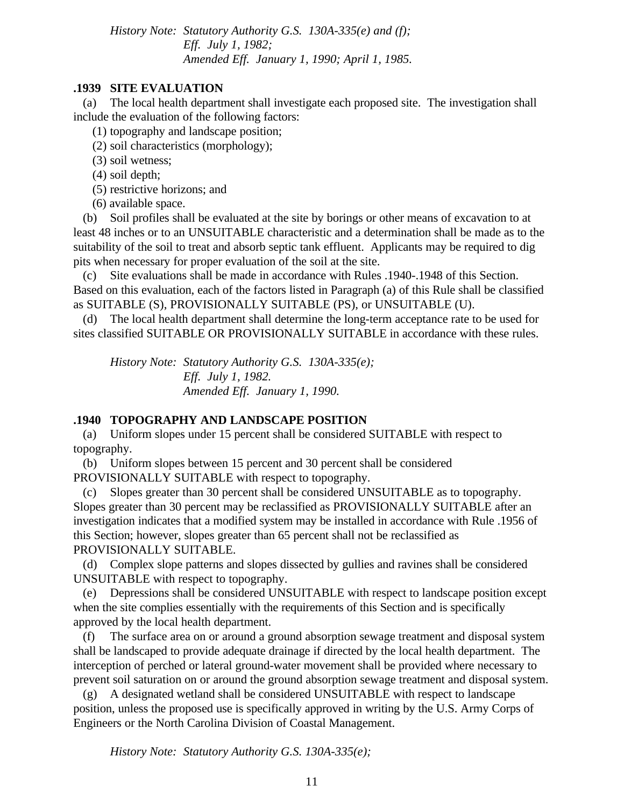*History Note: Statutory Authority G.S. 130A-335(e) and (f); Eff. July 1, 1982; Amended Eff. January 1, 1990; April 1, 1985.*

### **.1939 SITE EVALUATION**

 (a) The local health department shall investigate each proposed site. The investigation shall include the evaluation of the following factors:

- (1) topography and landscape position;
- (2) soil characteristics (morphology);
- (3) soil wetness;
- (4) soil depth;
- (5) restrictive horizons; and
- (6) available space.

 (b) Soil profiles shall be evaluated at the site by borings or other means of excavation to at least 48 inches or to an UNSUITABLE characteristic and a determination shall be made as to the suitability of the soil to treat and absorb septic tank effluent. Applicants may be required to dig pits when necessary for proper evaluation of the soil at the site.

 (c) Site evaluations shall be made in accordance with Rules .1940-.1948 of this Section. Based on this evaluation, each of the factors listed in Paragraph (a) of this Rule shall be classified as SUITABLE (S), PROVISIONALLY SUITABLE (PS), or UNSUITABLE (U).

 (d) The local health department shall determine the long-term acceptance rate to be used for sites classified SUITABLE OR PROVISIONALLY SUITABLE in accordance with these rules.

*History Note: Statutory Authority G.S. 130A-335(e); Eff. July 1, 1982. Amended Eff. January 1, 1990.*

### **.1940 TOPOGRAPHY AND LANDSCAPE POSITION**

 (a) Uniform slopes under 15 percent shall be considered SUITABLE with respect to topography.

 (b) Uniform slopes between 15 percent and 30 percent shall be considered PROVISIONALLY SUITABLE with respect to topography.

 (c) Slopes greater than 30 percent shall be considered UNSUITABLE as to topography. Slopes greater than 30 percent may be reclassified as PROVISIONALLY SUITABLE after an investigation indicates that a modified system may be installed in accordance with Rule .1956 of this Section; however, slopes greater than 65 percent shall not be reclassified as PROVISIONALLY SUITABLE.

 (d) Complex slope patterns and slopes dissected by gullies and ravines shall be considered UNSUITABLE with respect to topography.

 (e) Depressions shall be considered UNSUITABLE with respect to landscape position except when the site complies essentially with the requirements of this Section and is specifically approved by the local health department.

 (f) The surface area on or around a ground absorption sewage treatment and disposal system shall be landscaped to provide adequate drainage if directed by the local health department. The interception of perched or lateral ground-water movement shall be provided where necessary to prevent soil saturation on or around the ground absorption sewage treatment and disposal system.

 (g) A designated wetland shall be considered UNSUITABLE with respect to landscape position, unless the proposed use is specifically approved in writing by the U.S. Army Corps of Engineers or the North Carolina Division of Coastal Management.

*History Note: Statutory Authority G.S. 130A-335(e);*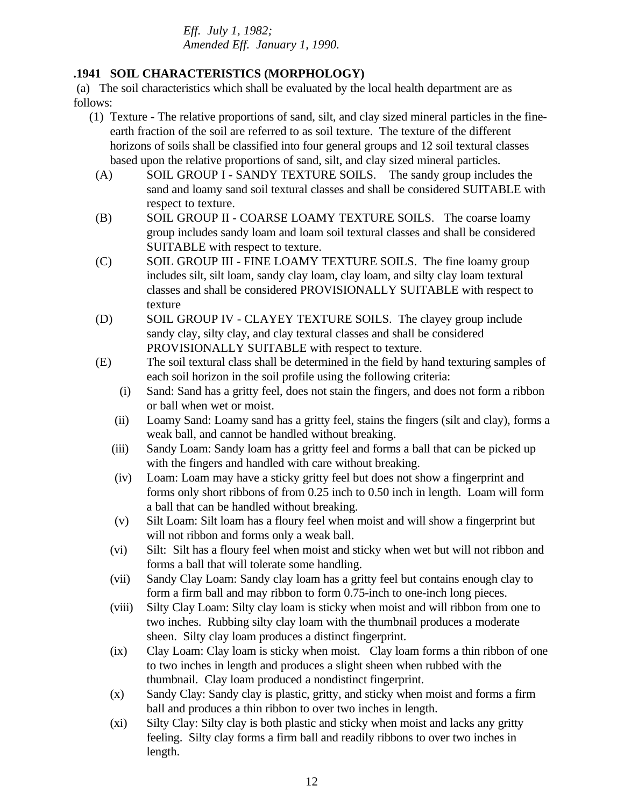*Eff. July 1, 1982; Amended Eff. January 1, 1990.*

## **.1941 SOIL CHARACTERISTICS (MORPHOLOGY)**

 (a) The soil characteristics which shall be evaluated by the local health department are as follows:

- (1) Texture The relative proportions of sand, silt, and clay sized mineral particles in the fineearth fraction of the soil are referred to as soil texture. The texture of the different horizons of soils shall be classified into four general groups and 12 soil textural classes based upon the relative proportions of sand, silt, and clay sized mineral particles.
	- (A) SOIL GROUP I SANDY TEXTURE SOILS. The sandy group includes the sand and loamy sand soil textural classes and shall be considered SUITABLE with respect to texture.
	- (B) SOIL GROUP II COARSE LOAMY TEXTURE SOILS. The coarse loamy group includes sandy loam and loam soil textural classes and shall be considered SUITABLE with respect to texture.
	- (C) SOIL GROUP III FINE LOAMY TEXTURE SOILS. The fine loamy group includes silt, silt loam, sandy clay loam, clay loam, and silty clay loam textural classes and shall be considered PROVISIONALLY SUITABLE with respect to texture
	- (D) SOIL GROUP IV CLAYEY TEXTURE SOILS. The clayey group include sandy clay, silty clay, and clay textural classes and shall be considered PROVISIONALLY SUITABLE with respect to texture.
	- (E) The soil textural class shall be determined in the field by hand texturing samples of each soil horizon in the soil profile using the following criteria:
		- (i) Sand: Sand has a gritty feel, does not stain the fingers, and does not form a ribbon or ball when wet or moist.
		- (ii) Loamy Sand: Loamy sand has a gritty feel, stains the fingers (silt and clay), forms a weak ball, and cannot be handled without breaking.
		- (iii) Sandy Loam: Sandy loam has a gritty feel and forms a ball that can be picked up with the fingers and handled with care without breaking.
		- (iv) Loam: Loam may have a sticky gritty feel but does not show a fingerprint and forms only short ribbons of from 0.25 inch to 0.50 inch in length. Loam will form a ball that can be handled without breaking.
		- (v) Silt Loam: Silt loam has a floury feel when moist and will show a fingerprint but will not ribbon and forms only a weak ball.
		- (vi) Silt: Silt has a floury feel when moist and sticky when wet but will not ribbon and forms a ball that will tolerate some handling.
		- (vii) Sandy Clay Loam: Sandy clay loam has a gritty feel but contains enough clay to form a firm ball and may ribbon to form 0.75-inch to one-inch long pieces.
		- (viii) Silty Clay Loam: Silty clay loam is sticky when moist and will ribbon from one to two inches. Rubbing silty clay loam with the thumbnail produces a moderate sheen. Silty clay loam produces a distinct fingerprint.
		- (ix) Clay Loam: Clay loam is sticky when moist. Clay loam forms a thin ribbon of one to two inches in length and produces a slight sheen when rubbed with the thumbnail. Clay loam produced a nondistinct fingerprint.
		- (x) Sandy Clay: Sandy clay is plastic, gritty, and sticky when moist and forms a firm ball and produces a thin ribbon to over two inches in length.
		- (xi) Silty Clay: Silty clay is both plastic and sticky when moist and lacks any gritty feeling. Silty clay forms a firm ball and readily ribbons to over two inches in length.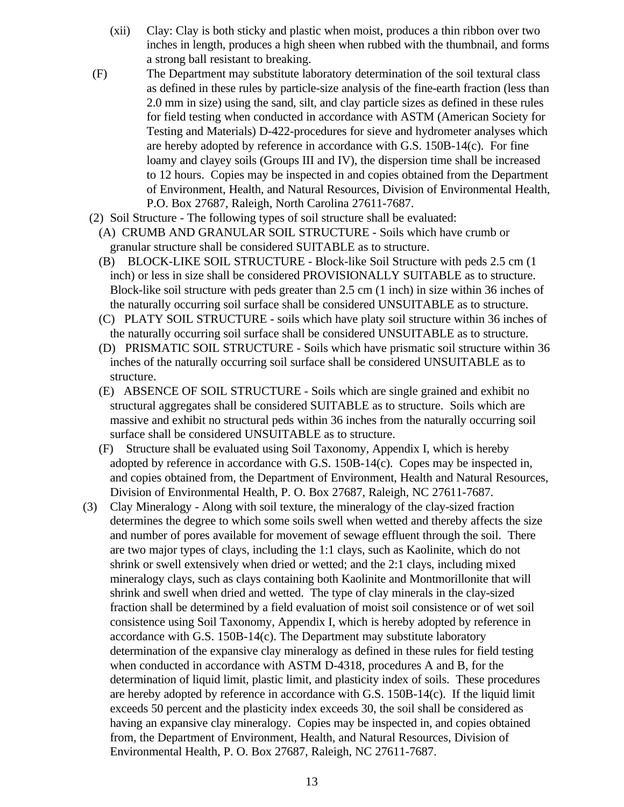- (xii) Clay: Clay is both sticky and plastic when moist, produces a thin ribbon over two inches in length, produces a high sheen when rubbed with the thumbnail, and forms a strong ball resistant to breaking.
- (F) The Department may substitute laboratory determination of the soil textural class as defined in these rules by particle-size analysis of the fine-earth fraction (less than 2.0 mm in size) using the sand, silt, and clay particle sizes as defined in these rules for field testing when conducted in accordance with ASTM (American Society for Testing and Materials) D-422-procedures for sieve and hydrometer analyses which are hereby adopted by reference in accordance with G.S. 150B-14(c). For fine loamy and clayey soils (Groups III and IV), the dispersion time shall be increased to 12 hours. Copies may be inspected in and copies obtained from the Department of Environment, Health, and Natural Resources, Division of Environmental Health, P.O. Box 27687, Raleigh, North Carolina 27611-7687.
- (2) Soil Structure The following types of soil structure shall be evaluated:
	- (A) CRUMB AND GRANULAR SOIL STRUCTURE Soils which have crumb or granular structure shall be considered SUITABLE as to structure.
	- (B) BLOCK-LIKE SOIL STRUCTURE Block-like Soil Structure with peds 2.5 cm (1 inch) or less in size shall be considered PROVISIONALLY SUITABLE as to structure. Block-like soil structure with peds greater than 2.5 cm (1 inch) in size within 36 inches of the naturally occurring soil surface shall be considered UNSUITABLE as to structure.
	- (C) PLATY SOIL STRUCTURE soils which have platy soil structure within 36 inches of the naturally occurring soil surface shall be considered UNSUITABLE as to structure.
	- (D) PRISMATIC SOIL STRUCTURE Soils which have prismatic soil structure within 36 inches of the naturally occurring soil surface shall be considered UNSUITABLE as to structure.
	- (E) ABSENCE OF SOIL STRUCTURE Soils which are single grained and exhibit no structural aggregates shall be considered SUITABLE as to structure. Soils which are massive and exhibit no structural peds within 36 inches from the naturally occurring soil surface shall be considered UNSUITABLE as to structure.
	- (F) Structure shall be evaluated using Soil Taxonomy, Appendix I, which is hereby adopted by reference in accordance with G.S.  $150B-14(c)$ . Copes may be inspected in, and copies obtained from, the Department of Environment, Health and Natural Resources, Division of Environmental Health, P. O. Box 27687, Raleigh, NC 27611-7687.
- (3) Clay Mineralogy Along with soil texture, the mineralogy of the clay-sized fraction determines the degree to which some soils swell when wetted and thereby affects the size and number of pores available for movement of sewage effluent through the soil. There are two major types of clays, including the 1:1 clays, such as Kaolinite, which do not shrink or swell extensively when dried or wetted; and the 2:1 clays, including mixed mineralogy clays, such as clays containing both Kaolinite and Montmorillonite that will shrink and swell when dried and wetted. The type of clay minerals in the clay-sized fraction shall be determined by a field evaluation of moist soil consistence or of wet soil consistence using Soil Taxonomy, Appendix I, which is hereby adopted by reference in accordance with G.S. 150B-14(c). The Department may substitute laboratory determination of the expansive clay mineralogy as defined in these rules for field testing when conducted in accordance with ASTM D-4318, procedures A and B, for the determination of liquid limit, plastic limit, and plasticity index of soils. These procedures are hereby adopted by reference in accordance with G.S. 150B-14(c). If the liquid limit exceeds 50 percent and the plasticity index exceeds 30, the soil shall be considered as having an expansive clay mineralogy. Copies may be inspected in, and copies obtained from, the Department of Environment, Health, and Natural Resources, Division of Environmental Health, P. O. Box 27687, Raleigh, NC 27611-7687.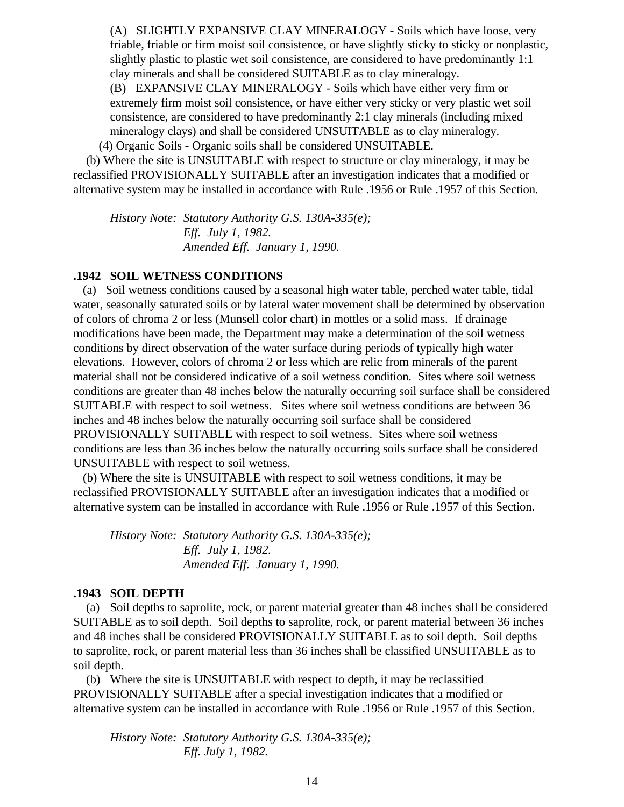(A) SLIGHTLY EXPANSIVE CLAY MINERALOGY - Soils which have loose, very friable, friable or firm moist soil consistence, or have slightly sticky to sticky or nonplastic, slightly plastic to plastic wet soil consistence, are considered to have predominantly 1:1 clay minerals and shall be considered SUITABLE as to clay mineralogy.

(B) EXPANSIVE CLAY MINERALOGY - Soils which have either very firm or extremely firm moist soil consistence, or have either very sticky or very plastic wet soil consistence, are considered to have predominantly 2:1 clay minerals (including mixed mineralogy clays) and shall be considered UNSUITABLE as to clay mineralogy.

(4) Organic Soils - Organic soils shall be considered UNSUITABLE.

 (b) Where the site is UNSUITABLE with respect to structure or clay mineralogy, it may be reclassified PROVISIONALLY SUITABLE after an investigation indicates that a modified or alternative system may be installed in accordance with Rule .1956 or Rule .1957 of this Section.

*History Note: Statutory Authority G.S. 130A-335(e); Eff. July 1, 1982. Amended Eff. January 1, 1990.*

## **.1942 SOIL WETNESS CONDITIONS**

 (a) Soil wetness conditions caused by a seasonal high water table, perched water table, tidal water, seasonally saturated soils or by lateral water movement shall be determined by observation of colors of chroma 2 or less (Munsell color chart) in mottles or a solid mass. If drainage modifications have been made, the Department may make a determination of the soil wetness conditions by direct observation of the water surface during periods of typically high water elevations. However, colors of chroma 2 or less which are relic from minerals of the parent material shall not be considered indicative of a soil wetness condition. Sites where soil wetness conditions are greater than 48 inches below the naturally occurring soil surface shall be considered SUITABLE with respect to soil wetness. Sites where soil wetness conditions are between 36 inches and 48 inches below the naturally occurring soil surface shall be considered PROVISIONALLY SUITABLE with respect to soil wetness. Sites where soil wetness conditions are less than 36 inches below the naturally occurring soils surface shall be considered UNSUITABLE with respect to soil wetness.

 (b) Where the site is UNSUITABLE with respect to soil wetness conditions, it may be reclassified PROVISIONALLY SUITABLE after an investigation indicates that a modified or alternative system can be installed in accordance with Rule .1956 or Rule .1957 of this Section.

*History Note: Statutory Authority G.S. 130A-335(e); Eff. July 1, 1982. Amended Eff. January 1, 1990.*

### **.1943 SOIL DEPTH**

 (a) Soil depths to saprolite, rock, or parent material greater than 48 inches shall be considered SUITABLE as to soil depth. Soil depths to saprolite, rock, or parent material between 36 inches and 48 inches shall be considered PROVISIONALLY SUITABLE as to soil depth. Soil depths to saprolite, rock, or parent material less than 36 inches shall be classified UNSUITABLE as to soil depth.

 (b) Where the site is UNSUITABLE with respect to depth, it may be reclassified PROVISIONALLY SUITABLE after a special investigation indicates that a modified or alternative system can be installed in accordance with Rule .1956 or Rule .1957 of this Section.

*History Note: Statutory Authority G.S. 130A-335(e); Eff. July 1, 1982.*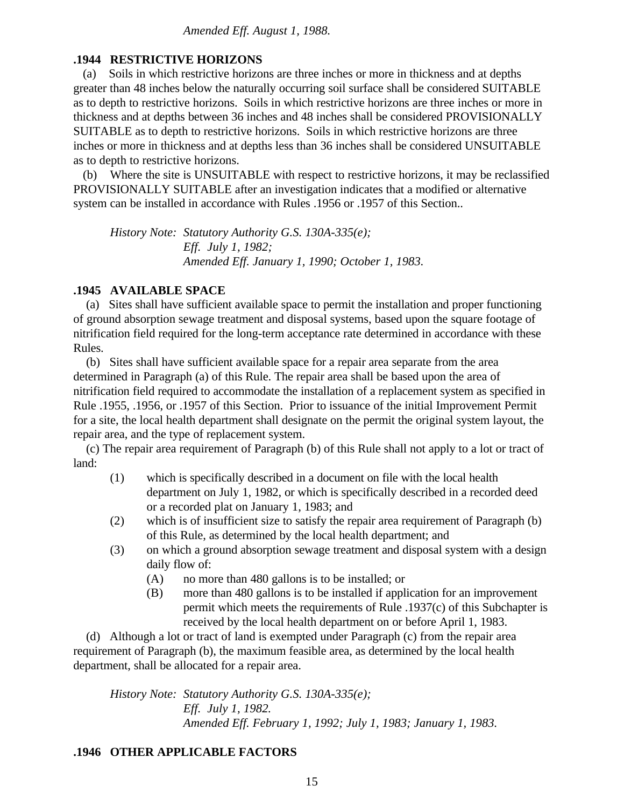## **.1944 RESTRICTIVE HORIZONS**

 (a) Soils in which restrictive horizons are three inches or more in thickness and at depths greater than 48 inches below the naturally occurring soil surface shall be considered SUITABLE as to depth to restrictive horizons. Soils in which restrictive horizons are three inches or more in thickness and at depths between 36 inches and 48 inches shall be considered PROVISIONALLY SUITABLE as to depth to restrictive horizons. Soils in which restrictive horizons are three inches or more in thickness and at depths less than 36 inches shall be considered UNSUITABLE as to depth to restrictive horizons.

 (b) Where the site is UNSUITABLE with respect to restrictive horizons, it may be reclassified PROVISIONALLY SUITABLE after an investigation indicates that a modified or alternative system can be installed in accordance with Rules .1956 or .1957 of this Section..

*History Note: Statutory Authority G.S. 130A-335(e); Eff. July 1, 1982; Amended Eff. January 1, 1990; October 1, 1983.*

### **.1945 AVAILABLE SPACE**

 (a) Sites shall have sufficient available space to permit the installation and proper functioning of ground absorption sewage treatment and disposal systems, based upon the square footage of nitrification field required for the long-term acceptance rate determined in accordance with these Rules.

 (b) Sites shall have sufficient available space for a repair area separate from the area determined in Paragraph (a) of this Rule. The repair area shall be based upon the area of nitrification field required to accommodate the installation of a replacement system as specified in Rule .1955, .1956, or .1957 of this Section. Prior to issuance of the initial Improvement Permit for a site, the local health department shall designate on the permit the original system layout, the repair area, and the type of replacement system.

 (c) The repair area requirement of Paragraph (b) of this Rule shall not apply to a lot or tract of land:

- (1) which is specifically described in a document on file with the local health department on July 1, 1982, or which is specifically described in a recorded deed or a recorded plat on January 1, 1983; and
- (2) which is of insufficient size to satisfy the repair area requirement of Paragraph (b) of this Rule, as determined by the local health department; and
- (3) on which a ground absorption sewage treatment and disposal system with a design daily flow of:
	- (A) no more than 480 gallons is to be installed; or
	- (B) more than 480 gallons is to be installed if application for an improvement permit which meets the requirements of Rule .1937(c) of this Subchapter is received by the local health department on or before April 1, 1983.

 (d) Although a lot or tract of land is exempted under Paragraph (c) from the repair area requirement of Paragraph (b), the maximum feasible area, as determined by the local health department, shall be allocated for a repair area.

*History Note: Statutory Authority G.S. 130A-335(e); Eff. July 1, 1982. Amended Eff. February 1, 1992; July 1, 1983; January 1, 1983.*

## **.1946 OTHER APPLICABLE FACTORS**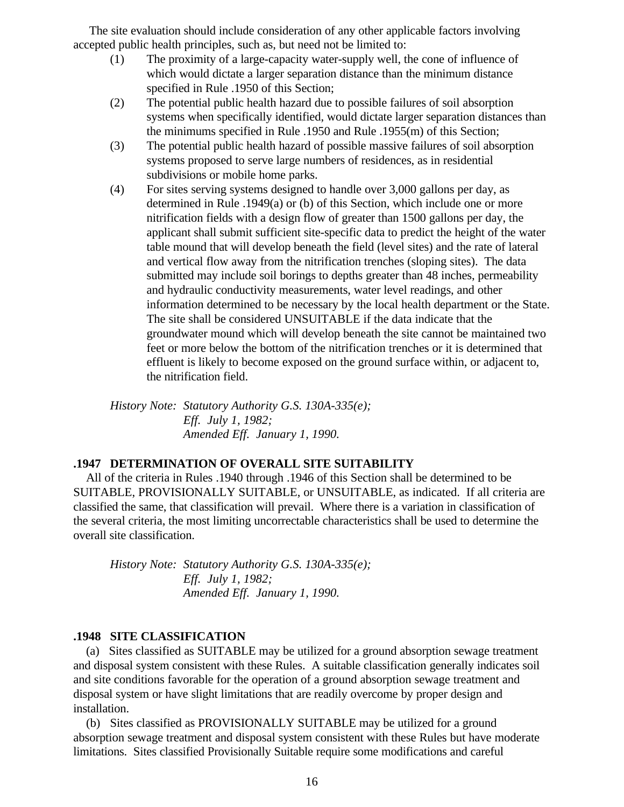The site evaluation should include consideration of any other applicable factors involving accepted public health principles, such as, but need not be limited to:

- (1) The proximity of a large-capacity water-supply well, the cone of influence of which would dictate a larger separation distance than the minimum distance specified in Rule .1950 of this Section;
- (2) The potential public health hazard due to possible failures of soil absorption systems when specifically identified, would dictate larger separation distances than the minimums specified in Rule .1950 and Rule .1955(m) of this Section;
- (3) The potential public health hazard of possible massive failures of soil absorption systems proposed to serve large numbers of residences, as in residential subdivisions or mobile home parks.
- (4) For sites serving systems designed to handle over 3,000 gallons per day, as determined in Rule .1949(a) or (b) of this Section, which include one or more nitrification fields with a design flow of greater than 1500 gallons per day, the applicant shall submit sufficient site-specific data to predict the height of the water table mound that will develop beneath the field (level sites) and the rate of lateral and vertical flow away from the nitrification trenches (sloping sites). The data submitted may include soil borings to depths greater than 48 inches, permeability and hydraulic conductivity measurements, water level readings, and other information determined to be necessary by the local health department or the State. The site shall be considered UNSUITABLE if the data indicate that the groundwater mound which will develop beneath the site cannot be maintained two feet or more below the bottom of the nitrification trenches or it is determined that effluent is likely to become exposed on the ground surface within, or adjacent to, the nitrification field.

*History Note: Statutory Authority G.S. 130A-335(e); Eff. July 1, 1982; Amended Eff. January 1, 1990.*

### **.1947 DETERMINATION OF OVERALL SITE SUITABILITY**

 All of the criteria in Rules .1940 through .1946 of this Section shall be determined to be SUITABLE, PROVISIONALLY SUITABLE, or UNSUITABLE, as indicated. If all criteria are classified the same, that classification will prevail. Where there is a variation in classification of the several criteria, the most limiting uncorrectable characteristics shall be used to determine the overall site classification.

*History Note: Statutory Authority G.S. 130A-335(e); Eff. July 1, 1982; Amended Eff. January 1, 1990.*

### **.1948 SITE CLASSIFICATION**

 (a) Sites classified as SUITABLE may be utilized for a ground absorption sewage treatment and disposal system consistent with these Rules. A suitable classification generally indicates soil and site conditions favorable for the operation of a ground absorption sewage treatment and disposal system or have slight limitations that are readily overcome by proper design and installation.

 (b) Sites classified as PROVISIONALLY SUITABLE may be utilized for a ground absorption sewage treatment and disposal system consistent with these Rules but have moderate limitations. Sites classified Provisionally Suitable require some modifications and careful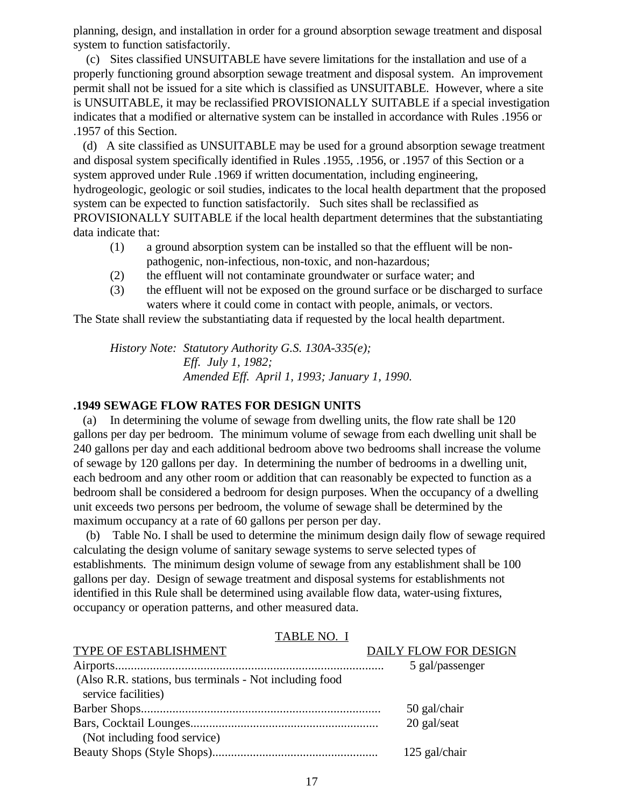planning, design, and installation in order for a ground absorption sewage treatment and disposal system to function satisfactorily.

 (c) Sites classified UNSUITABLE have severe limitations for the installation and use of a properly functioning ground absorption sewage treatment and disposal system. An improvement permit shall not be issued for a site which is classified as UNSUITABLE. However, where a site is UNSUITABLE, it may be reclassified PROVISIONALLY SUITABLE if a special investigation indicates that a modified or alternative system can be installed in accordance with Rules .1956 or .1957 of this Section.

 (d) A site classified as UNSUITABLE may be used for a ground absorption sewage treatment and disposal system specifically identified in Rules .1955, .1956, or .1957 of this Section or a system approved under Rule .1969 if written documentation, including engineering, hydrogeologic, geologic or soil studies, indicates to the local health department that the proposed system can be expected to function satisfactorily. Such sites shall be reclassified as PROVISIONALLY SUITABLE if the local health department determines that the substantiating data indicate that:

- (1) a ground absorption system can be installed so that the effluent will be nonpathogenic, non-infectious, non-toxic, and non-hazardous;
- (2) the effluent will not contaminate groundwater or surface water; and
- (3) the effluent will not be exposed on the ground surface or be discharged to surface waters where it could come in contact with people, animals, or vectors.

The State shall review the substantiating data if requested by the local health department.

*History Note: Statutory Authority G.S. 130A-335(e); Eff. July 1, 1982; Amended Eff. April 1, 1993; January 1, 1990.*

## **.1949 SEWAGE FLOW RATES FOR DESIGN UNITS**

 (a) In determining the volume of sewage from dwelling units, the flow rate shall be 120 gallons per day per bedroom. The minimum volume of sewage from each dwelling unit shall be 240 gallons per day and each additional bedroom above two bedrooms shall increase the volume of sewage by 120 gallons per day. In determining the number of bedrooms in a dwelling unit, each bedroom and any other room or addition that can reasonably be expected to function as a bedroom shall be considered a bedroom for design purposes. When the occupancy of a dwelling unit exceeds two persons per bedroom, the volume of sewage shall be determined by the maximum occupancy at a rate of 60 gallons per person per day.

 (b) Table No. I shall be used to determine the minimum design daily flow of sewage required calculating the design volume of sanitary sewage systems to serve selected types of establishments. The minimum design volume of sewage from any establishment shall be 100 gallons per day. Design of sewage treatment and disposal systems for establishments not identified in this Rule shall be determined using available flow data, water-using fixtures, occupancy or operation patterns, and other measured data.

| 17000110.1                                              |                       |
|---------------------------------------------------------|-----------------------|
| TYPE OF ESTABLISHMENT                                   | DAILY FLOW FOR DESIGN |
|                                                         | 5 gal/passenger       |
| (Also R.R. stations, bus terminals - Not including food |                       |
| service facilities)                                     |                       |
|                                                         | 50 gal/chair          |
|                                                         | 20 gal/seat           |
| (Not including food service)                            |                       |
|                                                         | 125 gal/chair         |

### TABLE NO. I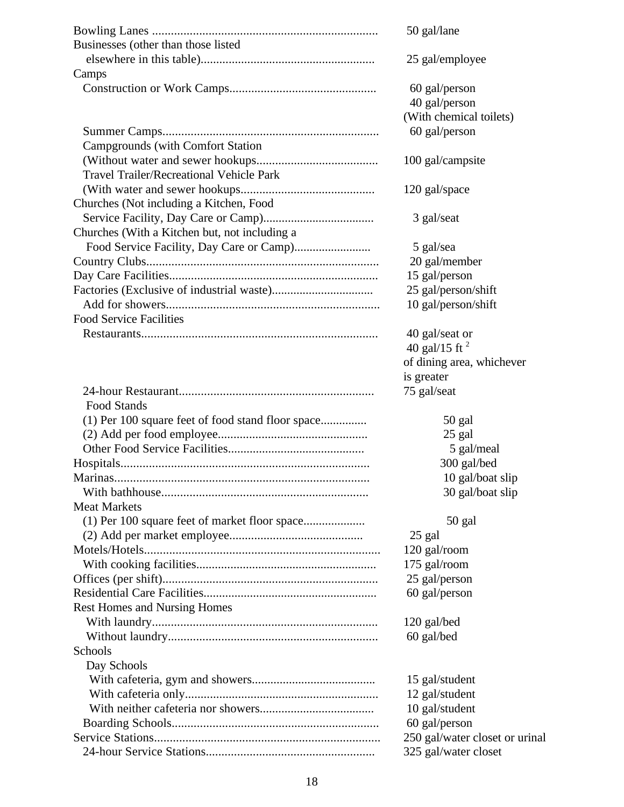|                                                   | 50 gal/lane                    |
|---------------------------------------------------|--------------------------------|
| Businesses (other than those listed               |                                |
|                                                   | 25 gal/employee                |
| Camps                                             |                                |
|                                                   | 60 gal/person                  |
|                                                   | 40 gal/person                  |
|                                                   | (With chemical toilets)        |
|                                                   | 60 gal/person                  |
| <b>Campgrounds</b> (with Comfort Station          |                                |
|                                                   | 100 gal/campsite               |
| <b>Travel Trailer/Recreational Vehicle Park</b>   |                                |
|                                                   | 120 gal/space                  |
| Churches (Not including a Kitchen, Food           |                                |
|                                                   | 3 gal/seat                     |
| Churches (With a Kitchen but, not including a     |                                |
|                                                   | 5 gal/sea                      |
|                                                   | 20 gal/member                  |
|                                                   | 15 gal/person                  |
|                                                   | 25 gal/person/shift            |
|                                                   |                                |
| <b>Food Service Facilities</b>                    | 10 gal/person/shift            |
|                                                   |                                |
|                                                   | 40 gal/seat or                 |
|                                                   | 40 gal/15 ft $^2$              |
|                                                   | of dining area, whichever      |
|                                                   | is greater                     |
|                                                   | 75 gal/seat                    |
| <b>Food Stands</b>                                |                                |
| (1) Per 100 square feet of food stand floor space | 50 gal                         |
|                                                   | 25 gal                         |
|                                                   | 5 gal/meal                     |
|                                                   | 300 gal/bed                    |
| Marinas.                                          | 10 gal/boat slip               |
|                                                   | 30 gal/boat slip               |
| <b>Meat Markets</b>                               |                                |
|                                                   | 50 gal                         |
|                                                   | 25 gal                         |
|                                                   | 120 gal/room                   |
|                                                   | 175 gal/room                   |
|                                                   | 25 gal/person                  |
|                                                   | 60 gal/person                  |
| <b>Rest Homes and Nursing Homes</b>               |                                |
|                                                   | 120 gal/bed                    |
|                                                   | 60 gal/bed                     |
| Schools                                           |                                |
| Day Schools                                       |                                |
|                                                   | 15 gal/student                 |
|                                                   | 12 gal/student                 |
|                                                   | 10 gal/student                 |
|                                                   | 60 gal/person                  |
|                                                   | 250 gal/water closet or urinal |
|                                                   | 325 gal/water closet           |
|                                                   |                                |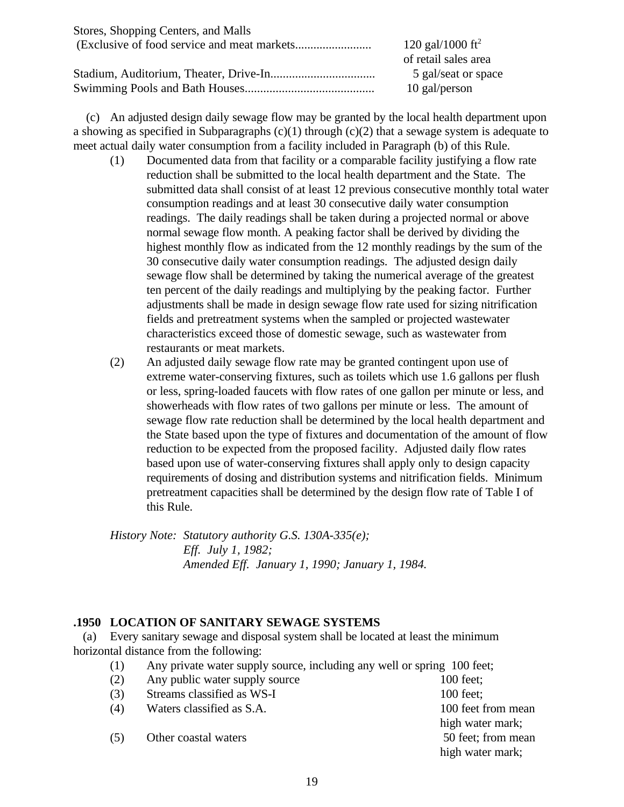| Stores, Shopping Centers, and Malls |                              |
|-------------------------------------|------------------------------|
|                                     | 120 gal/1000 ft <sup>2</sup> |
|                                     | of retail sales area         |
|                                     | 5 gal/seat or space          |
|                                     | 10 gal/person                |

 (c) An adjusted design daily sewage flow may be granted by the local health department upon a showing as specified in Subparagraphs  $(c)(1)$  through  $(c)(2)$  that a sewage system is adequate to meet actual daily water consumption from a facility included in Paragraph (b) of this Rule.

- (1) Documented data from that facility or a comparable facility justifying a flow rate reduction shall be submitted to the local health department and the State. The submitted data shall consist of at least 12 previous consecutive monthly total water consumption readings and at least 30 consecutive daily water consumption readings. The daily readings shall be taken during a projected normal or above normal sewage flow month. A peaking factor shall be derived by dividing the highest monthly flow as indicated from the 12 monthly readings by the sum of the 30 consecutive daily water consumption readings. The adjusted design daily sewage flow shall be determined by taking the numerical average of the greatest ten percent of the daily readings and multiplying by the peaking factor. Further adjustments shall be made in design sewage flow rate used for sizing nitrification fields and pretreatment systems when the sampled or projected wastewater characteristics exceed those of domestic sewage, such as wastewater from restaurants or meat markets.
- (2) An adjusted daily sewage flow rate may be granted contingent upon use of extreme water-conserving fixtures, such as toilets which use 1.6 gallons per flush or less, spring-loaded faucets with flow rates of one gallon per minute or less, and showerheads with flow rates of two gallons per minute or less. The amount of sewage flow rate reduction shall be determined by the local health department and the State based upon the type of fixtures and documentation of the amount of flow reduction to be expected from the proposed facility. Adjusted daily flow rates based upon use of water-conserving fixtures shall apply only to design capacity requirements of dosing and distribution systems and nitrification fields. Minimum pretreatment capacities shall be determined by the design flow rate of Table I of this Rule.

*History Note: Statutory authority G.S. 130A-335(e); Eff. July 1, 1982; Amended Eff. January 1, 1990; January 1, 1984.*

### **.1950 LOCATION OF SANITARY SEWAGE SYSTEMS**

 (a) Every sanitary sewage and disposal system shall be located at least the minimum horizontal distance from the following:

(1) Any private water supply source, including any well or spring 100 feet;

| (2) | Any public water supply source | $100$ feet;        |
|-----|--------------------------------|--------------------|
| (3) | Streams classified as WS-I     | $100$ feet:        |
| (4) | Waters classified as S.A.      | 100 feet from mean |
|     |                                | high water mark;   |
| (5) | Other coastal waters           | 50 feet; from mean |
|     |                                | high water mark;   |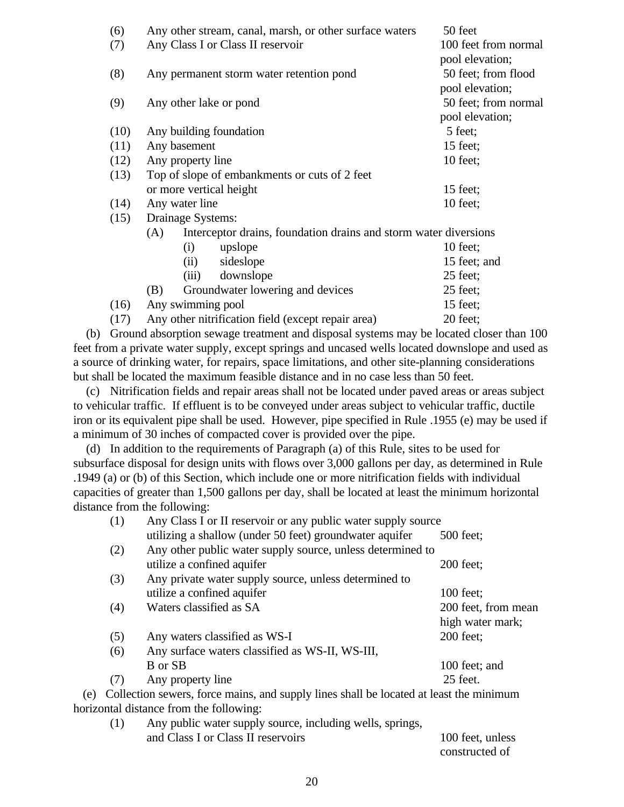| (6)  | Any other stream, canal, marsh, or other surface waters                 | 50 feet              |  |
|------|-------------------------------------------------------------------------|----------------------|--|
| (7)  | Any Class I or Class II reservoir                                       | 100 feet from normal |  |
|      |                                                                         | pool elevation;      |  |
| (8)  | Any permanent storm water retention pond                                | 50 feet; from flood  |  |
|      |                                                                         | pool elevation;      |  |
| (9)  | Any other lake or pond                                                  | 50 feet; from normal |  |
|      |                                                                         | pool elevation;      |  |
| (10) | Any building foundation                                                 | 5 feet;              |  |
| (11) | Any basement                                                            | 15 feet;             |  |
| (12) | Any property line                                                       | $10$ feet;           |  |
| (13) | Top of slope of embankments or cuts of 2 feet                           |                      |  |
|      | or more vertical height                                                 | 15 feet;             |  |
| (14) | Any water line                                                          | $10$ feet;           |  |
| (15) | Drainage Systems:                                                       |                      |  |
|      | Interceptor drains, foundation drains and storm water diversions<br>(A) |                      |  |
|      | upslope<br>(i)                                                          | $10$ feet;           |  |
|      | (ii)<br>sideslope                                                       | 15 feet; and         |  |
|      | downslope<br>(iii)                                                      | 25 feet;             |  |
|      | Groundwater lowering and devices<br>(B)                                 | $25$ feet;           |  |
| (16) | Any swimming pool                                                       | $15$ feet;           |  |
| (17) | Any other nitrification field (except repair area)                      | 20 feet;             |  |

 (b) Ground absorption sewage treatment and disposal systems may be located closer than 100 feet from a private water supply, except springs and uncased wells located downslope and used as a source of drinking water, for repairs, space limitations, and other site-planning considerations but shall be located the maximum feasible distance and in no case less than 50 feet.

 (c) Nitrification fields and repair areas shall not be located under paved areas or areas subject to vehicular traffic. If effluent is to be conveyed under areas subject to vehicular traffic, ductile iron or its equivalent pipe shall be used. However, pipe specified in Rule .1955 (e) may be used if a minimum of 30 inches of compacted cover is provided over the pipe.

 (d) In addition to the requirements of Paragraph (a) of this Rule, sites to be used for subsurface disposal for design units with flows over 3,000 gallons per day, as determined in Rule .1949 (a) or (b) of this Section, which include one or more nitrification fields with individual capacities of greater than 1,500 gallons per day, shall be located at least the minimum horizontal distance from the following:

|     | (1) | Any Class I or II reservoir or any public water supply source                          |                     |  |
|-----|-----|----------------------------------------------------------------------------------------|---------------------|--|
|     |     | utilizing a shallow (under 50 feet) groundwater aquifer                                | 500 feet;           |  |
|     | (2) | Any other public water supply source, unless determined to                             |                     |  |
|     |     | utilize a confined aquifer                                                             | $200$ feet;         |  |
|     | (3) | Any private water supply source, unless determined to                                  |                     |  |
|     |     | utilize a confined aquifer                                                             | 100 feet;           |  |
|     | (4) | Waters classified as SA                                                                | 200 feet, from mean |  |
|     |     |                                                                                        | high water mark;    |  |
|     | (5) | Any waters classified as WS-I                                                          | 200 feet;           |  |
|     | (6) | Any surface waters classified as WS-II, WS-III,                                        |                     |  |
|     |     | B or SB                                                                                | 100 feet; and       |  |
|     | (7) | Any property line                                                                      | 25 feet.            |  |
| (e) |     | Collection sewers, force mains, and supply lines shall be located at least the minimum |                     |  |
|     |     | horizontal distance from the following:                                                |                     |  |
|     | (1) | Any public water supply source, including wells, springs,                              |                     |  |
|     |     | and Class I or Class II reservoirs                                                     | 100 feet, unless    |  |

| TUU ILLE, UMLOS |  |
|-----------------|--|
| constructed of  |  |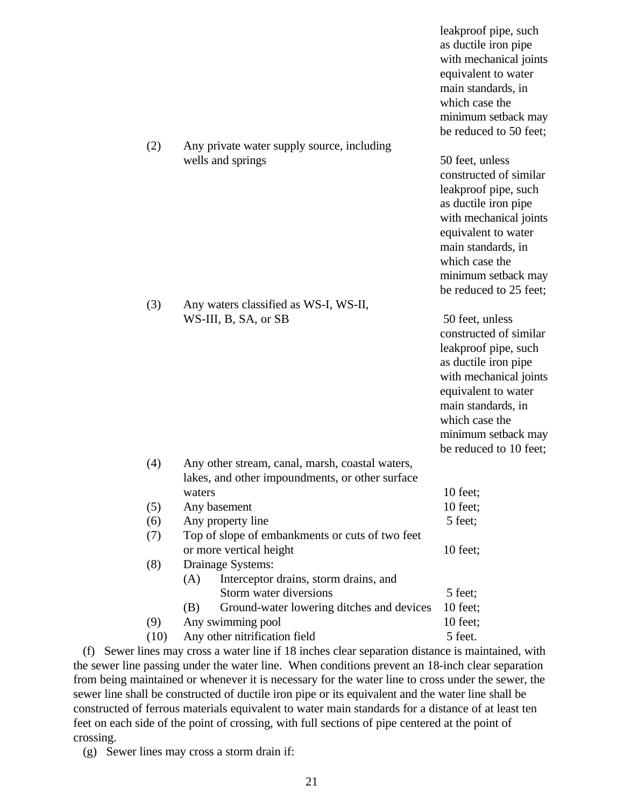leakproof pipe, such as ductile iron pipe with mechanical joints equivalent to water main standards, in which case the minimum setback may be reduced to 50 feet;

wells and springs 50 feet, unless constructed of similar leakproof pipe, such as ductile iron pipe with mechanical joints equivalent to water main standards, in which case the minimum setback may be reduced to 25 feet;

WS-III, B, SA, or SB 50 feet, unless constructed of similar leakproof pipe, such as ductile iron pipe with mechanical joints equivalent to water main standards, in which case the minimum setback may to  $10$  feet;

|      |                                                  | пшшшшш э   |  |  |
|------|--------------------------------------------------|------------|--|--|
|      |                                                  | be reduced |  |  |
| (4)  | Any other stream, canal, marsh, coastal waters,  |            |  |  |
|      | lakes, and other impoundments, or other surface  |            |  |  |
|      | waters                                           | 10 feet;   |  |  |
| (5)  | Any basement                                     | $10$ feet; |  |  |
| (6)  | Any property line                                | 5 feet;    |  |  |
| (7)  | Top of slope of embankments or cuts of two feet  |            |  |  |
|      | or more vertical height                          | $10$ feet; |  |  |
| (8)  | Drainage Systems:                                |            |  |  |
|      | Interceptor drains, storm drains, and<br>(A)     |            |  |  |
|      | Storm water diversions                           | 5 feet;    |  |  |
|      | Ground-water lowering ditches and devices<br>(B) | 10 feet;   |  |  |
| (9)  | Any swimming pool                                | $10$ feet; |  |  |
| (10) | Any other nitrification field                    | 5 feet.    |  |  |

(2) Any private water supply source, including

(3) Any waters classified as WS-I, WS-II,

 (f) Sewer lines may cross a water line if 18 inches clear separation distance is maintained, with the sewer line passing under the water line. When conditions prevent an 18-inch clear separation from being maintained or whenever it is necessary for the water line to cross under the sewer, the sewer line shall be constructed of ductile iron pipe or its equivalent and the water line shall be constructed of ferrous materials equivalent to water main standards for a distance of at least ten feet on each side of the point of crossing, with full sections of pipe centered at the point of crossing.

(g) Sewer lines may cross a storm drain if:

21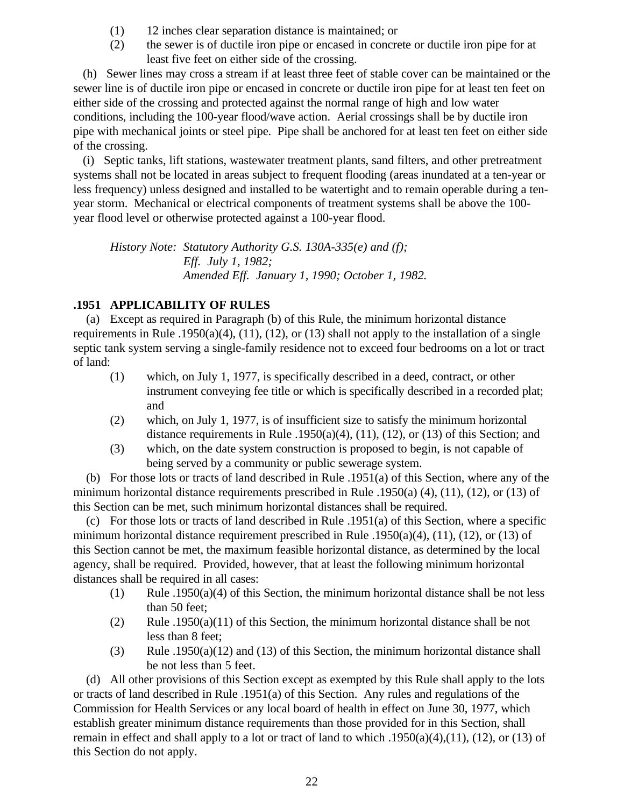- (1) 12 inches clear separation distance is maintained; or
- (2) the sewer is of ductile iron pipe or encased in concrete or ductile iron pipe for at least five feet on either side of the crossing.

 (h) Sewer lines may cross a stream if at least three feet of stable cover can be maintained or the sewer line is of ductile iron pipe or encased in concrete or ductile iron pipe for at least ten feet on either side of the crossing and protected against the normal range of high and low water conditions, including the 100-year flood/wave action. Aerial crossings shall be by ductile iron pipe with mechanical joints or steel pipe. Pipe shall be anchored for at least ten feet on either side of the crossing.

 (i) Septic tanks, lift stations, wastewater treatment plants, sand filters, and other pretreatment systems shall not be located in areas subject to frequent flooding (areas inundated at a ten-year or less frequency) unless designed and installed to be watertight and to remain operable during a tenyear storm. Mechanical or electrical components of treatment systems shall be above the 100 year flood level or otherwise protected against a 100-year flood.

*History Note: Statutory Authority G.S. 130A-335(e) and (f); Eff. July 1, 1982; Amended Eff. January 1, 1990; October 1, 1982.*

# **.1951 APPLICABILITY OF RULES**

 (a) Except as required in Paragraph (b) of this Rule, the minimum horizontal distance requirements in Rule .1950(a)(4), (11), (12), or (13) shall not apply to the installation of a single septic tank system serving a single-family residence not to exceed four bedrooms on a lot or tract of land:

- (1) which, on July 1, 1977, is specifically described in a deed, contract, or other instrument conveying fee title or which is specifically described in a recorded plat; and
- (2) which, on July 1, 1977, is of insufficient size to satisfy the minimum horizontal distance requirements in Rule .1950(a)(4), (11), (12), or (13) of this Section; and
- (3) which, on the date system construction is proposed to begin, is not capable of being served by a community or public sewerage system.

 (b) For those lots or tracts of land described in Rule .1951(a) of this Section, where any of the minimum horizontal distance requirements prescribed in Rule .1950(a) (4), (11), (12), or (13) of this Section can be met, such minimum horizontal distances shall be required.

 (c) For those lots or tracts of land described in Rule .1951(a) of this Section, where a specific minimum horizontal distance requirement prescribed in Rule .1950(a)(4), (11), (12), or (13) of this Section cannot be met, the maximum feasible horizontal distance, as determined by the local agency, shall be required. Provided, however, that at least the following minimum horizontal distances shall be required in all cases:

- (1) Rule .1950(a)(4) of this Section, the minimum horizontal distance shall be not less than 50 feet;
- (2) Rule .1950(a)(11) of this Section, the minimum horizontal distance shall be not less than 8 feet;
- (3) Rule .1950(a)(12) and (13) of this Section, the minimum horizontal distance shall be not less than 5 feet.

 (d) All other provisions of this Section except as exempted by this Rule shall apply to the lots or tracts of land described in Rule .1951(a) of this Section. Any rules and regulations of the Commission for Health Services or any local board of health in effect on June 30, 1977, which establish greater minimum distance requirements than those provided for in this Section, shall remain in effect and shall apply to a lot or tract of land to which .1950(a)(4),(11), (12), or (13) of this Section do not apply.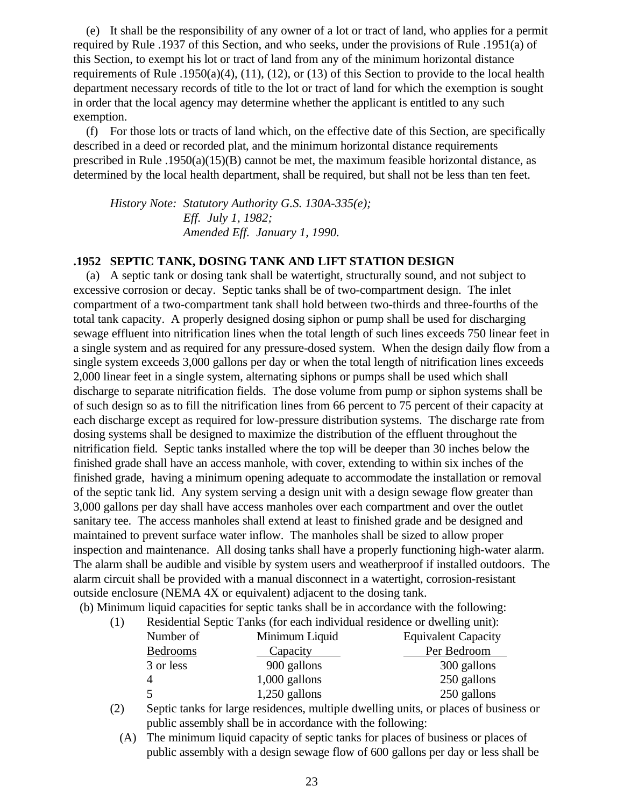(e) It shall be the responsibility of any owner of a lot or tract of land, who applies for a permit required by Rule .1937 of this Section, and who seeks, under the provisions of Rule .1951(a) of this Section, to exempt his lot or tract of land from any of the minimum horizontal distance requirements of Rule .1950(a)(4), (11), (12), or (13) of this Section to provide to the local health department necessary records of title to the lot or tract of land for which the exemption is sought in order that the local agency may determine whether the applicant is entitled to any such exemption.

 (f) For those lots or tracts of land which, on the effective date of this Section, are specifically described in a deed or recorded plat, and the minimum horizontal distance requirements prescribed in Rule .1950(a)(15)(B) cannot be met, the maximum feasible horizontal distance, as determined by the local health department, shall be required, but shall not be less than ten feet.

*History Note: Statutory Authority G.S. 130A-335(e); Eff. July 1, 1982; Amended Eff. January 1, 1990.*

### **.1952 SEPTIC TANK, DOSING TANK AND LIFT STATION DESIGN**

 (a) A septic tank or dosing tank shall be watertight, structurally sound, and not subject to excessive corrosion or decay. Septic tanks shall be of two-compartment design. The inlet compartment of a two-compartment tank shall hold between two-thirds and three-fourths of the total tank capacity. A properly designed dosing siphon or pump shall be used for discharging sewage effluent into nitrification lines when the total length of such lines exceeds 750 linear feet in a single system and as required for any pressure-dosed system. When the design daily flow from a single system exceeds 3,000 gallons per day or when the total length of nitrification lines exceeds 2,000 linear feet in a single system, alternating siphons or pumps shall be used which shall discharge to separate nitrification fields. The dose volume from pump or siphon systems shall be of such design so as to fill the nitrification lines from 66 percent to 75 percent of their capacity at each discharge except as required for low-pressure distribution systems. The discharge rate from dosing systems shall be designed to maximize the distribution of the effluent throughout the nitrification field. Septic tanks installed where the top will be deeper than 30 inches below the finished grade shall have an access manhole, with cover, extending to within six inches of the finished grade, having a minimum opening adequate to accommodate the installation or removal of the septic tank lid. Any system serving a design unit with a design sewage flow greater than 3,000 gallons per day shall have access manholes over each compartment and over the outlet sanitary tee. The access manholes shall extend at least to finished grade and be designed and maintained to prevent surface water inflow. The manholes shall be sized to allow proper inspection and maintenance. All dosing tanks shall have a properly functioning high-water alarm. The alarm shall be audible and visible by system users and weatherproof if installed outdoors. The alarm circuit shall be provided with a manual disconnect in a watertight, corrosion-resistant outside enclosure (NEMA 4X or equivalent) adjacent to the dosing tank.

(b) Minimum liquid capacities for septic tanks shall be in accordance with the following:

| (1) | Residential Septic Tanks (for each individual residence or dwelling unit): |                 |                            |
|-----|----------------------------------------------------------------------------|-----------------|----------------------------|
|     | Minimum Liquid<br>Number of                                                |                 | <b>Equivalent Capacity</b> |
|     | <b>Bedrooms</b>                                                            | Capacity        | Per Bedroom                |
|     | 3 or less                                                                  | 900 gallons     | 300 gallons                |
|     |                                                                            | $1,000$ gallons | 250 gallons                |
|     |                                                                            | $1,250$ gallons | 250 gallons                |

(2) Septic tanks for large residences, multiple dwelling units, or places of business or public assembly shall be in accordance with the following:

 (A) The minimum liquid capacity of septic tanks for places of business or places of public assembly with a design sewage flow of 600 gallons per day or less shall be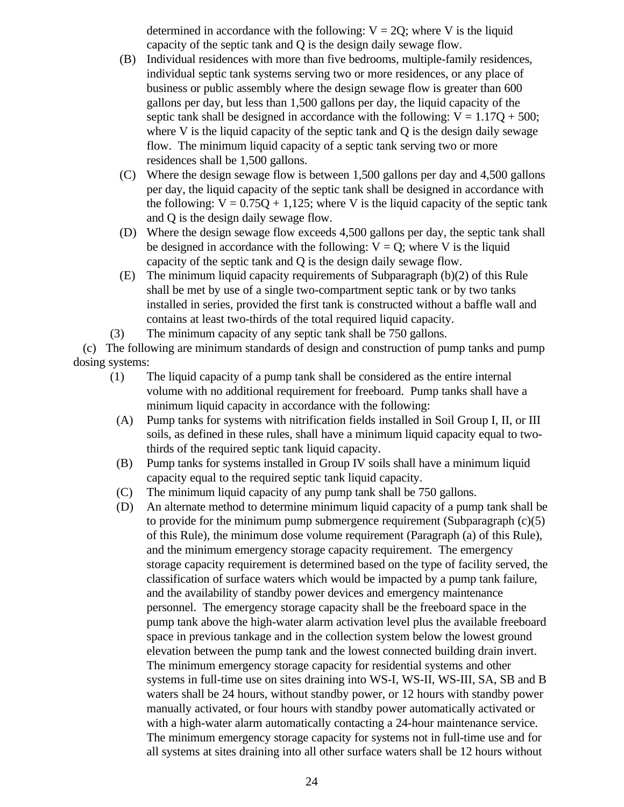determined in accordance with the following:  $V = 2Q$ ; where V is the liquid capacity of the septic tank and Q is the design daily sewage flow.

- (B) Individual residences with more than five bedrooms, multiple-family residences, individual septic tank systems serving two or more residences, or any place of business or public assembly where the design sewage flow is greater than 600 gallons per day, but less than 1,500 gallons per day, the liquid capacity of the septic tank shall be designed in accordance with the following:  $V = 1.17Q + 500$ ; where V is the liquid capacity of the septic tank and  $Q$  is the design daily sewage flow. The minimum liquid capacity of a septic tank serving two or more residences shall be 1,500 gallons.
- (C) Where the design sewage flow is between 1,500 gallons per day and 4,500 gallons per day, the liquid capacity of the septic tank shall be designed in accordance with the following:  $V = 0.75Q + 1.125$ ; where V is the liquid capacity of the septic tank and Q is the design daily sewage flow.
- (D) Where the design sewage flow exceeds 4,500 gallons per day, the septic tank shall be designed in accordance with the following:  $V = Q$ ; where V is the liquid capacity of the septic tank and Q is the design daily sewage flow.
- (E) The minimum liquid capacity requirements of Subparagraph (b)(2) of this Rule shall be met by use of a single two-compartment septic tank or by two tanks installed in series, provided the first tank is constructed without a baffle wall and contains at least two-thirds of the total required liquid capacity.
- (3) The minimum capacity of any septic tank shall be 750 gallons.

 (c) The following are minimum standards of design and construction of pump tanks and pump dosing systems:

- (1) The liquid capacity of a pump tank shall be considered as the entire internal volume with no additional requirement for freeboard. Pump tanks shall have a minimum liquid capacity in accordance with the following:
- (A) Pump tanks for systems with nitrification fields installed in Soil Group I, II, or III soils, as defined in these rules, shall have a minimum liquid capacity equal to twothirds of the required septic tank liquid capacity.
- (B) Pump tanks for systems installed in Group IV soils shall have a minimum liquid capacity equal to the required septic tank liquid capacity.
- (C) The minimum liquid capacity of any pump tank shall be 750 gallons.
- (D) An alternate method to determine minimum liquid capacity of a pump tank shall be to provide for the minimum pump submergence requirement (Subparagraph (c)(5) of this Rule), the minimum dose volume requirement (Paragraph (a) of this Rule), and the minimum emergency storage capacity requirement. The emergency storage capacity requirement is determined based on the type of facility served, the classification of surface waters which would be impacted by a pump tank failure, and the availability of standby power devices and emergency maintenance personnel. The emergency storage capacity shall be the freeboard space in the pump tank above the high-water alarm activation level plus the available freeboard space in previous tankage and in the collection system below the lowest ground elevation between the pump tank and the lowest connected building drain invert. The minimum emergency storage capacity for residential systems and other systems in full-time use on sites draining into WS-I, WS-II, WS-III, SA, SB and B waters shall be 24 hours, without standby power, or 12 hours with standby power manually activated, or four hours with standby power automatically activated or with a high-water alarm automatically contacting a 24-hour maintenance service. The minimum emergency storage capacity for systems not in full-time use and for all systems at sites draining into all other surface waters shall be 12 hours without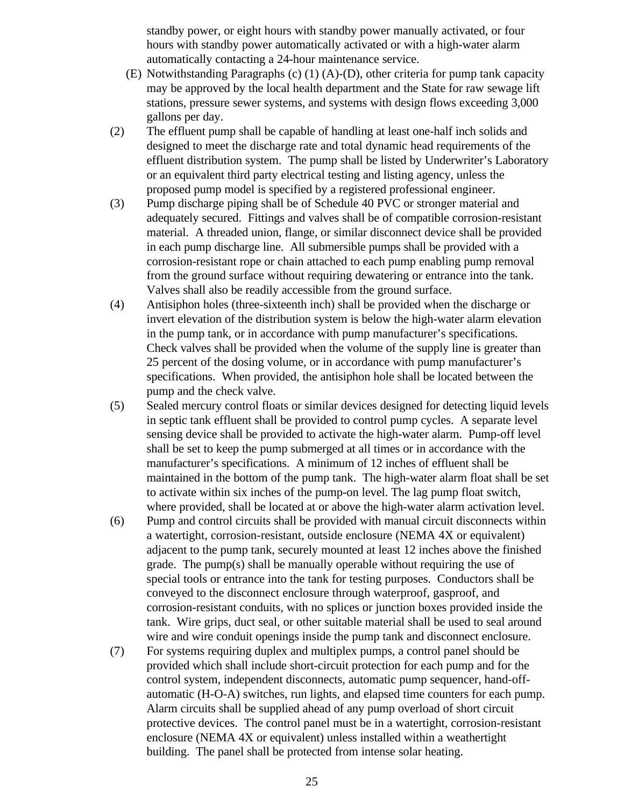standby power, or eight hours with standby power manually activated, or four hours with standby power automatically activated or with a high-water alarm automatically contacting a 24-hour maintenance service.

- (E) Notwithstanding Paragraphs (c) (1) (A)-(D), other criteria for pump tank capacity may be approved by the local health department and the State for raw sewage lift stations, pressure sewer systems, and systems with design flows exceeding 3,000 gallons per day.
- (2) The effluent pump shall be capable of handling at least one-half inch solids and designed to meet the discharge rate and total dynamic head requirements of the effluent distribution system. The pump shall be listed by Underwriter's Laboratory or an equivalent third party electrical testing and listing agency, unless the proposed pump model is specified by a registered professional engineer.
- (3) Pump discharge piping shall be of Schedule 40 PVC or stronger material and adequately secured. Fittings and valves shall be of compatible corrosion-resistant material. A threaded union, flange, or similar disconnect device shall be provided in each pump discharge line. All submersible pumps shall be provided with a corrosion-resistant rope or chain attached to each pump enabling pump removal from the ground surface without requiring dewatering or entrance into the tank. Valves shall also be readily accessible from the ground surface.
- (4) Antisiphon holes (three-sixteenth inch) shall be provided when the discharge or invert elevation of the distribution system is below the high-water alarm elevation in the pump tank, or in accordance with pump manufacturer's specifications. Check valves shall be provided when the volume of the supply line is greater than 25 percent of the dosing volume, or in accordance with pump manufacturer's specifications. When provided, the antisiphon hole shall be located between the pump and the check valve.
- (5) Sealed mercury control floats or similar devices designed for detecting liquid levels in septic tank effluent shall be provided to control pump cycles. A separate level sensing device shall be provided to activate the high-water alarm. Pump-off level shall be set to keep the pump submerged at all times or in accordance with the manufacturer's specifications. A minimum of 12 inches of effluent shall be maintained in the bottom of the pump tank. The high-water alarm float shall be set to activate within six inches of the pump-on level. The lag pump float switch, where provided, shall be located at or above the high-water alarm activation level.
- (6) Pump and control circuits shall be provided with manual circuit disconnects within a watertight, corrosion-resistant, outside enclosure (NEMA 4X or equivalent) adjacent to the pump tank, securely mounted at least 12 inches above the finished grade. The pump(s) shall be manually operable without requiring the use of special tools or entrance into the tank for testing purposes. Conductors shall be conveyed to the disconnect enclosure through waterproof, gasproof, and corrosion-resistant conduits, with no splices or junction boxes provided inside the tank. Wire grips, duct seal, or other suitable material shall be used to seal around wire and wire conduit openings inside the pump tank and disconnect enclosure.
- (7) For systems requiring duplex and multiplex pumps, a control panel should be provided which shall include short-circuit protection for each pump and for the control system, independent disconnects, automatic pump sequencer, hand-offautomatic (H-O-A) switches, run lights, and elapsed time counters for each pump. Alarm circuits shall be supplied ahead of any pump overload of short circuit protective devices. The control panel must be in a watertight, corrosion-resistant enclosure (NEMA 4X or equivalent) unless installed within a weathertight building. The panel shall be protected from intense solar heating.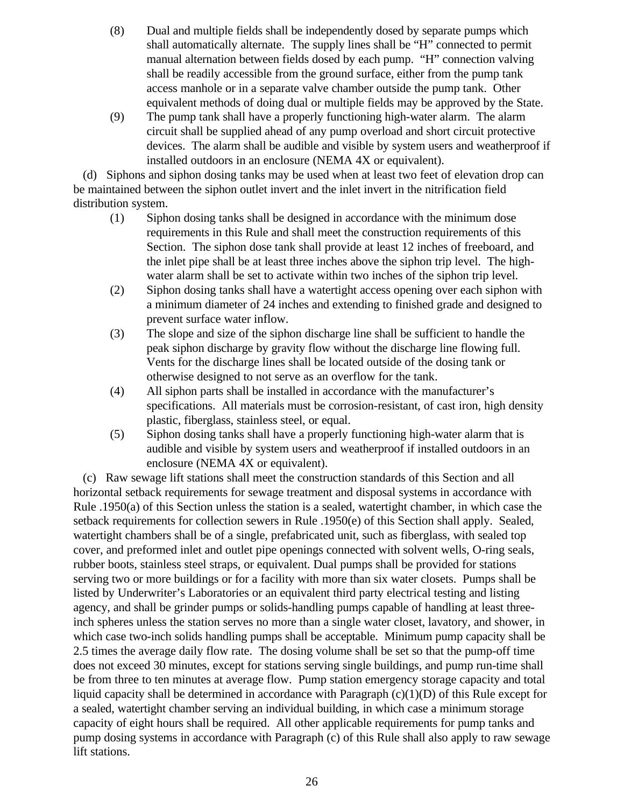- (8) Dual and multiple fields shall be independently dosed by separate pumps which shall automatically alternate. The supply lines shall be "H" connected to permit manual alternation between fields dosed by each pump. "H" connection valving shall be readily accessible from the ground surface, either from the pump tank access manhole or in a separate valve chamber outside the pump tank. Other equivalent methods of doing dual or multiple fields may be approved by the State.
- (9) The pump tank shall have a properly functioning high-water alarm. The alarm circuit shall be supplied ahead of any pump overload and short circuit protective devices. The alarm shall be audible and visible by system users and weatherproof if installed outdoors in an enclosure (NEMA 4X or equivalent).

 (d) Siphons and siphon dosing tanks may be used when at least two feet of elevation drop can be maintained between the siphon outlet invert and the inlet invert in the nitrification field distribution system.

- (1) Siphon dosing tanks shall be designed in accordance with the minimum dose requirements in this Rule and shall meet the construction requirements of this Section. The siphon dose tank shall provide at least 12 inches of freeboard, and the inlet pipe shall be at least three inches above the siphon trip level. The highwater alarm shall be set to activate within two inches of the siphon trip level.
- (2) Siphon dosing tanks shall have a watertight access opening over each siphon with a minimum diameter of 24 inches and extending to finished grade and designed to prevent surface water inflow.
- (3) The slope and size of the siphon discharge line shall be sufficient to handle the peak siphon discharge by gravity flow without the discharge line flowing full. Vents for the discharge lines shall be located outside of the dosing tank or otherwise designed to not serve as an overflow for the tank.
- (4) All siphon parts shall be installed in accordance with the manufacturer's specifications. All materials must be corrosion-resistant, of cast iron, high density plastic, fiberglass, stainless steel, or equal.
- (5) Siphon dosing tanks shall have a properly functioning high-water alarm that is audible and visible by system users and weatherproof if installed outdoors in an enclosure (NEMA 4X or equivalent).

 (c) Raw sewage lift stations shall meet the construction standards of this Section and all horizontal setback requirements for sewage treatment and disposal systems in accordance with Rule .1950(a) of this Section unless the station is a sealed, watertight chamber, in which case the setback requirements for collection sewers in Rule .1950(e) of this Section shall apply. Sealed, watertight chambers shall be of a single, prefabricated unit, such as fiberglass, with sealed top cover, and preformed inlet and outlet pipe openings connected with solvent wells, O-ring seals, rubber boots, stainless steel straps, or equivalent. Dual pumps shall be provided for stations serving two or more buildings or for a facility with more than six water closets. Pumps shall be listed by Underwriter's Laboratories or an equivalent third party electrical testing and listing agency, and shall be grinder pumps or solids-handling pumps capable of handling at least threeinch spheres unless the station serves no more than a single water closet, lavatory, and shower, in which case two-inch solids handling pumps shall be acceptable. Minimum pump capacity shall be 2.5 times the average daily flow rate. The dosing volume shall be set so that the pump-off time does not exceed 30 minutes, except for stations serving single buildings, and pump run-time shall be from three to ten minutes at average flow. Pump station emergency storage capacity and total liquid capacity shall be determined in accordance with Paragraph (c)(1)(D) of this Rule except for a sealed, watertight chamber serving an individual building, in which case a minimum storage capacity of eight hours shall be required. All other applicable requirements for pump tanks and pump dosing systems in accordance with Paragraph (c) of this Rule shall also apply to raw sewage lift stations.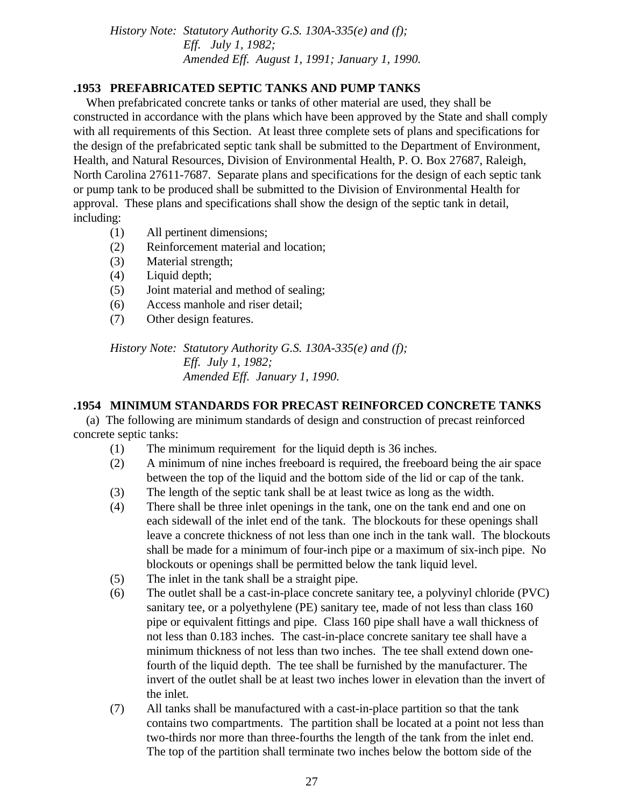*History Note: Statutory Authority G.S. 130A-335(e) and (f); Eff. July 1, 1982; Amended Eff. August 1, 1991; January 1, 1990.*

### **.1953 PREFABRICATED SEPTIC TANKS AND PUMP TANKS**

 When prefabricated concrete tanks or tanks of other material are used, they shall be constructed in accordance with the plans which have been approved by the State and shall comply with all requirements of this Section. At least three complete sets of plans and specifications for the design of the prefabricated septic tank shall be submitted to the Department of Environment, Health, and Natural Resources, Division of Environmental Health, P. O. Box 27687, Raleigh, North Carolina 27611-7687. Separate plans and specifications for the design of each septic tank or pump tank to be produced shall be submitted to the Division of Environmental Health for approval. These plans and specifications shall show the design of the septic tank in detail, including:

- (1) All pertinent dimensions;
- (2) Reinforcement material and location;
- (3) Material strength;
- (4) Liquid depth;
- (5) Joint material and method of sealing;
- (6) Access manhole and riser detail;
- (7) Other design features.

*History Note: Statutory Authority G.S. 130A-335(e) and (f); Eff. July 1, 1982; Amended Eff. January 1, 1990.*

## **.1954 MINIMUM STANDARDS FOR PRECAST REINFORCED CONCRETE TANKS**

 (a) The following are minimum standards of design and construction of precast reinforced concrete septic tanks:

- (1) The minimum requirement for the liquid depth is 36 inches.
- (2) A minimum of nine inches freeboard is required, the freeboard being the air space between the top of the liquid and the bottom side of the lid or cap of the tank.
- (3) The length of the septic tank shall be at least twice as long as the width.
- (4) There shall be three inlet openings in the tank, one on the tank end and one on each sidewall of the inlet end of the tank. The blockouts for these openings shall leave a concrete thickness of not less than one inch in the tank wall. The blockouts shall be made for a minimum of four-inch pipe or a maximum of six-inch pipe. No blockouts or openings shall be permitted below the tank liquid level.
- (5) The inlet in the tank shall be a straight pipe.
- (6) The outlet shall be a cast-in-place concrete sanitary tee, a polyvinyl chloride (PVC) sanitary tee, or a polyethylene (PE) sanitary tee, made of not less than class 160 pipe or equivalent fittings and pipe. Class 160 pipe shall have a wall thickness of not less than 0.183 inches. The cast-in-place concrete sanitary tee shall have a minimum thickness of not less than two inches. The tee shall extend down onefourth of the liquid depth. The tee shall be furnished by the manufacturer. The invert of the outlet shall be at least two inches lower in elevation than the invert of the inlet.
- (7) All tanks shall be manufactured with a cast-in-place partition so that the tank contains two compartments. The partition shall be located at a point not less than two-thirds nor more than three-fourths the length of the tank from the inlet end. The top of the partition shall terminate two inches below the bottom side of the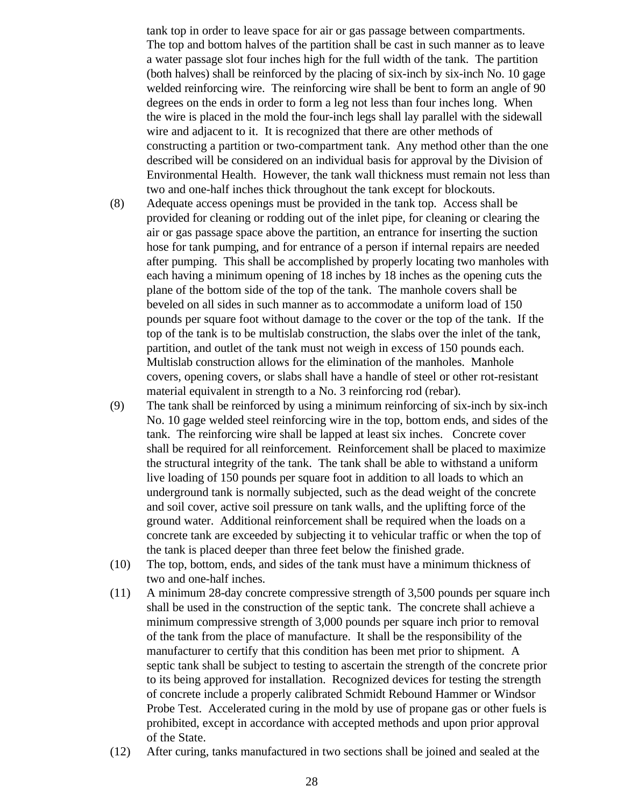tank top in order to leave space for air or gas passage between compartments. The top and bottom halves of the partition shall be cast in such manner as to leave a water passage slot four inches high for the full width of the tank. The partition (both halves) shall be reinforced by the placing of six-inch by six-inch No. 10 gage welded reinforcing wire. The reinforcing wire shall be bent to form an angle of 90 degrees on the ends in order to form a leg not less than four inches long. When the wire is placed in the mold the four-inch legs shall lay parallel with the sidewall wire and adjacent to it. It is recognized that there are other methods of constructing a partition or two-compartment tank. Any method other than the one described will be considered on an individual basis for approval by the Division of Environmental Health. However, the tank wall thickness must remain not less than two and one-half inches thick throughout the tank except for blockouts.

- (8) Adequate access openings must be provided in the tank top. Access shall be provided for cleaning or rodding out of the inlet pipe, for cleaning or clearing the air or gas passage space above the partition, an entrance for inserting the suction hose for tank pumping, and for entrance of a person if internal repairs are needed after pumping. This shall be accomplished by properly locating two manholes with each having a minimum opening of 18 inches by 18 inches as the opening cuts the plane of the bottom side of the top of the tank. The manhole covers shall be beveled on all sides in such manner as to accommodate a uniform load of 150 pounds per square foot without damage to the cover or the top of the tank. If the top of the tank is to be multislab construction, the slabs over the inlet of the tank, partition, and outlet of the tank must not weigh in excess of 150 pounds each. Multislab construction allows for the elimination of the manholes. Manhole covers, opening covers, or slabs shall have a handle of steel or other rot-resistant material equivalent in strength to a No. 3 reinforcing rod (rebar).
- (9) The tank shall be reinforced by using a minimum reinforcing of six-inch by six-inch No. 10 gage welded steel reinforcing wire in the top, bottom ends, and sides of the tank. The reinforcing wire shall be lapped at least six inches. Concrete cover shall be required for all reinforcement. Reinforcement shall be placed to maximize the structural integrity of the tank. The tank shall be able to withstand a uniform live loading of 150 pounds per square foot in addition to all loads to which an underground tank is normally subjected, such as the dead weight of the concrete and soil cover, active soil pressure on tank walls, and the uplifting force of the ground water. Additional reinforcement shall be required when the loads on a concrete tank are exceeded by subjecting it to vehicular traffic or when the top of the tank is placed deeper than three feet below the finished grade.
- (10) The top, bottom, ends, and sides of the tank must have a minimum thickness of two and one-half inches.
- (11) A minimum 28-day concrete compressive strength of 3,500 pounds per square inch shall be used in the construction of the septic tank. The concrete shall achieve a minimum compressive strength of 3,000 pounds per square inch prior to removal of the tank from the place of manufacture. It shall be the responsibility of the manufacturer to certify that this condition has been met prior to shipment. A septic tank shall be subject to testing to ascertain the strength of the concrete prior to its being approved for installation. Recognized devices for testing the strength of concrete include a properly calibrated Schmidt Rebound Hammer or Windsor Probe Test. Accelerated curing in the mold by use of propane gas or other fuels is prohibited, except in accordance with accepted methods and upon prior approval of the State.
- (12) After curing, tanks manufactured in two sections shall be joined and sealed at the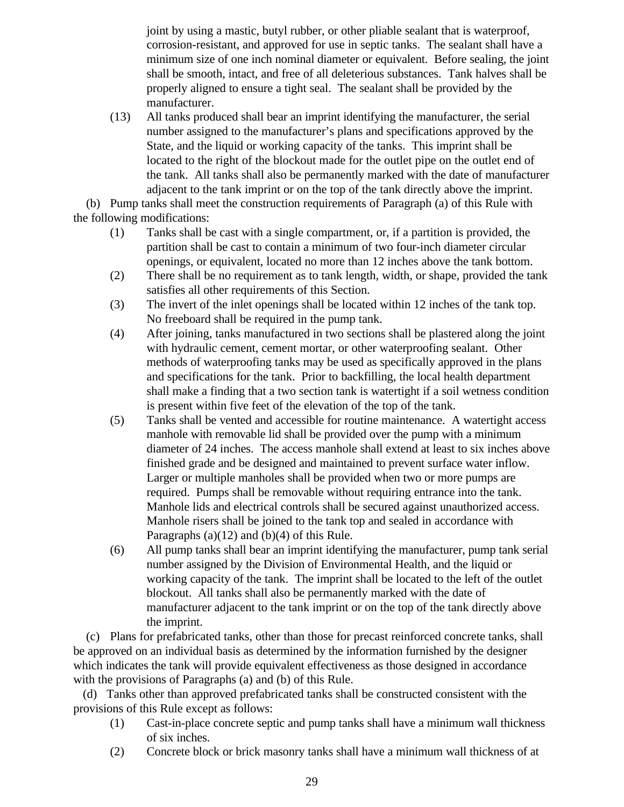joint by using a mastic, butyl rubber, or other pliable sealant that is waterproof, corrosion-resistant, and approved for use in septic tanks. The sealant shall have a minimum size of one inch nominal diameter or equivalent. Before sealing, the joint shall be smooth, intact, and free of all deleterious substances. Tank halves shall be properly aligned to ensure a tight seal. The sealant shall be provided by the manufacturer.

(13) All tanks produced shall bear an imprint identifying the manufacturer, the serial number assigned to the manufacturer's plans and specifications approved by the State, and the liquid or working capacity of the tanks. This imprint shall be located to the right of the blockout made for the outlet pipe on the outlet end of the tank. All tanks shall also be permanently marked with the date of manufacturer adjacent to the tank imprint or on the top of the tank directly above the imprint.

 (b) Pump tanks shall meet the construction requirements of Paragraph (a) of this Rule with the following modifications:

- (1) Tanks shall be cast with a single compartment, or, if a partition is provided, the partition shall be cast to contain a minimum of two four-inch diameter circular openings, or equivalent, located no more than 12 inches above the tank bottom.
- (2) There shall be no requirement as to tank length, width, or shape, provided the tank satisfies all other requirements of this Section.
- (3) The invert of the inlet openings shall be located within 12 inches of the tank top. No freeboard shall be required in the pump tank.
- (4) After joining, tanks manufactured in two sections shall be plastered along the joint with hydraulic cement, cement mortar, or other waterproofing sealant. Other methods of waterproofing tanks may be used as specifically approved in the plans and specifications for the tank. Prior to backfilling, the local health department shall make a finding that a two section tank is watertight if a soil wetness condition is present within five feet of the elevation of the top of the tank.
- (5) Tanks shall be vented and accessible for routine maintenance. A watertight access manhole with removable lid shall be provided over the pump with a minimum diameter of 24 inches. The access manhole shall extend at least to six inches above finished grade and be designed and maintained to prevent surface water inflow. Larger or multiple manholes shall be provided when two or more pumps are required. Pumps shall be removable without requiring entrance into the tank. Manhole lids and electrical controls shall be secured against unauthorized access. Manhole risers shall be joined to the tank top and sealed in accordance with Paragraphs (a)(12) and (b)(4) of this Rule.
- (6) All pump tanks shall bear an imprint identifying the manufacturer, pump tank serial number assigned by the Division of Environmental Health, and the liquid or working capacity of the tank. The imprint shall be located to the left of the outlet blockout. All tanks shall also be permanently marked with the date of manufacturer adjacent to the tank imprint or on the top of the tank directly above the imprint.

 (c) Plans for prefabricated tanks, other than those for precast reinforced concrete tanks, shall be approved on an individual basis as determined by the information furnished by the designer which indicates the tank will provide equivalent effectiveness as those designed in accordance with the provisions of Paragraphs (a) and (b) of this Rule.

 (d) Tanks other than approved prefabricated tanks shall be constructed consistent with the provisions of this Rule except as follows:

- (1) Cast-in-place concrete septic and pump tanks shall have a minimum wall thickness of six inches.
- (2) Concrete block or brick masonry tanks shall have a minimum wall thickness of at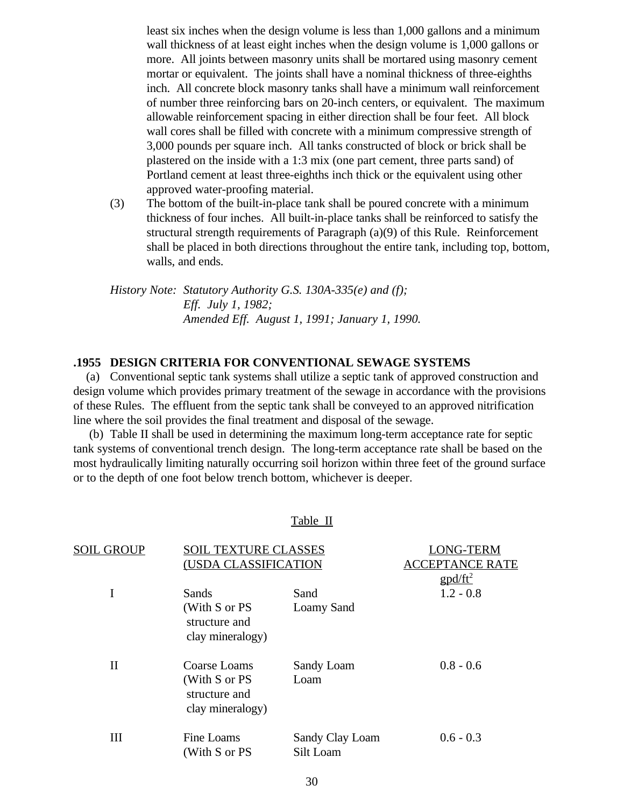least six inches when the design volume is less than 1,000 gallons and a minimum wall thickness of at least eight inches when the design volume is 1,000 gallons or more. All joints between masonry units shall be mortared using masonry cement mortar or equivalent. The joints shall have a nominal thickness of three-eighths inch. All concrete block masonry tanks shall have a minimum wall reinforcement of number three reinforcing bars on 20-inch centers, or equivalent. The maximum allowable reinforcement spacing in either direction shall be four feet. All block wall cores shall be filled with concrete with a minimum compressive strength of 3,000 pounds per square inch. All tanks constructed of block or brick shall be plastered on the inside with a 1:3 mix (one part cement, three parts sand) of Portland cement at least three-eighths inch thick or the equivalent using other approved water-proofing material.

(3) The bottom of the built-in-place tank shall be poured concrete with a minimum thickness of four inches. All built-in-place tanks shall be reinforced to satisfy the structural strength requirements of Paragraph (a)(9) of this Rule. Reinforcement shall be placed in both directions throughout the entire tank, including top, bottom, walls, and ends.

*History Note: Statutory Authority G.S. 130A-335(e) and (f); Eff. July 1, 1982; Amended Eff. August 1, 1991; January 1, 1990.*

#### **.1955 DESIGN CRITERIA FOR CONVENTIONAL SEWAGE SYSTEMS**

 (a) Conventional septic tank systems shall utilize a septic tank of approved construction and design volume which provides primary treatment of the sewage in accordance with the provisions of these Rules. The effluent from the septic tank shall be conveyed to an approved nitrification line where the soil provides the final treatment and disposal of the sewage.

 (b) Table II shall be used in determining the maximum long-term acceptance rate for septic tank systems of conventional trench design. The long-term acceptance rate shall be based on the most hydraulically limiting naturally occurring soil horizon within three feet of the ground surface or to the depth of one foot below trench bottom, whichever is deeper.

#### Table II

| SOIL         | <b>TEXTURE CLASSES</b>                                             |                              | (USDA CLASSIFICATION |  | )NG-TERM<br><b>EPTANCE RATE</b> |
|--------------|--------------------------------------------------------------------|------------------------------|----------------------|--|---------------------------------|
|              |                                                                    |                              | $g p d / f t^2$      |  |                                 |
| I            | Sands                                                              | Sand                         | $1.2 - 0.8$          |  |                                 |
|              | (With S or PS<br>structure and<br>clay mineralogy)                 | Loamy Sand                   |                      |  |                                 |
| $\mathbf{I}$ | Coarse Loams<br>(With S or PS<br>structure and<br>clay mineralogy) | Sandy Loam<br>Loam           | $0.8 - 0.6$          |  |                                 |
| Ш            | Fine Loams<br>(With S or PS                                        | Sandy Clay Loam<br>Silt Loam | $0.6 - 0.3$          |  |                                 |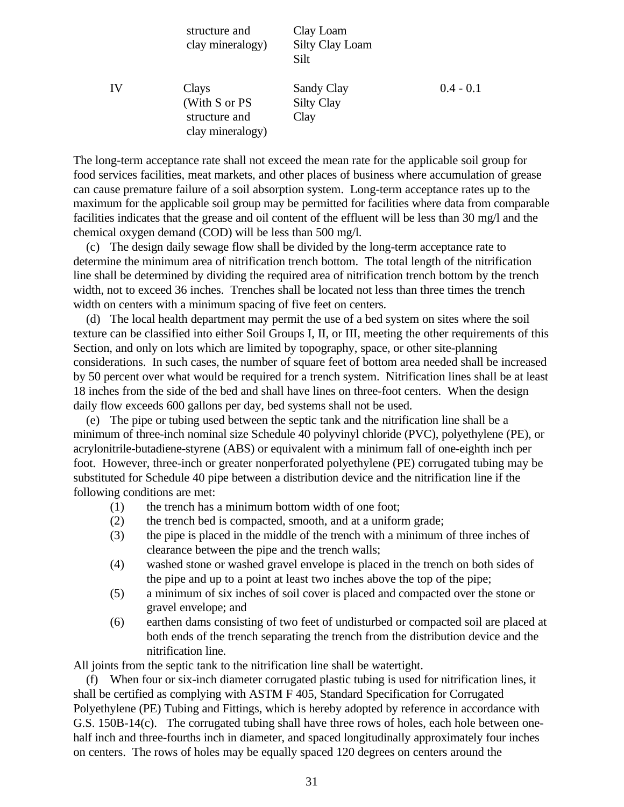|    | structure and<br>clay mineralogy)                           | Clay Loam<br><b>Silty Clay Loam</b><br>Silt |             |
|----|-------------------------------------------------------------|---------------------------------------------|-------------|
| IV | Clays<br>(With S or PS<br>structure and<br>clay mineralogy) | Sandy Clay<br><b>Silty Clay</b><br>Clay     | $0.4 - 0.1$ |

The long-term acceptance rate shall not exceed the mean rate for the applicable soil group for food services facilities, meat markets, and other places of business where accumulation of grease can cause premature failure of a soil absorption system. Long-term acceptance rates up to the maximum for the applicable soil group may be permitted for facilities where data from comparable facilities indicates that the grease and oil content of the effluent will be less than 30 mg/l and the chemical oxygen demand (COD) will be less than 500 mg/l.

 (c) The design daily sewage flow shall be divided by the long-term acceptance rate to determine the minimum area of nitrification trench bottom. The total length of the nitrification line shall be determined by dividing the required area of nitrification trench bottom by the trench width, not to exceed 36 inches. Trenches shall be located not less than three times the trench width on centers with a minimum spacing of five feet on centers.

 (d) The local health department may permit the use of a bed system on sites where the soil texture can be classified into either Soil Groups I, II, or III, meeting the other requirements of this Section, and only on lots which are limited by topography, space, or other site-planning considerations. In such cases, the number of square feet of bottom area needed shall be increased by 50 percent over what would be required for a trench system. Nitrification lines shall be at least 18 inches from the side of the bed and shall have lines on three-foot centers. When the design daily flow exceeds 600 gallons per day, bed systems shall not be used.

 (e) The pipe or tubing used between the septic tank and the nitrification line shall be a minimum of three-inch nominal size Schedule 40 polyvinyl chloride (PVC), polyethylene (PE), or acrylonitrile-butadiene-styrene (ABS) or equivalent with a minimum fall of one-eighth inch per foot. However, three-inch or greater nonperforated polyethylene (PE) corrugated tubing may be substituted for Schedule 40 pipe between a distribution device and the nitrification line if the following conditions are met:

- (1) the trench has a minimum bottom width of one foot;
- (2) the trench bed is compacted, smooth, and at a uniform grade;
- (3) the pipe is placed in the middle of the trench with a minimum of three inches of clearance between the pipe and the trench walls;
- (4) washed stone or washed gravel envelope is placed in the trench on both sides of the pipe and up to a point at least two inches above the top of the pipe;
- (5) a minimum of six inches of soil cover is placed and compacted over the stone or gravel envelope; and
- (6) earthen dams consisting of two feet of undisturbed or compacted soil are placed at both ends of the trench separating the trench from the distribution device and the nitrification line.

All joints from the septic tank to the nitrification line shall be watertight.

 (f) When four or six-inch diameter corrugated plastic tubing is used for nitrification lines, it shall be certified as complying with ASTM F 405, Standard Specification for Corrugated Polyethylene (PE) Tubing and Fittings, which is hereby adopted by reference in accordance with G.S. 150B-14(c). The corrugated tubing shall have three rows of holes, each hole between onehalf inch and three-fourths inch in diameter, and spaced longitudinally approximately four inches on centers. The rows of holes may be equally spaced 120 degrees on centers around the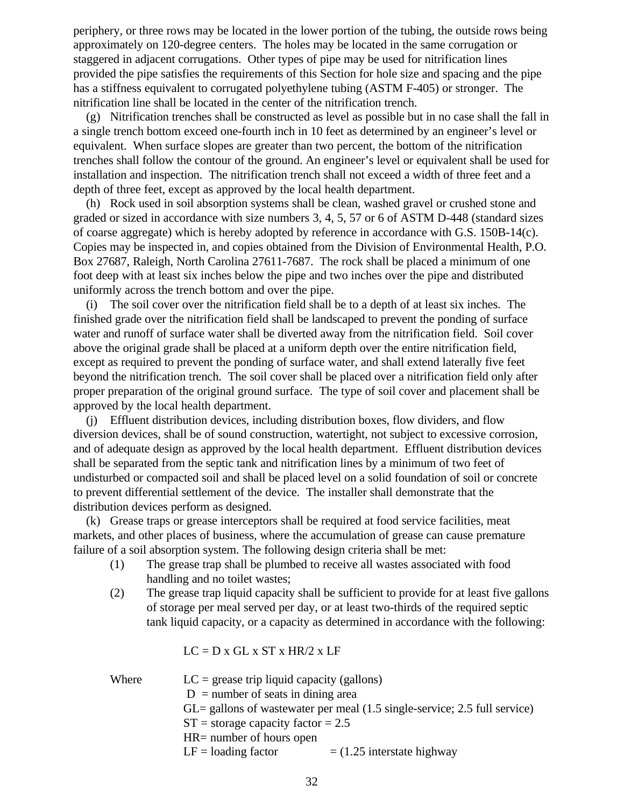periphery, or three rows may be located in the lower portion of the tubing, the outside rows being approximately on 120-degree centers. The holes may be located in the same corrugation or staggered in adjacent corrugations. Other types of pipe may be used for nitrification lines provided the pipe satisfies the requirements of this Section for hole size and spacing and the pipe has a stiffness equivalent to corrugated polyethylene tubing (ASTM F-405) or stronger. The nitrification line shall be located in the center of the nitrification trench.

 (g) Nitrification trenches shall be constructed as level as possible but in no case shall the fall in a single trench bottom exceed one-fourth inch in 10 feet as determined by an engineer's level or equivalent. When surface slopes are greater than two percent, the bottom of the nitrification trenches shall follow the contour of the ground. An engineer's level or equivalent shall be used for installation and inspection. The nitrification trench shall not exceed a width of three feet and a depth of three feet, except as approved by the local health department.

 (h) Rock used in soil absorption systems shall be clean, washed gravel or crushed stone and graded or sized in accordance with size numbers 3, 4, 5, 57 or 6 of ASTM D-448 (standard sizes of coarse aggregate) which is hereby adopted by reference in accordance with G.S. 150B-14(c). Copies may be inspected in, and copies obtained from the Division of Environmental Health, P.O. Box 27687, Raleigh, North Carolina 27611-7687. The rock shall be placed a minimum of one foot deep with at least six inches below the pipe and two inches over the pipe and distributed uniformly across the trench bottom and over the pipe.

 (i) The soil cover over the nitrification field shall be to a depth of at least six inches. The finished grade over the nitrification field shall be landscaped to prevent the ponding of surface water and runoff of surface water shall be diverted away from the nitrification field. Soil cover above the original grade shall be placed at a uniform depth over the entire nitrification field, except as required to prevent the ponding of surface water, and shall extend laterally five feet beyond the nitrification trench. The soil cover shall be placed over a nitrification field only after proper preparation of the original ground surface. The type of soil cover and placement shall be approved by the local health department.

 (j) Effluent distribution devices, including distribution boxes, flow dividers, and flow diversion devices, shall be of sound construction, watertight, not subject to excessive corrosion, and of adequate design as approved by the local health department. Effluent distribution devices shall be separated from the septic tank and nitrification lines by a minimum of two feet of undisturbed or compacted soil and shall be placed level on a solid foundation of soil or concrete to prevent differential settlement of the device. The installer shall demonstrate that the distribution devices perform as designed.

 (k) Grease traps or grease interceptors shall be required at food service facilities, meat markets, and other places of business, where the accumulation of grease can cause premature failure of a soil absorption system. The following design criteria shall be met:

- (1) The grease trap shall be plumbed to receive all wastes associated with food handling and no toilet wastes;
- (2) The grease trap liquid capacity shall be sufficient to provide for at least five gallons of storage per meal served per day, or at least two-thirds of the required septic tank liquid capacity, or a capacity as determined in accordance with the following:

 $LC = D x GL x ST x HR/2 x LF$ 

| Where | $LC =$ grease trip liquid capacity (gallons)          |                                                                              |  |  |
|-------|-------------------------------------------------------|------------------------------------------------------------------------------|--|--|
|       | $D =$ number of seats in dining area                  |                                                                              |  |  |
|       |                                                       | $GL =$ gallons of wastewater per meal (1.5 single-service; 2.5 full service) |  |  |
|       | $ST =$ storage capacity factor = 2.5                  |                                                                              |  |  |
|       | $HR =$ number of hours open                           |                                                                              |  |  |
|       | $LF =$ loading factor<br>$=$ (1.25 interstate highway |                                                                              |  |  |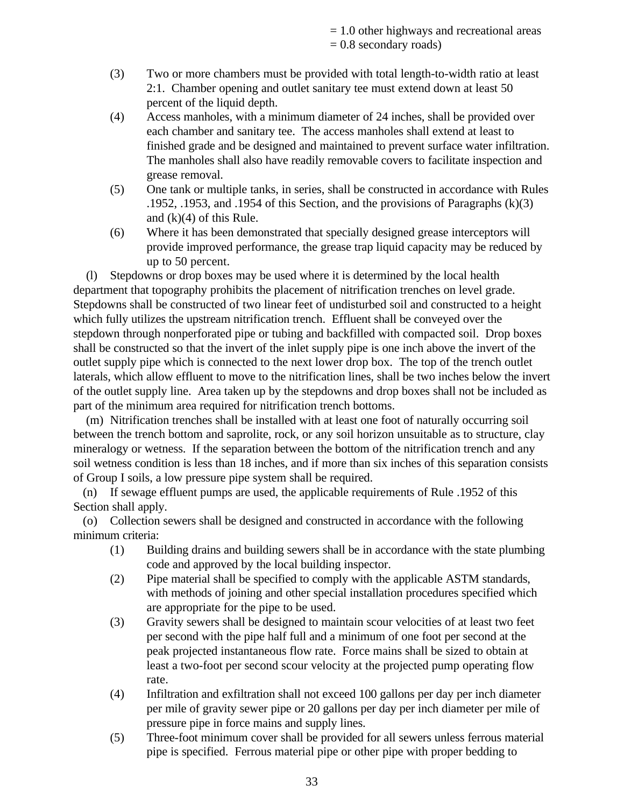= 1.0 other highways and recreational areas  $= 0.8$  secondary roads)

- (3) Two or more chambers must be provided with total length-to-width ratio at least 2:1. Chamber opening and outlet sanitary tee must extend down at least 50 percent of the liquid depth.
- (4) Access manholes, with a minimum diameter of 24 inches, shall be provided over each chamber and sanitary tee. The access manholes shall extend at least to finished grade and be designed and maintained to prevent surface water infiltration. The manholes shall also have readily removable covers to facilitate inspection and grease removal.
- (5) One tank or multiple tanks, in series, shall be constructed in accordance with Rules .1952, .1953, and .1954 of this Section, and the provisions of Paragraphs (k)(3) and  $(k)(4)$  of this Rule.
- (6) Where it has been demonstrated that specially designed grease interceptors will provide improved performance, the grease trap liquid capacity may be reduced by up to 50 percent.

 (l) Stepdowns or drop boxes may be used where it is determined by the local health department that topography prohibits the placement of nitrification trenches on level grade. Stepdowns shall be constructed of two linear feet of undisturbed soil and constructed to a height which fully utilizes the upstream nitrification trench. Effluent shall be conveyed over the stepdown through nonperforated pipe or tubing and backfilled with compacted soil. Drop boxes shall be constructed so that the invert of the inlet supply pipe is one inch above the invert of the outlet supply pipe which is connected to the next lower drop box. The top of the trench outlet laterals, which allow effluent to move to the nitrification lines, shall be two inches below the invert of the outlet supply line. Area taken up by the stepdowns and drop boxes shall not be included as part of the minimum area required for nitrification trench bottoms.

 (m) Nitrification trenches shall be installed with at least one foot of naturally occurring soil between the trench bottom and saprolite, rock, or any soil horizon unsuitable as to structure, clay mineralogy or wetness. If the separation between the bottom of the nitrification trench and any soil wetness condition is less than 18 inches, and if more than six inches of this separation consists of Group I soils, a low pressure pipe system shall be required.

 (n) If sewage effluent pumps are used, the applicable requirements of Rule .1952 of this Section shall apply.

 (o) Collection sewers shall be designed and constructed in accordance with the following minimum criteria:

- (1) Building drains and building sewers shall be in accordance with the state plumbing code and approved by the local building inspector.
- (2) Pipe material shall be specified to comply with the applicable ASTM standards, with methods of joining and other special installation procedures specified which are appropriate for the pipe to be used.
- (3) Gravity sewers shall be designed to maintain scour velocities of at least two feet per second with the pipe half full and a minimum of one foot per second at the peak projected instantaneous flow rate. Force mains shall be sized to obtain at least a two-foot per second scour velocity at the projected pump operating flow rate.
- (4) Infiltration and exfiltration shall not exceed 100 gallons per day per inch diameter per mile of gravity sewer pipe or 20 gallons per day per inch diameter per mile of pressure pipe in force mains and supply lines.
- (5) Three-foot minimum cover shall be provided for all sewers unless ferrous material pipe is specified. Ferrous material pipe or other pipe with proper bedding to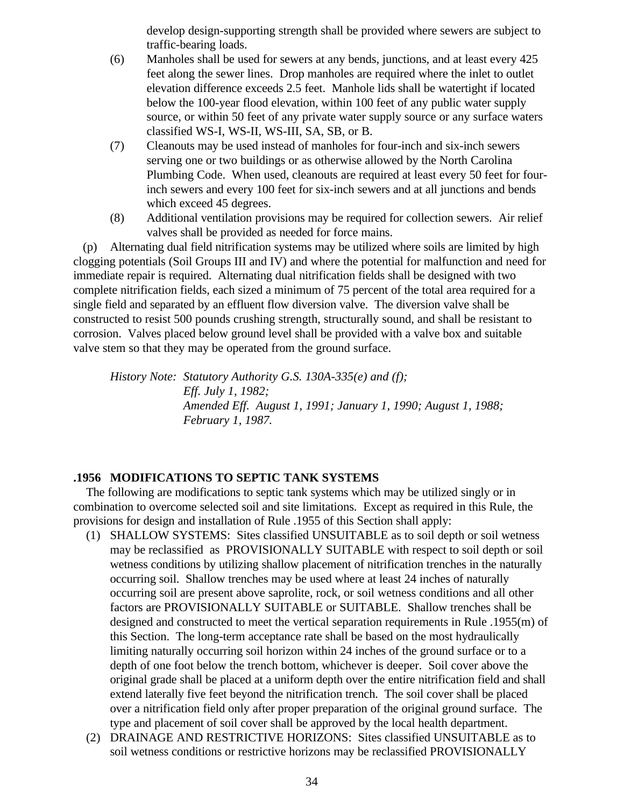develop design-supporting strength shall be provided where sewers are subject to traffic-bearing loads.

- (6) Manholes shall be used for sewers at any bends, junctions, and at least every 425 feet along the sewer lines. Drop manholes are required where the inlet to outlet elevation difference exceeds 2.5 feet. Manhole lids shall be watertight if located below the 100-year flood elevation, within 100 feet of any public water supply source, or within 50 feet of any private water supply source or any surface waters classified WS-I, WS-II, WS-III, SA, SB, or B.
- (7) Cleanouts may be used instead of manholes for four-inch and six-inch sewers serving one or two buildings or as otherwise allowed by the North Carolina Plumbing Code. When used, cleanouts are required at least every 50 feet for fourinch sewers and every 100 feet for six-inch sewers and at all junctions and bends which exceed 45 degrees.
- (8) Additional ventilation provisions may be required for collection sewers. Air relief valves shall be provided as needed for force mains.

 (p) Alternating dual field nitrification systems may be utilized where soils are limited by high clogging potentials (Soil Groups III and IV) and where the potential for malfunction and need for immediate repair is required. Alternating dual nitrification fields shall be designed with two complete nitrification fields, each sized a minimum of 75 percent of the total area required for a single field and separated by an effluent flow diversion valve. The diversion valve shall be constructed to resist 500 pounds crushing strength, structurally sound, and shall be resistant to corrosion. Valves placed below ground level shall be provided with a valve box and suitable valve stem so that they may be operated from the ground surface.

*History Note: Statutory Authority G.S. 130A-335(e) and (f); Eff. July 1, 1982; Amended Eff. August 1, 1991; January 1, 1990; August 1, 1988; February 1, 1987.*

### **.1956 MODIFICATIONS TO SEPTIC TANK SYSTEMS**

 The following are modifications to septic tank systems which may be utilized singly or in combination to overcome selected soil and site limitations. Except as required in this Rule, the provisions for design and installation of Rule .1955 of this Section shall apply:

- (1) SHALLOW SYSTEMS: Sites classified UNSUITABLE as to soil depth or soil wetness may be reclassified as PROVISIONALLY SUITABLE with respect to soil depth or soil wetness conditions by utilizing shallow placement of nitrification trenches in the naturally occurring soil. Shallow trenches may be used where at least 24 inches of naturally occurring soil are present above saprolite, rock, or soil wetness conditions and all other factors are PROVISIONALLY SUITABLE or SUITABLE. Shallow trenches shall be designed and constructed to meet the vertical separation requirements in Rule .1955(m) of this Section. The long-term acceptance rate shall be based on the most hydraulically limiting naturally occurring soil horizon within 24 inches of the ground surface or to a depth of one foot below the trench bottom, whichever is deeper. Soil cover above the original grade shall be placed at a uniform depth over the entire nitrification field and shall extend laterally five feet beyond the nitrification trench. The soil cover shall be placed over a nitrification field only after proper preparation of the original ground surface. The type and placement of soil cover shall be approved by the local health department.
- (2) DRAINAGE AND RESTRICTIVE HORIZONS: Sites classified UNSUITABLE as to soil wetness conditions or restrictive horizons may be reclassified PROVISIONALLY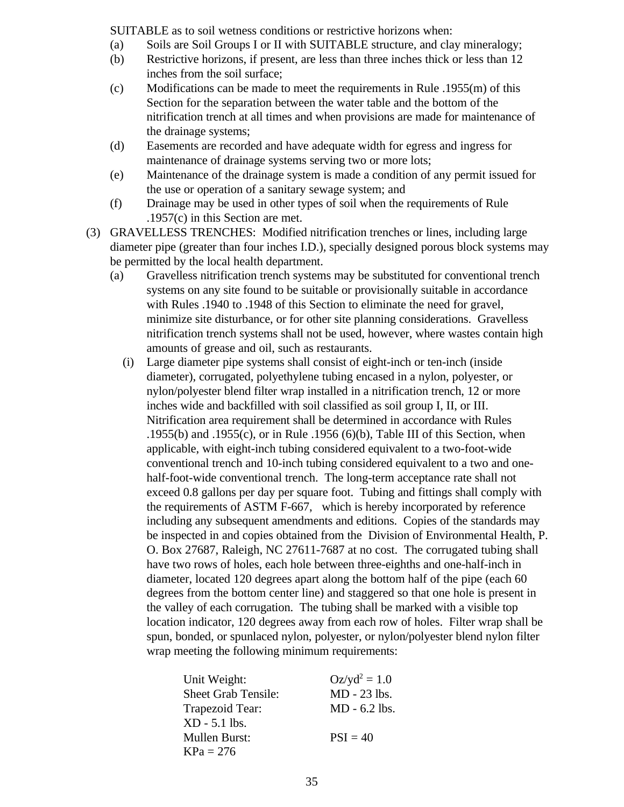SUITABLE as to soil wetness conditions or restrictive horizons when:

- (a) Soils are Soil Groups I or II with SUITABLE structure, and clay mineralogy;
- (b) Restrictive horizons, if present, are less than three inches thick or less than 12 inches from the soil surface;
- (c) Modifications can be made to meet the requirements in Rule .1955(m) of this Section for the separation between the water table and the bottom of the nitrification trench at all times and when provisions are made for maintenance of the drainage systems;
- (d) Easements are recorded and have adequate width for egress and ingress for maintenance of drainage systems serving two or more lots;
- (e) Maintenance of the drainage system is made a condition of any permit issued for the use or operation of a sanitary sewage system; and
- (f) Drainage may be used in other types of soil when the requirements of Rule .1957(c) in this Section are met.
- (3) GRAVELLESS TRENCHES: Modified nitrification trenches or lines, including large diameter pipe (greater than four inches I.D.), specially designed porous block systems may be permitted by the local health department.
	- (a) Gravelless nitrification trench systems may be substituted for conventional trench systems on any site found to be suitable or provisionally suitable in accordance with Rules .1940 to .1948 of this Section to eliminate the need for gravel, minimize site disturbance, or for other site planning considerations. Gravelless nitrification trench systems shall not be used, however, where wastes contain high amounts of grease and oil, such as restaurants.
		- (i) Large diameter pipe systems shall consist of eight-inch or ten-inch (inside diameter), corrugated, polyethylene tubing encased in a nylon, polyester, or nylon/polyester blend filter wrap installed in a nitrification trench, 12 or more inches wide and backfilled with soil classified as soil group I, II, or III. Nitrification area requirement shall be determined in accordance with Rules .1955(b) and .1955(c), or in Rule .1956 (6)(b), Table III of this Section, when applicable, with eight-inch tubing considered equivalent to a two-foot-wide conventional trench and 10-inch tubing considered equivalent to a two and onehalf-foot-wide conventional trench. The long-term acceptance rate shall not exceed 0.8 gallons per day per square foot. Tubing and fittings shall comply with the requirements of ASTM F-667, which is hereby incorporated by reference including any subsequent amendments and editions. Copies of the standards may be inspected in and copies obtained from the Division of Environmental Health, P. O. Box 27687, Raleigh, NC 27611-7687 at no cost. The corrugated tubing shall have two rows of holes, each hole between three-eighths and one-half-inch in diameter, located 120 degrees apart along the bottom half of the pipe (each 60 degrees from the bottom center line) and staggered so that one hole is present in the valley of each corrugation. The tubing shall be marked with a visible top location indicator, 120 degrees away from each row of holes. Filter wrap shall be spun, bonded, or spunlaced nylon, polyester, or nylon/polyester blend nylon filter wrap meeting the following minimum requirements:

| Unit Weight:               | $Oz/yd^2 = 1.0$ |
|----------------------------|-----------------|
| <b>Sheet Grab Tensile:</b> | MD - 23 lbs.    |
| Trapezoid Tear:            | $MD - 6.2$ lbs. |
| $XD - 5.1$ lbs.            |                 |
| <b>Mullen Burst:</b>       | $PSI = 40$      |
| $KPa = 276$                |                 |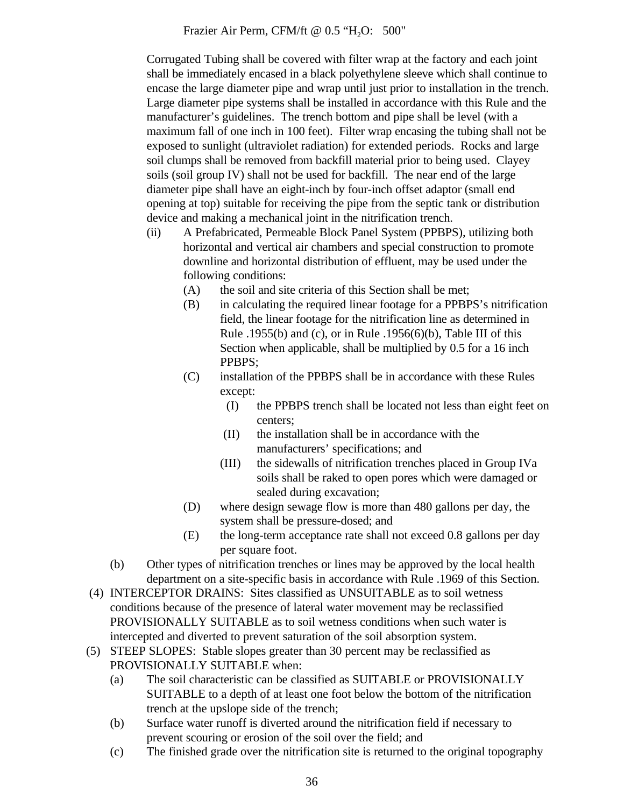Frazier Air Perm, CFM/ft @ 0.5 "H<sub>2</sub>O: 500"

Corrugated Tubing shall be covered with filter wrap at the factory and each joint shall be immediately encased in a black polyethylene sleeve which shall continue to encase the large diameter pipe and wrap until just prior to installation in the trench. Large diameter pipe systems shall be installed in accordance with this Rule and the manufacturer's guidelines. The trench bottom and pipe shall be level (with a maximum fall of one inch in 100 feet). Filter wrap encasing the tubing shall not be exposed to sunlight (ultraviolet radiation) for extended periods. Rocks and large soil clumps shall be removed from backfill material prior to being used. Clayey soils (soil group IV) shall not be used for backfill. The near end of the large diameter pipe shall have an eight-inch by four-inch offset adaptor (small end opening at top) suitable for receiving the pipe from the septic tank or distribution device and making a mechanical joint in the nitrification trench.

- (ii) A Prefabricated, Permeable Block Panel System (PPBPS), utilizing both horizontal and vertical air chambers and special construction to promote downline and horizontal distribution of effluent, may be used under the following conditions:
	- (A) the soil and site criteria of this Section shall be met;
	- (B) in calculating the required linear footage for a PPBPS's nitrification field, the linear footage for the nitrification line as determined in Rule .1955(b) and (c), or in Rule .1956(6)(b), Table III of this Section when applicable, shall be multiplied by 0.5 for a 16 inch PPBPS;
	- (C) installation of the PPBPS shall be in accordance with these Rules except:
		- (I) the PPBPS trench shall be located not less than eight feet on centers;
		- (II) the installation shall be in accordance with the manufacturers' specifications; and
		- (III) the sidewalls of nitrification trenches placed in Group IVa soils shall be raked to open pores which were damaged or sealed during excavation;
	- (D) where design sewage flow is more than 480 gallons per day, the system shall be pressure-dosed; and
	- (E) the long-term acceptance rate shall not exceed 0.8 gallons per day per square foot.
- (b) Other types of nitrification trenches or lines may be approved by the local health department on a site-specific basis in accordance with Rule .1969 of this Section.
- (4) INTERCEPTOR DRAINS: Sites classified as UNSUITABLE as to soil wetness conditions because of the presence of lateral water movement may be reclassified PROVISIONALLY SUITABLE as to soil wetness conditions when such water is intercepted and diverted to prevent saturation of the soil absorption system.
- (5) STEEP SLOPES: Stable slopes greater than 30 percent may be reclassified as PROVISIONALLY SUITABLE when:
	- (a) The soil characteristic can be classified as SUITABLE or PROVISIONALLY SUITABLE to a depth of at least one foot below the bottom of the nitrification trench at the upslope side of the trench;
	- (b) Surface water runoff is diverted around the nitrification field if necessary to prevent scouring or erosion of the soil over the field; and
	- (c) The finished grade over the nitrification site is returned to the original topography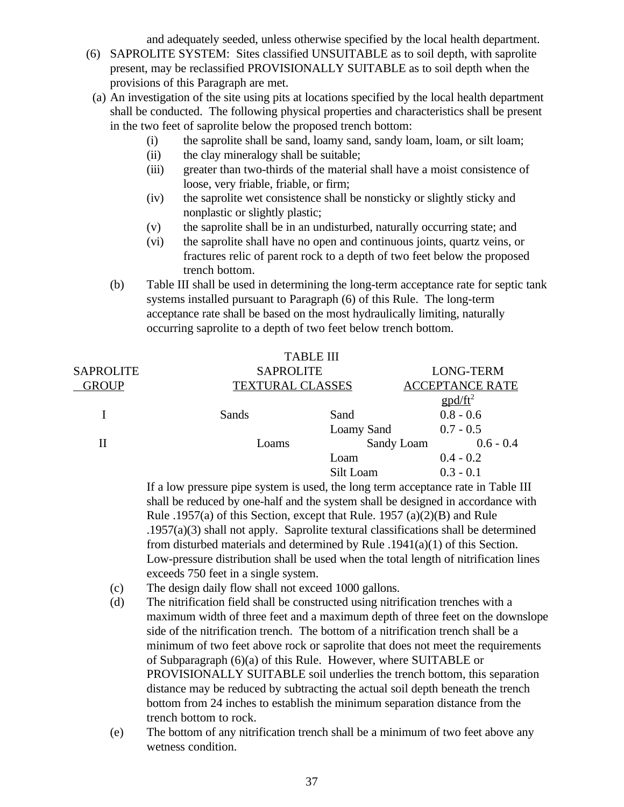and adequately seeded, unless otherwise specified by the local health department.

- (6) SAPROLITE SYSTEM: Sites classified UNSUITABLE as to soil depth, with saprolite present, may be reclassified PROVISIONALLY SUITABLE as to soil depth when the provisions of this Paragraph are met.
	- (a) An investigation of the site using pits at locations specified by the local health department shall be conducted. The following physical properties and characteristics shall be present in the two feet of saprolite below the proposed trench bottom:
		- (i) the saprolite shall be sand, loamy sand, sandy loam, loam, or silt loam;
		- (ii) the clay mineralogy shall be suitable;
		- (iii) greater than two-thirds of the material shall have a moist consistence of loose, very friable, friable, or firm;
		- (iv) the saprolite wet consistence shall be nonsticky or slightly sticky and nonplastic or slightly plastic;
		- (v) the saprolite shall be in an undisturbed, naturally occurring state; and
		- (vi) the saprolite shall have no open and continuous joints, quartz veins, or fractures relic of parent rock to a depth of two feet below the proposed trench bottom.
		- (b) Table III shall be used in determining the long-term acceptance rate for septic tank systems installed pursuant to Paragraph (6) of this Rule. The long-term acceptance rate shall be based on the most hydraulically limiting, naturally occurring saprolite to a depth of two feet below trench bottom.

|                  | <b>TABLE III</b> |                                                   |                   |
|------------------|------------------|---------------------------------------------------|-------------------|
| <b>SAPROLITE</b> | <b>SAPROLITE</b> |                                                   | <b>LONG-TERM</b>  |
| <b>GROUP</b>     |                  | <b>ACCEPTANCE RATE</b><br><b>TEXTURAL CLASSES</b> |                   |
|                  |                  |                                                   | $\text{gpd/ft}^2$ |
|                  | Sands            | Sand                                              | $0.8 - 0.6$       |
|                  |                  | Loamy Sand                                        | $0.7 - 0.5$       |
| П                | Loams            | Sandy Loam                                        | $0.6 - 0.4$       |
|                  |                  | Loam                                              | $0.4 - 0.2$       |
|                  |                  | Silt Loam                                         | $0.3 - 0.1$       |

If a low pressure pipe system is used, the long term acceptance rate in Table III shall be reduced by one-half and the system shall be designed in accordance with Rule .1957(a) of this Section, except that Rule. 1957 (a)(2)(B) and Rule .1957(a)(3) shall not apply. Saprolite textural classifications shall be determined from disturbed materials and determined by Rule .1941(a)(1) of this Section. Low-pressure distribution shall be used when the total length of nitrification lines exceeds 750 feet in a single system.

- (c) The design daily flow shall not exceed 1000 gallons.
- (d) The nitrification field shall be constructed using nitrification trenches with a maximum width of three feet and a maximum depth of three feet on the downslope side of the nitrification trench. The bottom of a nitrification trench shall be a minimum of two feet above rock or saprolite that does not meet the requirements of Subparagraph (6)(a) of this Rule. However, where SUITABLE or PROVISIONALLY SUITABLE soil underlies the trench bottom, this separation distance may be reduced by subtracting the actual soil depth beneath the trench bottom from 24 inches to establish the minimum separation distance from the trench bottom to rock.
- (e) The bottom of any nitrification trench shall be a minimum of two feet above any wetness condition.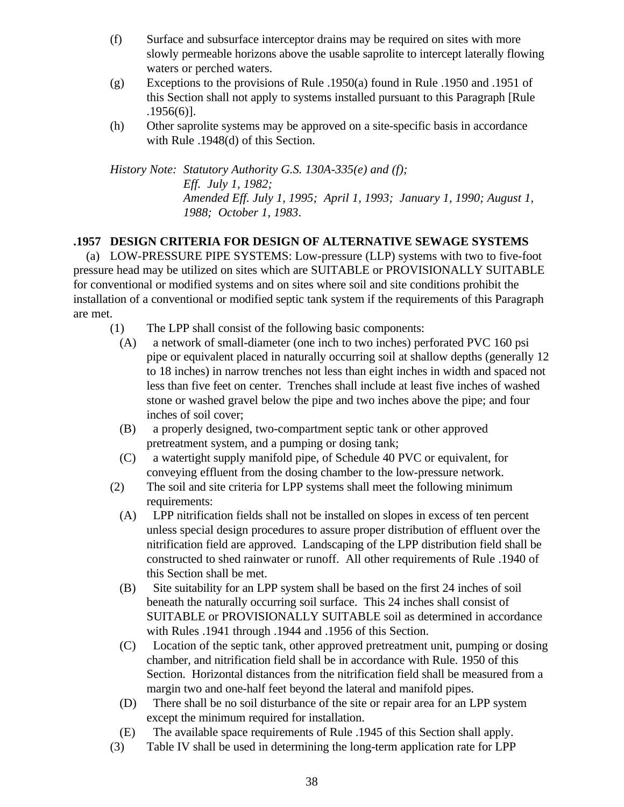- (f) Surface and subsurface interceptor drains may be required on sites with more slowly permeable horizons above the usable saprolite to intercept laterally flowing waters or perched waters.
- (g) Exceptions to the provisions of Rule .1950(a) found in Rule .1950 and .1951 of this Section shall not apply to systems installed pursuant to this Paragraph [Rule .1956(6)].
- (h) Other saprolite systems may be approved on a site-specific basis in accordance with Rule .1948(d) of this Section.

*History Note: Statutory Authority G.S. 130A-335(e) and (f); Eff. July 1, 1982; Amended Eff. July 1, 1995; April 1, 1993; January 1, 1990; August 1, 1988; October 1, 1983*.

## **.1957 DESIGN CRITERIA FOR DESIGN OF ALTERNATIVE SEWAGE SYSTEMS**

 (a) LOW-PRESSURE PIPE SYSTEMS: Low-pressure (LLP) systems with two to five-foot pressure head may be utilized on sites which are SUITABLE or PROVISIONALLY SUITABLE for conventional or modified systems and on sites where soil and site conditions prohibit the installation of a conventional or modified septic tank system if the requirements of this Paragraph are met.

- (1) The LPP shall consist of the following basic components:
	- (A) a network of small-diameter (one inch to two inches) perforated PVC 160 psi pipe or equivalent placed in naturally occurring soil at shallow depths (generally 12 to 18 inches) in narrow trenches not less than eight inches in width and spaced not less than five feet on center. Trenches shall include at least five inches of washed stone or washed gravel below the pipe and two inches above the pipe; and four inches of soil cover;
	- (B) a properly designed, two-compartment septic tank or other approved pretreatment system, and a pumping or dosing tank;
	- (C) a watertight supply manifold pipe, of Schedule 40 PVC or equivalent, for conveying effluent from the dosing chamber to the low-pressure network.
- (2) The soil and site criteria for LPP systems shall meet the following minimum requirements:
	- (A) LPP nitrification fields shall not be installed on slopes in excess of ten percent unless special design procedures to assure proper distribution of effluent over the nitrification field are approved. Landscaping of the LPP distribution field shall be constructed to shed rainwater or runoff. All other requirements of Rule .1940 of this Section shall be met.
	- (B) Site suitability for an LPP system shall be based on the first 24 inches of soil beneath the naturally occurring soil surface. This 24 inches shall consist of SUITABLE or PROVISIONALLY SUITABLE soil as determined in accordance with Rules .1941 through .1944 and .1956 of this Section.
	- (C) Location of the septic tank, other approved pretreatment unit, pumping or dosing chamber, and nitrification field shall be in accordance with Rule. 1950 of this Section. Horizontal distances from the nitrification field shall be measured from a margin two and one-half feet beyond the lateral and manifold pipes.
	- (D) There shall be no soil disturbance of the site or repair area for an LPP system except the minimum required for installation.
	- (E) The available space requirements of Rule .1945 of this Section shall apply.
- (3) Table IV shall be used in determining the long-term application rate for LPP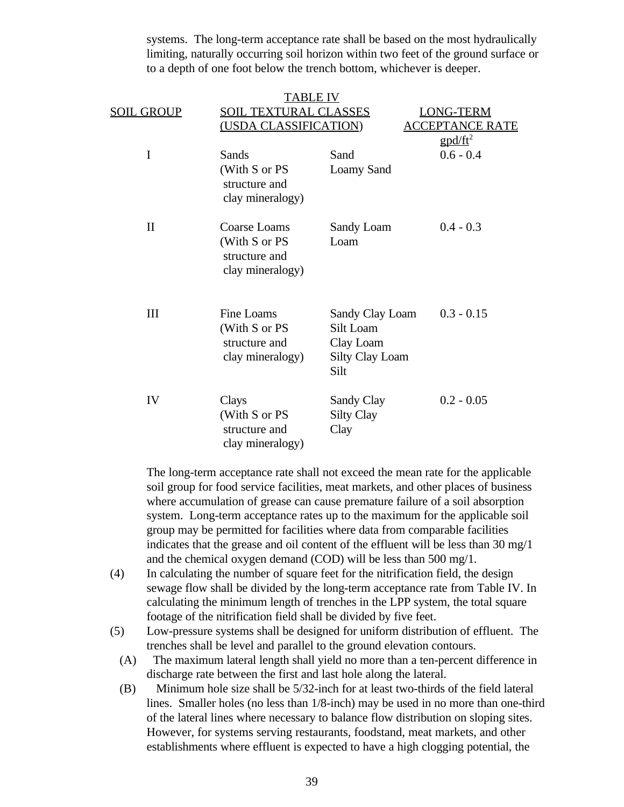systems. The long-term acceptance rate shall be based on the most hydraulically limiting, naturally occurring soil horizon within two feet of the ground surface or to a depth of one foot below the trench bottom, whichever is deeper.

|              | TABLE IV                                                           |                                                                             |                        |  |
|--------------|--------------------------------------------------------------------|-----------------------------------------------------------------------------|------------------------|--|
| SOIL GROUP   | <b>SOIL TEXTURAL CLASSES</b>                                       |                                                                             | <b>LONG-TERM</b>       |  |
|              | (USDA CLASSIFICATION)                                              |                                                                             | <b>ACCEPTANCE RATE</b> |  |
|              |                                                                    |                                                                             | $\text{gpd/ft}^2$      |  |
| I            | Sands                                                              | Sand                                                                        | $0.6 - 0.4$            |  |
|              | (With S or PS<br>structure and<br>clay mineralogy)                 | <b>Loamy Sand</b>                                                           |                        |  |
| $\mathbf{I}$ | Coarse Loams<br>(With S or PS<br>structure and<br>clay mineralogy) | Sandy Loam<br>Loam                                                          | $0.4 - 0.3$            |  |
| III          | Fine Loams<br>(With S or PS<br>structure and<br>clay mineralogy)   | Sandy Clay Loam<br>Silt Loam<br>Clay Loam<br><b>Silty Clay Loam</b><br>Silt | $0.3 - 0.15$           |  |
| IV           | Clays<br>(With S or PS<br>structure and<br>clay mineralogy)        | Sandy Clay<br><b>Silty Clay</b><br>Clay                                     | $0.2 - 0.05$           |  |

The long-term acceptance rate shall not exceed the mean rate for the applicable soil group for food service facilities, meat markets, and other places of business where accumulation of grease can cause premature failure of a soil absorption system. Long-term acceptance rates up to the maximum for the applicable soil group may be permitted for facilities where data from comparable facilities indicates that the grease and oil content of the effluent will be less than 30 mg/1 and the chemical oxygen demand (COD) will be less than 500 mg/1.

- (4) In calculating the number of square feet for the nitrification field, the design sewage flow shall be divided by the long-term acceptance rate from Table IV. In calculating the minimum length of trenches in the LPP system, the total square footage of the nitrification field shall be divided by five feet.
- (5) Low-pressure systems shall be designed for uniform distribution of effluent. The trenches shall be level and parallel to the ground elevation contours.
	- (A) The maximum lateral length shall yield no more than a ten-percent difference in discharge rate between the first and last hole along the lateral.
	- (B) Minimum hole size shall be 5/32-inch for at least two-thirds of the field lateral lines. Smaller holes (no less than 1/8-inch) may be used in no more than one-third of the lateral lines where necessary to balance flow distribution on sloping sites. However, for systems serving restaurants, foodstand, meat markets, and other establishments where effluent is expected to have a high clogging potential, the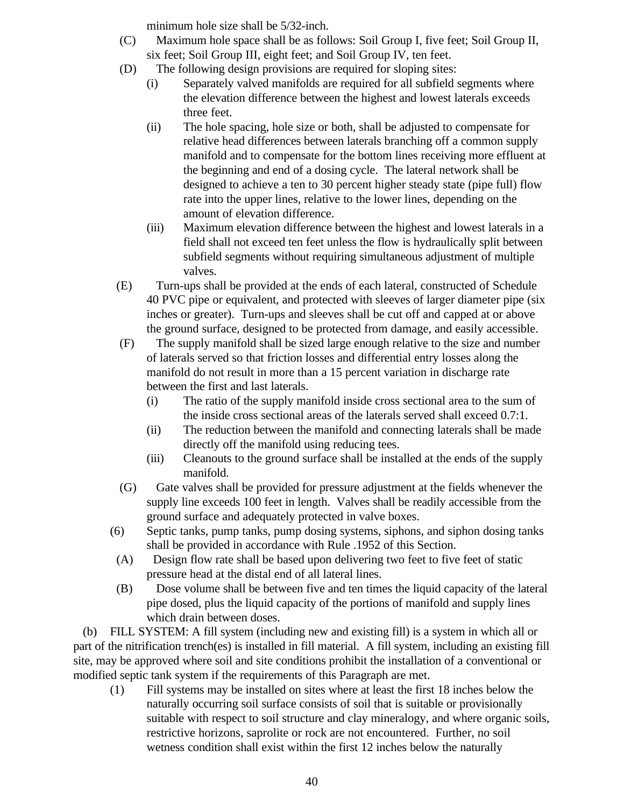minimum hole size shall be 5/32-inch.

- (C) Maximum hole space shall be as follows: Soil Group I, five feet; Soil Group II, six feet; Soil Group III, eight feet; and Soil Group IV, ten feet.
- (D) The following design provisions are required for sloping sites:
	- (i) Separately valved manifolds are required for all subfield segments where the elevation difference between the highest and lowest laterals exceeds three feet.
	- (ii) The hole spacing, hole size or both, shall be adjusted to compensate for relative head differences between laterals branching off a common supply manifold and to compensate for the bottom lines receiving more effluent at the beginning and end of a dosing cycle. The lateral network shall be designed to achieve a ten to 30 percent higher steady state (pipe full) flow rate into the upper lines, relative to the lower lines, depending on the amount of elevation difference.
	- (iii) Maximum elevation difference between the highest and lowest laterals in a field shall not exceed ten feet unless the flow is hydraulically split between subfield segments without requiring simultaneous adjustment of multiple valves.
- (E) Turn-ups shall be provided at the ends of each lateral, constructed of Schedule 40 PVC pipe or equivalent, and protected with sleeves of larger diameter pipe (six inches or greater). Turn-ups and sleeves shall be cut off and capped at or above the ground surface, designed to be protected from damage, and easily accessible.
- (F) The supply manifold shall be sized large enough relative to the size and number of laterals served so that friction losses and differential entry losses along the manifold do not result in more than a 15 percent variation in discharge rate between the first and last laterals.
	- (i) The ratio of the supply manifold inside cross sectional area to the sum of the inside cross sectional areas of the laterals served shall exceed 0.7:1.
	- (ii) The reduction between the manifold and connecting laterals shall be made directly off the manifold using reducing tees.
	- (iii) Cleanouts to the ground surface shall be installed at the ends of the supply manifold.
- (G) Gate valves shall be provided for pressure adjustment at the fields whenever the supply line exceeds 100 feet in length. Valves shall be readily accessible from the ground surface and adequately protected in valve boxes.
- (6) Septic tanks, pump tanks, pump dosing systems, siphons, and siphon dosing tanks shall be provided in accordance with Rule .1952 of this Section.
- (A) Design flow rate shall be based upon delivering two feet to five feet of static pressure head at the distal end of all lateral lines.
- (B) Dose volume shall be between five and ten times the liquid capacity of the lateral pipe dosed, plus the liquid capacity of the portions of manifold and supply lines which drain between doses.

 (b) FILL SYSTEM: A fill system (including new and existing fill) is a system in which all or part of the nitrification trench(es) is installed in fill material. A fill system, including an existing fill site, may be approved where soil and site conditions prohibit the installation of a conventional or modified septic tank system if the requirements of this Paragraph are met.

(1) Fill systems may be installed on sites where at least the first 18 inches below the naturally occurring soil surface consists of soil that is suitable or provisionally suitable with respect to soil structure and clay mineralogy, and where organic soils, restrictive horizons, saprolite or rock are not encountered. Further, no soil wetness condition shall exist within the first 12 inches below the naturally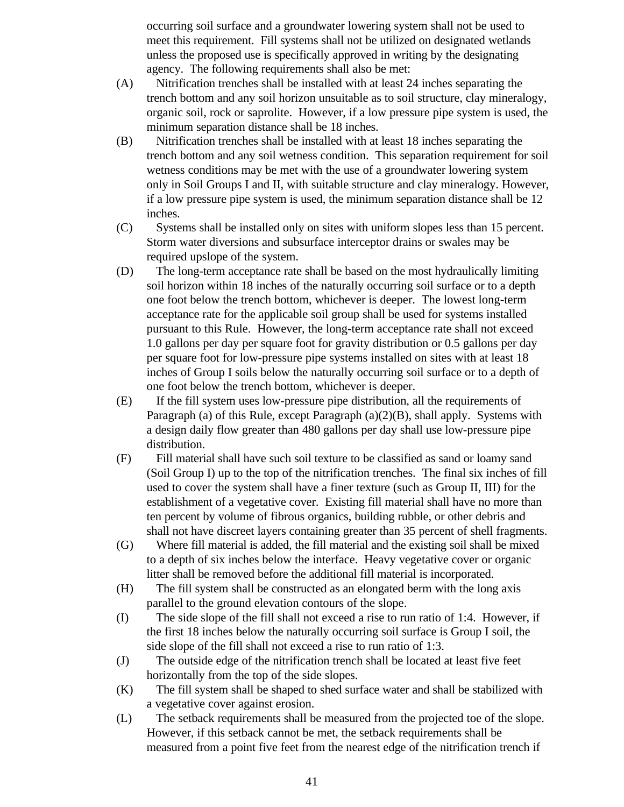occurring soil surface and a groundwater lowering system shall not be used to meet this requirement. Fill systems shall not be utilized on designated wetlands unless the proposed use is specifically approved in writing by the designating agency. The following requirements shall also be met:

- (A) Nitrification trenches shall be installed with at least 24 inches separating the trench bottom and any soil horizon unsuitable as to soil structure, clay mineralogy, organic soil, rock or saprolite. However, if a low pressure pipe system is used, the minimum separation distance shall be 18 inches.
- (B) Nitrification trenches shall be installed with at least 18 inches separating the trench bottom and any soil wetness condition. This separation requirement for soil wetness conditions may be met with the use of a groundwater lowering system only in Soil Groups I and II, with suitable structure and clay mineralogy. However, if a low pressure pipe system is used, the minimum separation distance shall be 12 inches.
- (C) Systems shall be installed only on sites with uniform slopes less than 15 percent. Storm water diversions and subsurface interceptor drains or swales may be required upslope of the system.
- (D) The long-term acceptance rate shall be based on the most hydraulically limiting soil horizon within 18 inches of the naturally occurring soil surface or to a depth one foot below the trench bottom, whichever is deeper. The lowest long-term acceptance rate for the applicable soil group shall be used for systems installed pursuant to this Rule. However, the long-term acceptance rate shall not exceed 1.0 gallons per day per square foot for gravity distribution or 0.5 gallons per day per square foot for low-pressure pipe systems installed on sites with at least 18 inches of Group I soils below the naturally occurring soil surface or to a depth of one foot below the trench bottom, whichever is deeper.
- (E) If the fill system uses low-pressure pipe distribution, all the requirements of Paragraph (a) of this Rule, except Paragraph (a)(2)(B), shall apply. Systems with a design daily flow greater than 480 gallons per day shall use low-pressure pipe distribution.
- (F) Fill material shall have such soil texture to be classified as sand or loamy sand (Soil Group I) up to the top of the nitrification trenches. The final six inches of fill used to cover the system shall have a finer texture (such as Group II, III) for the establishment of a vegetative cover. Existing fill material shall have no more than ten percent by volume of fibrous organics, building rubble, or other debris and shall not have discreet layers containing greater than 35 percent of shell fragments.
- (G) Where fill material is added, the fill material and the existing soil shall be mixed to a depth of six inches below the interface. Heavy vegetative cover or organic litter shall be removed before the additional fill material is incorporated.
- (H) The fill system shall be constructed as an elongated berm with the long axis parallel to the ground elevation contours of the slope.
- (I) The side slope of the fill shall not exceed a rise to run ratio of 1:4. However, if the first 18 inches below the naturally occurring soil surface is Group I soil, the side slope of the fill shall not exceed a rise to run ratio of 1:3.
- (J) The outside edge of the nitrification trench shall be located at least five feet horizontally from the top of the side slopes.
- (K) The fill system shall be shaped to shed surface water and shall be stabilized with a vegetative cover against erosion.
- (L) The setback requirements shall be measured from the projected toe of the slope. However, if this setback cannot be met, the setback requirements shall be measured from a point five feet from the nearest edge of the nitrification trench if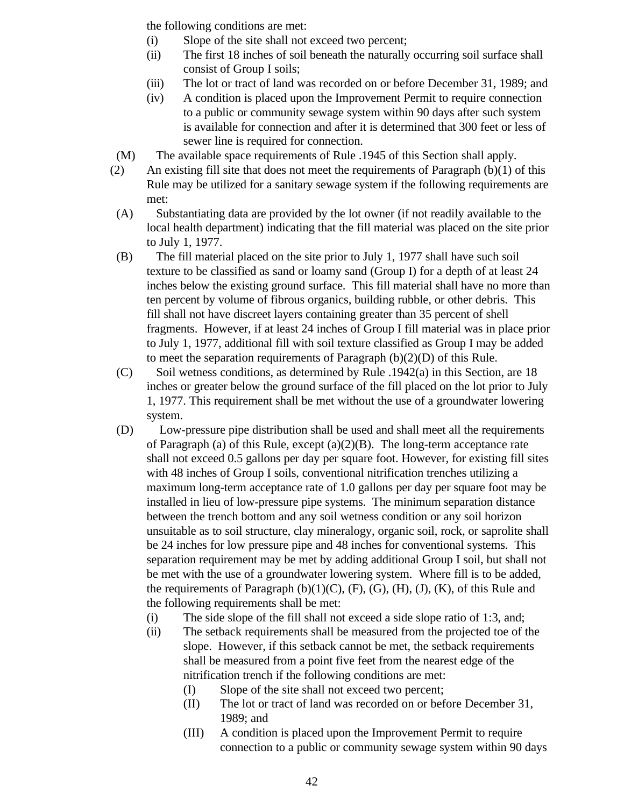the following conditions are met:

- (i) Slope of the site shall not exceed two percent;
- (ii) The first 18 inches of soil beneath the naturally occurring soil surface shall consist of Group I soils;
- (iii) The lot or tract of land was recorded on or before December 31, 1989; and
- (iv) A condition is placed upon the Improvement Permit to require connection to a public or community sewage system within 90 days after such system is available for connection and after it is determined that 300 feet or less of sewer line is required for connection.
- (M) The available space requirements of Rule .1945 of this Section shall apply.
- (2) An existing fill site that does not meet the requirements of Paragraph  $(b)(1)$  of this Rule may be utilized for a sanitary sewage system if the following requirements are met:
- (A) Substantiating data are provided by the lot owner (if not readily available to the local health department) indicating that the fill material was placed on the site prior to July 1, 1977.
- (B) The fill material placed on the site prior to July 1, 1977 shall have such soil texture to be classified as sand or loamy sand (Group I) for a depth of at least 24 inches below the existing ground surface. This fill material shall have no more than ten percent by volume of fibrous organics, building rubble, or other debris. This fill shall not have discreet layers containing greater than 35 percent of shell fragments. However, if at least 24 inches of Group I fill material was in place prior to July 1, 1977, additional fill with soil texture classified as Group I may be added to meet the separation requirements of Paragraph  $(b)(2)(D)$  of this Rule.
- (C) Soil wetness conditions, as determined by Rule .1942(a) in this Section, are 18 inches or greater below the ground surface of the fill placed on the lot prior to July 1, 1977. This requirement shall be met without the use of a groundwater lowering system.
- (D) Low-pressure pipe distribution shall be used and shall meet all the requirements of Paragraph (a) of this Rule, except  $(a)(2)(B)$ . The long-term acceptance rate shall not exceed 0.5 gallons per day per square foot. However, for existing fill sites with 48 inches of Group I soils, conventional nitrification trenches utilizing a maximum long-term acceptance rate of 1.0 gallons per day per square foot may be installed in lieu of low-pressure pipe systems. The minimum separation distance between the trench bottom and any soil wetness condition or any soil horizon unsuitable as to soil structure, clay mineralogy, organic soil, rock, or saprolite shall be 24 inches for low pressure pipe and 48 inches for conventional systems. This separation requirement may be met by adding additional Group I soil, but shall not be met with the use of a groundwater lowering system. Where fill is to be added, the requirements of Paragraph  $(b)(1)(C)$ ,  $(F)$ ,  $(G)$ ,  $(H)$ ,  $(J)$ ,  $(K)$ , of this Rule and the following requirements shall be met:
	- (i) The side slope of the fill shall not exceed a side slope ratio of 1:3, and;
	- (ii) The setback requirements shall be measured from the projected toe of the slope. However, if this setback cannot be met, the setback requirements shall be measured from a point five feet from the nearest edge of the nitrification trench if the following conditions are met:
		- (I) Slope of the site shall not exceed two percent;
		- (II) The lot or tract of land was recorded on or before December 31, 1989; and
		- (III) A condition is placed upon the Improvement Permit to require connection to a public or community sewage system within 90 days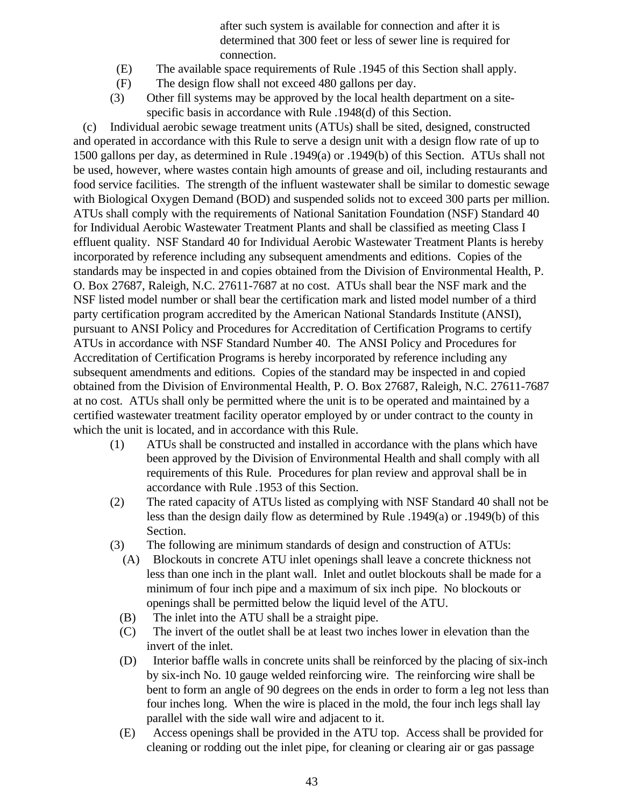after such system is available for connection and after it is determined that 300 feet or less of sewer line is required for connection.

- (E) The available space requirements of Rule .1945 of this Section shall apply.
- (F) The design flow shall not exceed 480 gallons per day.
- (3) Other fill systems may be approved by the local health department on a sitespecific basis in accordance with Rule .1948(d) of this Section.

 (c) Individual aerobic sewage treatment units (ATUs) shall be sited, designed, constructed and operated in accordance with this Rule to serve a design unit with a design flow rate of up to 1500 gallons per day, as determined in Rule .1949(a) or .1949(b) of this Section. ATUs shall not be used, however, where wastes contain high amounts of grease and oil, including restaurants and food service facilities. The strength of the influent wastewater shall be similar to domestic sewage with Biological Oxygen Demand (BOD) and suspended solids not to exceed 300 parts per million. ATUs shall comply with the requirements of National Sanitation Foundation (NSF) Standard 40 for Individual Aerobic Wastewater Treatment Plants and shall be classified as meeting Class I effluent quality. NSF Standard 40 for Individual Aerobic Wastewater Treatment Plants is hereby incorporated by reference including any subsequent amendments and editions. Copies of the standards may be inspected in and copies obtained from the Division of Environmental Health, P. O. Box 27687, Raleigh, N.C. 27611-7687 at no cost. ATUs shall bear the NSF mark and the NSF listed model number or shall bear the certification mark and listed model number of a third party certification program accredited by the American National Standards Institute (ANSI), pursuant to ANSI Policy and Procedures for Accreditation of Certification Programs to certify ATUs in accordance with NSF Standard Number 40. The ANSI Policy and Procedures for Accreditation of Certification Programs is hereby incorporated by reference including any subsequent amendments and editions. Copies of the standard may be inspected in and copied obtained from the Division of Environmental Health, P. O. Box 27687, Raleigh, N.C. 27611-7687 at no cost. ATUs shall only be permitted where the unit is to be operated and maintained by a certified wastewater treatment facility operator employed by or under contract to the county in which the unit is located, and in accordance with this Rule.

- (1) ATUs shall be constructed and installed in accordance with the plans which have been approved by the Division of Environmental Health and shall comply with all requirements of this Rule. Procedures for plan review and approval shall be in accordance with Rule .1953 of this Section.
- (2) The rated capacity of ATUs listed as complying with NSF Standard 40 shall not be less than the design daily flow as determined by Rule .1949(a) or .1949(b) of this Section.
- (3) The following are minimum standards of design and construction of ATUs:
	- (A) Blockouts in concrete ATU inlet openings shall leave a concrete thickness not less than one inch in the plant wall. Inlet and outlet blockouts shall be made for a minimum of four inch pipe and a maximum of six inch pipe. No blockouts or openings shall be permitted below the liquid level of the ATU.
	- (B) The inlet into the ATU shall be a straight pipe.
	- (C) The invert of the outlet shall be at least two inches lower in elevation than the invert of the inlet.
	- (D) Interior baffle walls in concrete units shall be reinforced by the placing of six-inch by six-inch No. 10 gauge welded reinforcing wire. The reinforcing wire shall be bent to form an angle of 90 degrees on the ends in order to form a leg not less than four inches long. When the wire is placed in the mold, the four inch legs shall lay parallel with the side wall wire and adjacent to it.
	- (E) Access openings shall be provided in the ATU top. Access shall be provided for cleaning or rodding out the inlet pipe, for cleaning or clearing air or gas passage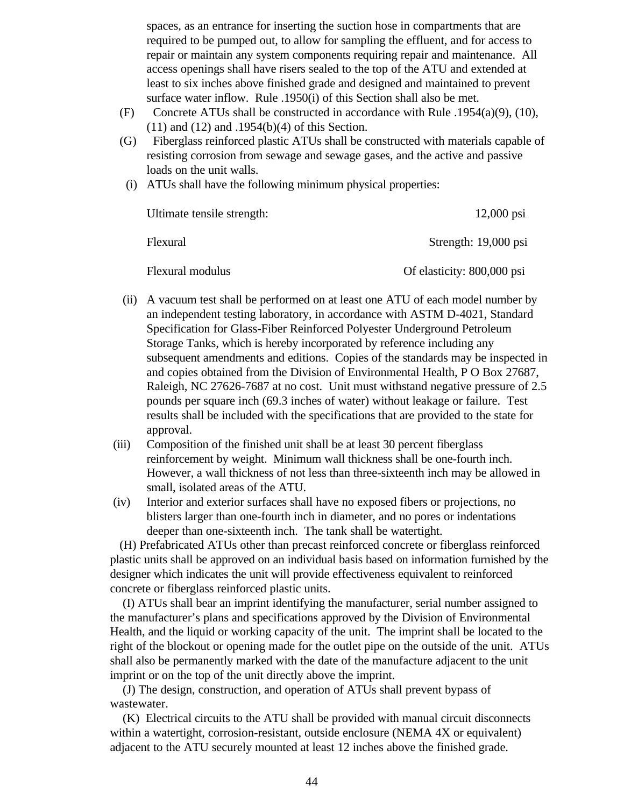spaces, as an entrance for inserting the suction hose in compartments that are required to be pumped out, to allow for sampling the effluent, and for access to repair or maintain any system components requiring repair and maintenance. All access openings shall have risers sealed to the top of the ATU and extended at least to six inches above finished grade and designed and maintained to prevent surface water inflow. Rule .1950(i) of this Section shall also be met.

- (F) Concrete ATUs shall be constructed in accordance with Rule .1954(a)(9), (10), (11) and (12) and .1954(b)(4) of this Section.
- (G) Fiberglass reinforced plastic ATUs shall be constructed with materials capable of resisting corrosion from sewage and sewage gases, and the active and passive loads on the unit walls.
	- (i) ATUs shall have the following minimum physical properties:

| Ultimate tensile strength: | $12,000 \text{ psi}$       |
|----------------------------|----------------------------|
| Flexural                   | Strength: 19,000 psi       |
| Flexural modulus           | Of elasticity: 800,000 psi |

- (ii) A vacuum test shall be performed on at least one ATU of each model number by an independent testing laboratory, in accordance with ASTM D-4021, Standard Specification for Glass-Fiber Reinforced Polyester Underground Petroleum Storage Tanks, which is hereby incorporated by reference including any subsequent amendments and editions. Copies of the standards may be inspected in and copies obtained from the Division of Environmental Health, P O Box 27687, Raleigh, NC 27626-7687 at no cost. Unit must withstand negative pressure of 2.5 pounds per square inch (69.3 inches of water) without leakage or failure. Test results shall be included with the specifications that are provided to the state for approval.
- (iii) Composition of the finished unit shall be at least 30 percent fiberglass reinforcement by weight. Minimum wall thickness shall be one-fourth inch. However, a wall thickness of not less than three-sixteenth inch may be allowed in small, isolated areas of the ATU.
- (iv) Interior and exterior surfaces shall have no exposed fibers or projections, no blisters larger than one-fourth inch in diameter, and no pores or indentations deeper than one-sixteenth inch. The tank shall be watertight.

 (H) Prefabricated ATUs other than precast reinforced concrete or fiberglass reinforced plastic units shall be approved on an individual basis based on information furnished by the designer which indicates the unit will provide effectiveness equivalent to reinforced concrete or fiberglass reinforced plastic units.

 (I) ATUs shall bear an imprint identifying the manufacturer, serial number assigned to the manufacturer's plans and specifications approved by the Division of Environmental Health, and the liquid or working capacity of the unit. The imprint shall be located to the right of the blockout or opening made for the outlet pipe on the outside of the unit. ATUs shall also be permanently marked with the date of the manufacture adjacent to the unit imprint or on the top of the unit directly above the imprint.

 (J) The design, construction, and operation of ATUs shall prevent bypass of wastewater.

 (K) Electrical circuits to the ATU shall be provided with manual circuit disconnects within a watertight, corrosion-resistant, outside enclosure (NEMA 4X or equivalent) adjacent to the ATU securely mounted at least 12 inches above the finished grade.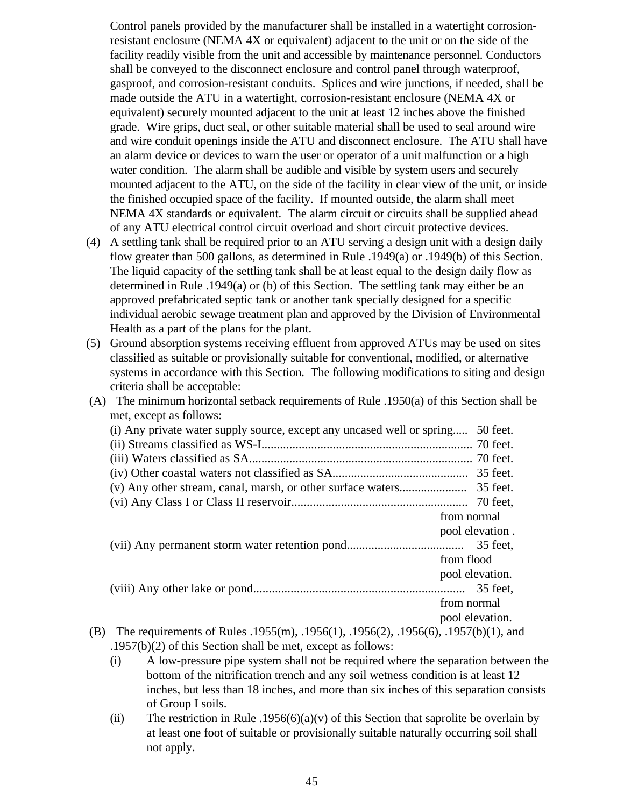Control panels provided by the manufacturer shall be installed in a watertight corrosionresistant enclosure (NEMA 4X or equivalent) adjacent to the unit or on the side of the facility readily visible from the unit and accessible by maintenance personnel. Conductors shall be conveyed to the disconnect enclosure and control panel through waterproof, gasproof, and corrosion-resistant conduits. Splices and wire junctions, if needed, shall be made outside the ATU in a watertight, corrosion-resistant enclosure (NEMA 4X or equivalent) securely mounted adjacent to the unit at least 12 inches above the finished grade. Wire grips, duct seal, or other suitable material shall be used to seal around wire and wire conduit openings inside the ATU and disconnect enclosure. The ATU shall have an alarm device or devices to warn the user or operator of a unit malfunction or a high water condition. The alarm shall be audible and visible by system users and securely mounted adjacent to the ATU, on the side of the facility in clear view of the unit, or inside the finished occupied space of the facility. If mounted outside, the alarm shall meet NEMA 4X standards or equivalent. The alarm circuit or circuits shall be supplied ahead of any ATU electrical control circuit overload and short circuit protective devices.

- (4) A settling tank shall be required prior to an ATU serving a design unit with a design daily flow greater than 500 gallons, as determined in Rule .1949(a) or .1949(b) of this Section. The liquid capacity of the settling tank shall be at least equal to the design daily flow as determined in Rule .1949(a) or (b) of this Section. The settling tank may either be an approved prefabricated septic tank or another tank specially designed for a specific individual aerobic sewage treatment plan and approved by the Division of Environmental Health as a part of the plans for the plant.
- (5) Ground absorption systems receiving effluent from approved ATUs may be used on sites classified as suitable or provisionally suitable for conventional, modified, or alternative systems in accordance with this Section. The following modifications to siting and design criteria shall be acceptable:
- (A) The minimum horizontal setback requirements of Rule .1950(a) of this Section shall be met, except as follows:

|     | (i) Any private water supply source, except any uncased well or spring             |             | 50 feet.        |
|-----|------------------------------------------------------------------------------------|-------------|-----------------|
|     |                                                                                    |             |                 |
|     |                                                                                    |             |                 |
|     |                                                                                    |             |                 |
|     |                                                                                    |             |                 |
|     |                                                                                    |             | 70 feet.        |
|     |                                                                                    | from normal |                 |
|     |                                                                                    |             | pool elevation. |
|     |                                                                                    |             |                 |
|     |                                                                                    | from flood  |                 |
|     |                                                                                    |             | pool elevation. |
|     |                                                                                    |             |                 |
|     |                                                                                    | from normal |                 |
|     |                                                                                    |             | pool elevation. |
| (B) | The requirements of Rules .1955(m), .1956(1), .1956(2), .1956(6), .1957(b)(1), and |             |                 |
|     |                                                                                    |             |                 |

.1957(b)(2) of this Section shall be met, except as follows:

- (i) A low-pressure pipe system shall not be required where the separation between the bottom of the nitrification trench and any soil wetness condition is at least 12 inches, but less than 18 inches, and more than six inches of this separation consists of Group I soils.
- (ii) The restriction in Rule .1956(6)(a)(v) of this Section that saprolite be overlain by at least one foot of suitable or provisionally suitable naturally occurring soil shall not apply.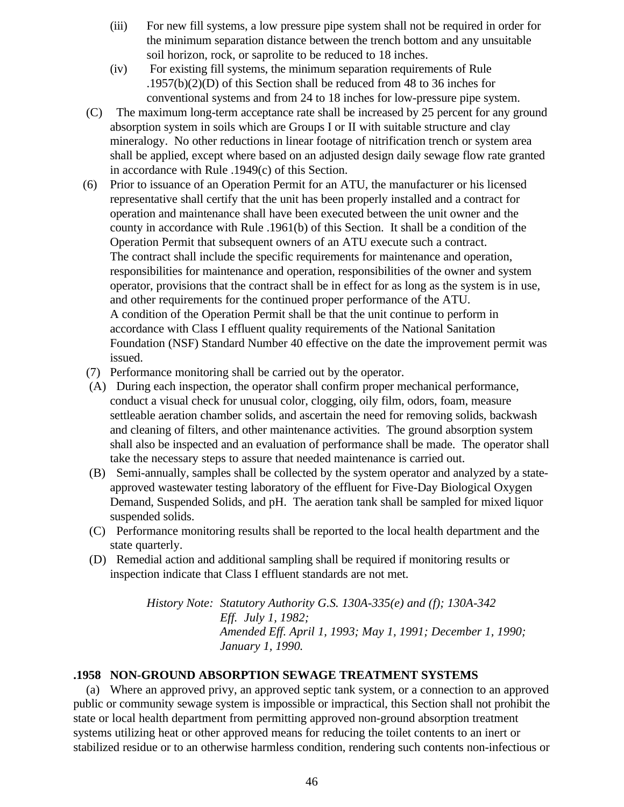- (iii) For new fill systems, a low pressure pipe system shall not be required in order for the minimum separation distance between the trench bottom and any unsuitable soil horizon, rock, or saprolite to be reduced to 18 inches.
- (iv) For existing fill systems, the minimum separation requirements of Rule .1957(b)(2)(D) of this Section shall be reduced from 48 to 36 inches for conventional systems and from 24 to 18 inches for low-pressure pipe system.
- (C) The maximum long-term acceptance rate shall be increased by 25 percent for any ground absorption system in soils which are Groups I or II with suitable structure and clay mineralogy. No other reductions in linear footage of nitrification trench or system area shall be applied, except where based on an adjusted design daily sewage flow rate granted in accordance with Rule .1949(c) of this Section.
- (6) Prior to issuance of an Operation Permit for an ATU, the manufacturer or his licensed representative shall certify that the unit has been properly installed and a contract for operation and maintenance shall have been executed between the unit owner and the county in accordance with Rule .1961(b) of this Section. It shall be a condition of the Operation Permit that subsequent owners of an ATU execute such a contract. The contract shall include the specific requirements for maintenance and operation, responsibilities for maintenance and operation, responsibilities of the owner and system operator, provisions that the contract shall be in effect for as long as the system is in use, and other requirements for the continued proper performance of the ATU. A condition of the Operation Permit shall be that the unit continue to perform in accordance with Class I effluent quality requirements of the National Sanitation Foundation (NSF) Standard Number 40 effective on the date the improvement permit was issued.
- (7) Performance monitoring shall be carried out by the operator.
- (A) During each inspection, the operator shall confirm proper mechanical performance, conduct a visual check for unusual color, clogging, oily film, odors, foam, measure settleable aeration chamber solids, and ascertain the need for removing solids, backwash and cleaning of filters, and other maintenance activities. The ground absorption system shall also be inspected and an evaluation of performance shall be made. The operator shall take the necessary steps to assure that needed maintenance is carried out.
- (B) Semi-annually, samples shall be collected by the system operator and analyzed by a stateapproved wastewater testing laboratory of the effluent for Five-Day Biological Oxygen Demand, Suspended Solids, and pH. The aeration tank shall be sampled for mixed liquor suspended solids.
- (C) Performance monitoring results shall be reported to the local health department and the state quarterly.
- (D) Remedial action and additional sampling shall be required if monitoring results or inspection indicate that Class I effluent standards are not met.

*History Note: Statutory Authority G.S. 130A-335(e) and (f); 130A-342 Eff. July 1, 1982; Amended Eff. April 1, 1993; May 1, 1991; December 1, 1990; January 1, 1990.*

## **.1958 NON-GROUND ABSORPTION SEWAGE TREATMENT SYSTEMS**

 (a) Where an approved privy, an approved septic tank system, or a connection to an approved public or community sewage system is impossible or impractical, this Section shall not prohibit the state or local health department from permitting approved non-ground absorption treatment systems utilizing heat or other approved means for reducing the toilet contents to an inert or stabilized residue or to an otherwise harmless condition, rendering such contents non-infectious or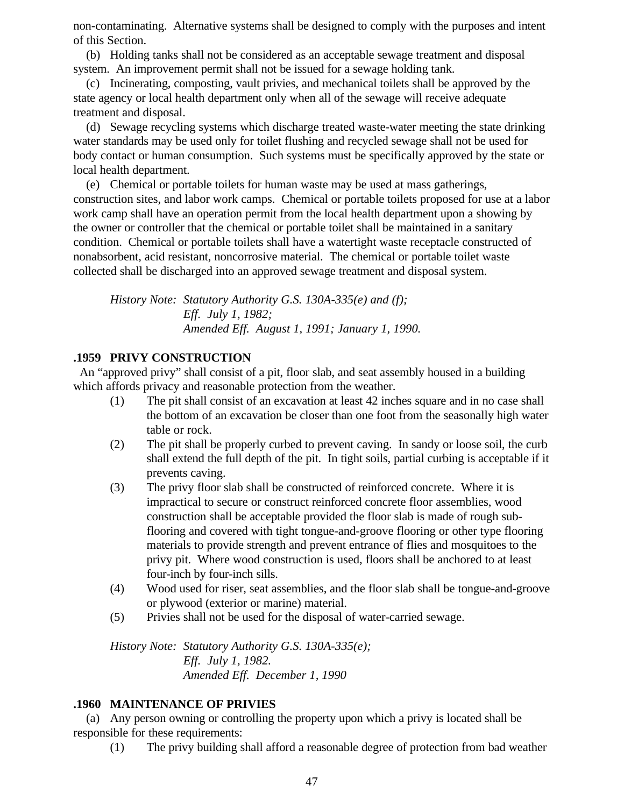non-contaminating. Alternative systems shall be designed to comply with the purposes and intent of this Section.

 (b) Holding tanks shall not be considered as an acceptable sewage treatment and disposal system. An improvement permit shall not be issued for a sewage holding tank.

 (c) Incinerating, composting, vault privies, and mechanical toilets shall be approved by the state agency or local health department only when all of the sewage will receive adequate treatment and disposal.

 (d) Sewage recycling systems which discharge treated waste-water meeting the state drinking water standards may be used only for toilet flushing and recycled sewage shall not be used for body contact or human consumption. Such systems must be specifically approved by the state or local health department.

 (e) Chemical or portable toilets for human waste may be used at mass gatherings, construction sites, and labor work camps. Chemical or portable toilets proposed for use at a labor work camp shall have an operation permit from the local health department upon a showing by the owner or controller that the chemical or portable toilet shall be maintained in a sanitary condition. Chemical or portable toilets shall have a watertight waste receptacle constructed of nonabsorbent, acid resistant, noncorrosive material. The chemical or portable toilet waste collected shall be discharged into an approved sewage treatment and disposal system.

*History Note: Statutory Authority G.S. 130A-335(e) and (f); Eff. July 1, 1982; Amended Eff. August 1, 1991; January 1, 1990.*

## **.1959 PRIVY CONSTRUCTION**

 An "approved privy" shall consist of a pit, floor slab, and seat assembly housed in a building which affords privacy and reasonable protection from the weather.

- (1) The pit shall consist of an excavation at least 42 inches square and in no case shall the bottom of an excavation be closer than one foot from the seasonally high water table or rock.
- (2) The pit shall be properly curbed to prevent caving. In sandy or loose soil, the curb shall extend the full depth of the pit. In tight soils, partial curbing is acceptable if it prevents caving.
- (3) The privy floor slab shall be constructed of reinforced concrete. Where it is impractical to secure or construct reinforced concrete floor assemblies, wood construction shall be acceptable provided the floor slab is made of rough subflooring and covered with tight tongue-and-groove flooring or other type flooring materials to provide strength and prevent entrance of flies and mosquitoes to the privy pit. Where wood construction is used, floors shall be anchored to at least four-inch by four-inch sills.
- (4) Wood used for riser, seat assemblies, and the floor slab shall be tongue-and-groove or plywood (exterior or marine) material.
- (5) Privies shall not be used for the disposal of water-carried sewage.

*History Note: Statutory Authority G.S. 130A-335(e); Eff. July 1, 1982. Amended Eff. December 1, 1990*

## **.1960 MAINTENANCE OF PRIVIES**

 (a) Any person owning or controlling the property upon which a privy is located shall be responsible for these requirements:

(1) The privy building shall afford a reasonable degree of protection from bad weather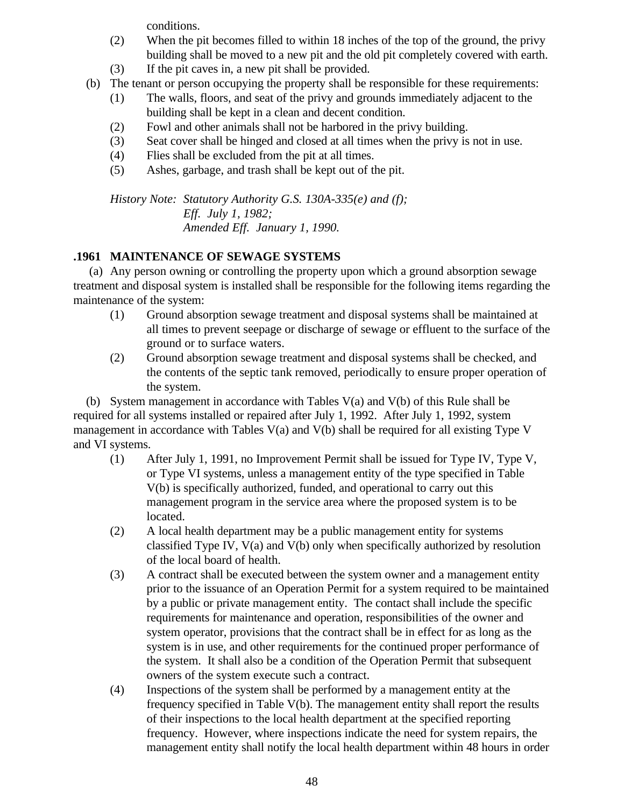conditions.

- (2) When the pit becomes filled to within 18 inches of the top of the ground, the privy building shall be moved to a new pit and the old pit completely covered with earth.
- (3) If the pit caves in, a new pit shall be provided.
- (b) The tenant or person occupying the property shall be responsible for these requirements:
	- (1) The walls, floors, and seat of the privy and grounds immediately adjacent to the building shall be kept in a clean and decent condition.
	- (2) Fowl and other animals shall not be harbored in the privy building.
	- (3) Seat cover shall be hinged and closed at all times when the privy is not in use.
	- (4) Flies shall be excluded from the pit at all times.
	- (5) Ashes, garbage, and trash shall be kept out of the pit.

*History Note: Statutory Authority G.S. 130A-335(e) and (f); Eff. July 1, 1982; Amended Eff. January 1, 1990.*

## **.1961 MAINTENANCE OF SEWAGE SYSTEMS**

 (a) Any person owning or controlling the property upon which a ground absorption sewage treatment and disposal system is installed shall be responsible for the following items regarding the maintenance of the system:

- (1) Ground absorption sewage treatment and disposal systems shall be maintained at all times to prevent seepage or discharge of sewage or effluent to the surface of the ground or to surface waters.
- (2) Ground absorption sewage treatment and disposal systems shall be checked, and the contents of the septic tank removed, periodically to ensure proper operation of the system.

(b) System management in accordance with Tables  $V(a)$  and  $V(b)$  of this Rule shall be required for all systems installed or repaired after July 1, 1992. After July 1, 1992, system management in accordance with Tables  $V(a)$  and  $V(b)$  shall be required for all existing Type V and VI systems.

- (1) After July 1, 1991, no Improvement Permit shall be issued for Type IV, Type V, or Type VI systems, unless a management entity of the type specified in Table V(b) is specifically authorized, funded, and operational to carry out this management program in the service area where the proposed system is to be located.
- (2) A local health department may be a public management entity for systems classified Type IV, V(a) and V(b) only when specifically authorized by resolution of the local board of health.
- (3) A contract shall be executed between the system owner and a management entity prior to the issuance of an Operation Permit for a system required to be maintained by a public or private management entity. The contact shall include the specific requirements for maintenance and operation, responsibilities of the owner and system operator, provisions that the contract shall be in effect for as long as the system is in use, and other requirements for the continued proper performance of the system. It shall also be a condition of the Operation Permit that subsequent owners of the system execute such a contract.
- (4) Inspections of the system shall be performed by a management entity at the frequency specified in Table V(b). The management entity shall report the results of their inspections to the local health department at the specified reporting frequency. However, where inspections indicate the need for system repairs, the management entity shall notify the local health department within 48 hours in order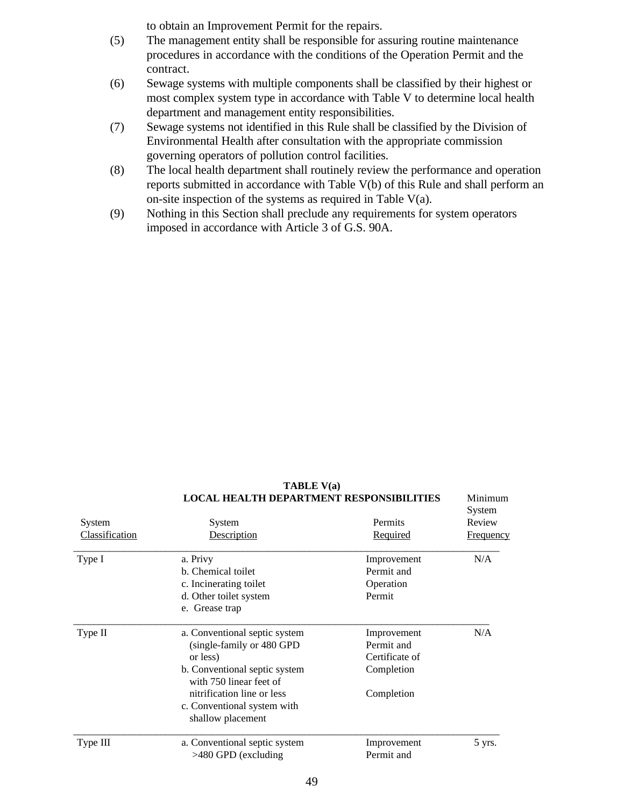to obtain an Improvement Permit for the repairs.

- (5) The management entity shall be responsible for assuring routine maintenance procedures in accordance with the conditions of the Operation Permit and the contract.
- (6) Sewage systems with multiple components shall be classified by their highest or most complex system type in accordance with Table V to determine local health department and management entity responsibilities.
- (7) Sewage systems not identified in this Rule shall be classified by the Division of Environmental Health after consultation with the appropriate commission governing operators of pollution control facilities.
- (8) The local health department shall routinely review the performance and operation reports submitted in accordance with Table V(b) of this Rule and shall perform an on-site inspection of the systems as required in Table V(a).
- (9) Nothing in this Section shall preclude any requirements for system operators imposed in accordance with Article 3 of G.S. 90A.

|                       | LOCAL HEALTH DEPARTMENT RESPONSIBILITIES                 |                | <b>Munimum</b><br>System |
|-----------------------|----------------------------------------------------------|----------------|--------------------------|
| System                | System                                                   | Permits        | Review                   |
| <b>Classification</b> | Description                                              | Required       | <b>Frequency</b>         |
| Type I                | a. Privy                                                 | Improvement    | N/A                      |
|                       | b. Chemical toilet                                       | Permit and     |                          |
|                       | c. Incinerating toilet                                   | Operation      |                          |
|                       | d. Other toilet system                                   | Permit         |                          |
|                       | e. Grease trap                                           |                |                          |
| Type II               | a. Conventional septic system                            | Improvement    | N/A                      |
|                       | (single-family or 480 GPD)                               | Permit and     |                          |
|                       | or less)                                                 | Certificate of |                          |
|                       | b. Conventional septic system<br>with 750 linear feet of | Completion     |                          |
|                       | nitrification line or less                               | Completion     |                          |
|                       | c. Conventional system with                              |                |                          |
|                       | shallow placement                                        |                |                          |
| Type III              | a. Conventional septic system                            | Improvement    | 5 yrs.                   |
|                       | $>480$ GPD (excluding                                    | Permit and     |                          |
|                       |                                                          |                |                          |

**TABLE V(a) LOCAL HEALTH DEPARTMENT RESPONSIBILITIES** Minimum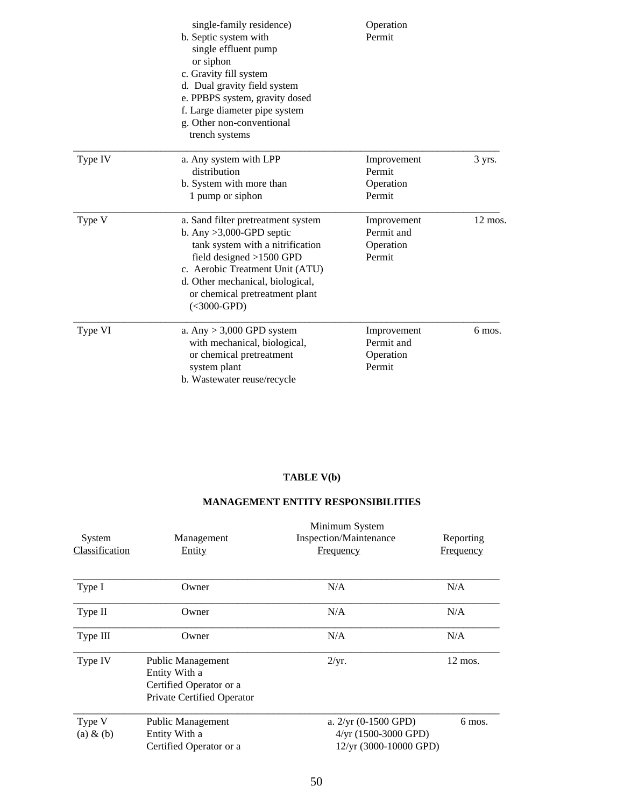|         | single-family residence)<br>b. Septic system with<br>single effluent pump<br>or siphon<br>c. Gravity fill system<br>d. Dual gravity field system<br>e. PPBPS system, gravity dosed<br>f. Large diameter pipe system<br>g. Other non-conventional<br>trench systems | Operation<br>Permit                              |                   |
|---------|--------------------------------------------------------------------------------------------------------------------------------------------------------------------------------------------------------------------------------------------------------------------|--------------------------------------------------|-------------------|
| Type IV | a. Any system with LPP<br>distribution<br>b. System with more than<br>1 pump or siphon                                                                                                                                                                             | Improvement<br>Permit<br>Operation<br>Permit     | 3 yrs.            |
| Type V  | a. Sand filter pretreatment system<br>b. Any $>3,000$ -GPD septic<br>tank system with a nitrification<br>field designed $>1500$ GPD<br>c. Aerobic Treatment Unit (ATU)<br>d. Other mechanical, biological,<br>or chemical pretreatment plant<br>$(<3000-GPD)$      | Improvement<br>Permit and<br>Operation<br>Permit | $12 \text{ mos.}$ |
| Type VI | a. Any $> 3,000$ GPD system<br>with mechanical, biological,<br>or chemical pretreatment<br>system plant<br>b. Wastewater reuse/recycle                                                                                                                             | Improvement<br>Permit and<br>Operation<br>Permit | 6 mos.            |

### **TABLE V(b)**

### **MANAGEMENT ENTITY RESPONSIBILITIES**

| System<br><b>Classification</b> | Management<br>Entity                                                                        | Minimum System<br>Inspection/Maintenance<br>Frequency                      | Reporting<br><b>Frequency</b> |
|---------------------------------|---------------------------------------------------------------------------------------------|----------------------------------------------------------------------------|-------------------------------|
| Type I                          | Owner                                                                                       | N/A                                                                        | N/A                           |
| Type II                         | Owner                                                                                       | N/A                                                                        | N/A                           |
| Type III                        | Owner                                                                                       | N/A                                                                        | N/A                           |
| Type IV                         | Public Management<br>Entity With a<br>Certified Operator or a<br>Private Certified Operator | 2/yr.                                                                      | $12$ mos.                     |
| Type V<br>$(a) \& (b)$          | Public Management<br>Entity With a<br>Certified Operator or a                               | a. $2/yr$ (0-1500 GPD)<br>$4/yr$ (1500-3000 GPD)<br>12/yr (3000-10000 GPD) | 6 mos.                        |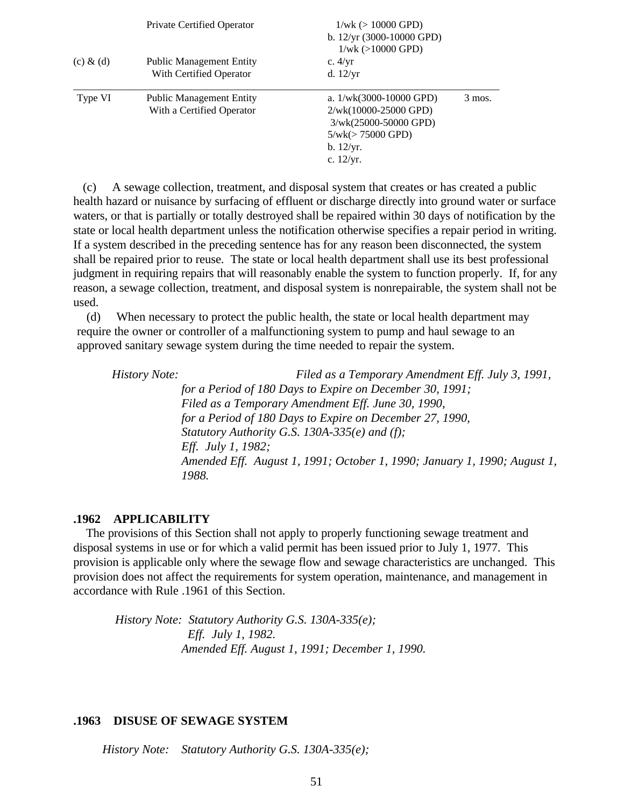|               | Private Certified Operator      | $1/wk$ ( $> 10000$ GPD)<br>b. $12/yr$ (3000-10000 GPD)<br>$1/wk$ ( $>10000$ GPD) |          |
|---------------|---------------------------------|----------------------------------------------------------------------------------|----------|
| $(c)$ & $(d)$ | <b>Public Management Entity</b> | c. $4/yr$                                                                        |          |
|               | With Certified Operator         | d. $12/yr$                                                                       |          |
| Type VI       | <b>Public Management Entity</b> | a. $1/wk(3000-10000$ GPD)                                                        | $3$ mos. |
|               | With a Certified Operator       | $2/wk(10000-25000$ GPD)                                                          |          |
|               |                                 | $3/wk(25000-50000$ GPD)                                                          |          |
|               |                                 | $5/wk (> 75000$ GPD)                                                             |          |
|               |                                 | b. 12/yr.                                                                        |          |
|               |                                 | c. $12/yr$ .                                                                     |          |
|               |                                 |                                                                                  |          |

 (c) A sewage collection, treatment, and disposal system that creates or has created a public health hazard or nuisance by surfacing of effluent or discharge directly into ground water or surface waters, or that is partially or totally destroyed shall be repaired within 30 days of notification by the state or local health department unless the notification otherwise specifies a repair period in writing. If a system described in the preceding sentence has for any reason been disconnected, the system shall be repaired prior to reuse. The state or local health department shall use its best professional judgment in requiring repairs that will reasonably enable the system to function properly. If, for any reason, a sewage collection, treatment, and disposal system is nonrepairable, the system shall not be used.

 (d) When necessary to protect the public health, the state or local health department may require the owner or controller of a malfunctioning system to pump and haul sewage to an approved sanitary sewage system during the time needed to repair the system.

 *History Note: Filed as a Temporary Amendment Eff. July 3, 1991, for a Period of 180 Days to Expire on December 30, 1991; Filed as a Temporary Amendment Eff. June 30, 1990, for a Period of 180 Days to Expire on December 27, 1990, Statutory Authority G.S. 130A-335(e) and (f); Eff. July 1, 1982; Amended Eff. August 1, 1991; October 1, 1990; January 1, 1990; August 1, 1988.*

### **.1962 APPLICABILITY**

 The provisions of this Section shall not apply to properly functioning sewage treatment and disposal systems in use or for which a valid permit has been issued prior to July 1, 1977. This provision is applicable only where the sewage flow and sewage characteristics are unchanged. This provision does not affect the requirements for system operation, maintenance, and management in accordance with Rule .1961 of this Section.

 *History Note: Statutory Authority G.S. 130A-335(e); Eff. July 1, 1982. Amended Eff. August 1, 1991; December 1, 1990.*

#### **.1963 DISUSE OF SEWAGE SYSTEM**

*History Note: Statutory Authority G.S. 130A-335(e);*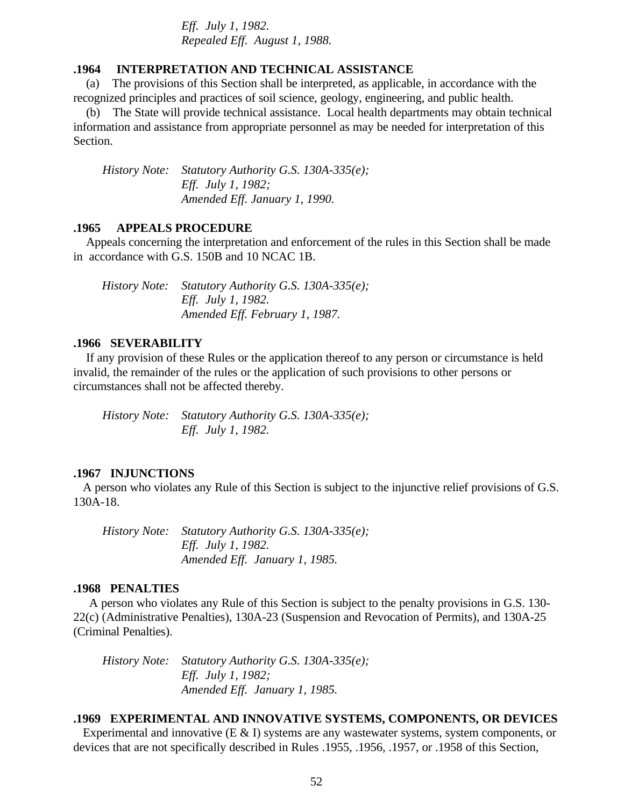*Eff. July 1, 1982. Repealed Eff. August 1, 1988.*

### **.1964 INTERPRETATION AND TECHNICAL ASSISTANCE**

 (a) The provisions of this Section shall be interpreted, as applicable, in accordance with the recognized principles and practices of soil science, geology, engineering, and public health.

 (b) The State will provide technical assistance. Local health departments may obtain technical information and assistance from appropriate personnel as may be needed for interpretation of this Section.

 *History Note: Statutory Authority G.S. 130A-335(e); Eff. July 1, 1982; Amended Eff. January 1, 1990.*

#### **.1965 APPEALS PROCEDURE**

 Appeals concerning the interpretation and enforcement of the rules in this Section shall be made in accordance with G.S. 150B and 10 NCAC 1B.

 *History Note: Statutory Authority G.S. 130A-335(e); Eff. July 1, 1982. Amended Eff. February 1, 1987.*

### **.1966 SEVERABILITY**

 If any provision of these Rules or the application thereof to any person or circumstance is held invalid, the remainder of the rules or the application of such provisions to other persons or circumstances shall not be affected thereby.

 *History Note: Statutory Authority G.S. 130A-335(e); Eff. July 1, 1982.*

#### **.1967 INJUNCTIONS**

 A person who violates any Rule of this Section is subject to the injunctive relief provisions of G.S. 130A-18.

 *History Note: Statutory Authority G.S. 130A-335(e); Eff. July 1, 1982. Amended Eff. January 1, 1985.*

#### **.1968 PENALTIES**

 A person who violates any Rule of this Section is subject to the penalty provisions in G.S. 130- 22(c) (Administrative Penalties), 130A-23 (Suspension and Revocation of Permits), and 130A-25 (Criminal Penalties).

 *History Note: Statutory Authority G.S. 130A-335(e); Eff. July 1, 1982; Amended Eff. January 1, 1985.*

#### **.1969 EXPERIMENTAL AND INNOVATIVE SYSTEMS, COMPONENTS, OR DEVICES**

Experimental and innovative  $(E \& I)$  systems are any wastewater systems, system components, or devices that are not specifically described in Rules .1955, .1956, .1957, or .1958 of this Section,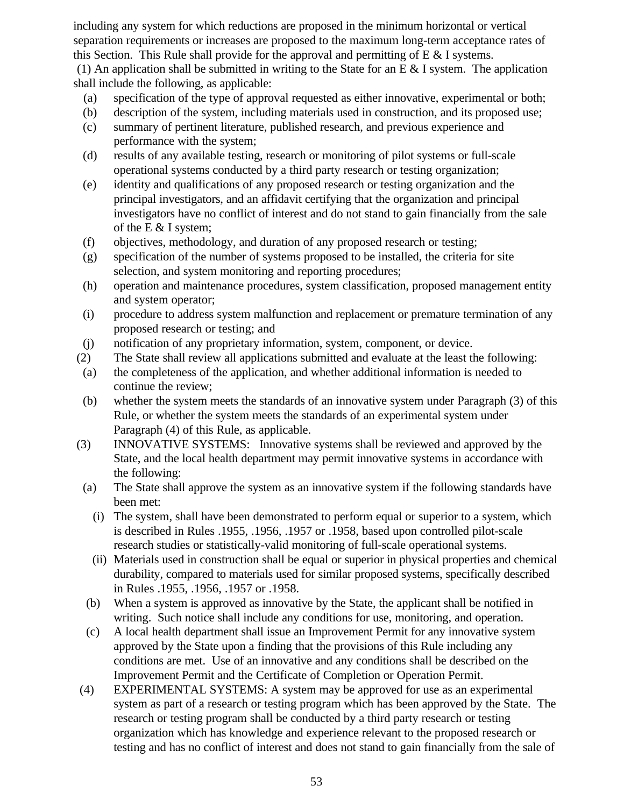including any system for which reductions are proposed in the minimum horizontal or vertical separation requirements or increases are proposed to the maximum long-term acceptance rates of this Section. This Rule shall provide for the approval and permitting of E & I systems.

(1) An application shall be submitted in writing to the State for an E  $\&$  I system. The application shall include the following, as applicable:

- (a) specification of the type of approval requested as either innovative, experimental or both;
- (b) description of the system, including materials used in construction, and its proposed use;
- (c) summary of pertinent literature, published research, and previous experience and performance with the system;
- (d) results of any available testing, research or monitoring of pilot systems or full-scale operational systems conducted by a third party research or testing organization;
- (e) identity and qualifications of any proposed research or testing organization and the principal investigators, and an affidavit certifying that the organization and principal investigators have no conflict of interest and do not stand to gain financially from the sale of the E & I system;
- (f) objectives, methodology, and duration of any proposed research or testing;
- (g) specification of the number of systems proposed to be installed, the criteria for site selection, and system monitoring and reporting procedures;
- (h) operation and maintenance procedures, system classification, proposed management entity and system operator;
- (i) procedure to address system malfunction and replacement or premature termination of any proposed research or testing; and
- (j) notification of any proprietary information, system, component, or device.
- (2) The State shall review all applications submitted and evaluate at the least the following:
- (a) the completeness of the application, and whether additional information is needed to continue the review;
- (b) whether the system meets the standards of an innovative system under Paragraph (3) of this Rule, or whether the system meets the standards of an experimental system under Paragraph (4) of this Rule, as applicable.
- (3) INNOVATIVE SYSTEMS: Innovative systems shall be reviewed and approved by the State, and the local health department may permit innovative systems in accordance with the following:
- (a) The State shall approve the system as an innovative system if the following standards have been met:
	- (i) The system, shall have been demonstrated to perform equal or superior to a system, which is described in Rules .1955, .1956, .1957 or .1958, based upon controlled pilot-scale research studies or statistically-valid monitoring of full-scale operational systems.
	- (ii) Materials used in construction shall be equal or superior in physical properties and chemical durability, compared to materials used for similar proposed systems, specifically described in Rules .1955, .1956, .1957 or .1958.
- (b) When a system is approved as innovative by the State, the applicant shall be notified in writing. Such notice shall include any conditions for use, monitoring, and operation.
- (c) A local health department shall issue an Improvement Permit for any innovative system approved by the State upon a finding that the provisions of this Rule including any conditions are met. Use of an innovative and any conditions shall be described on the Improvement Permit and the Certificate of Completion or Operation Permit.
- (4) EXPERIMENTAL SYSTEMS: A system may be approved for use as an experimental system as part of a research or testing program which has been approved by the State. The research or testing program shall be conducted by a third party research or testing organization which has knowledge and experience relevant to the proposed research or testing and has no conflict of interest and does not stand to gain financially from the sale of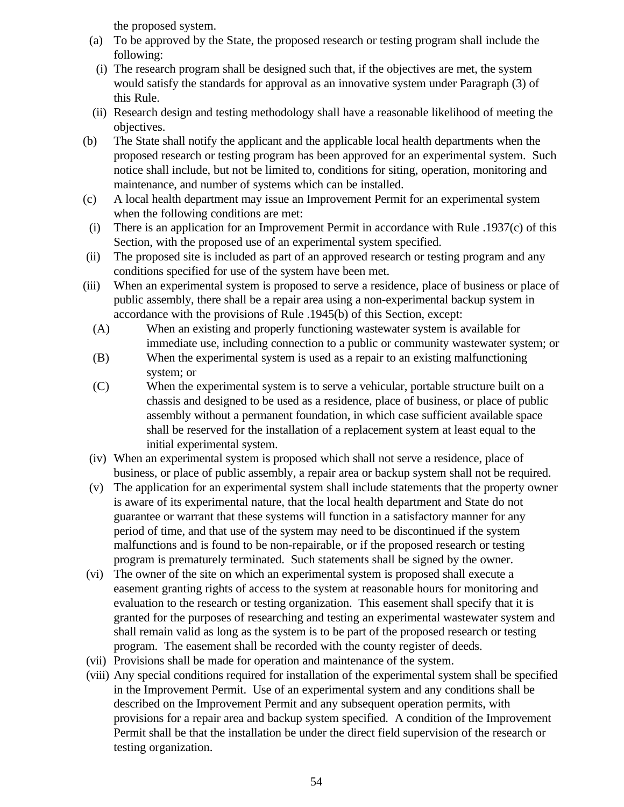the proposed system.

- (a) To be approved by the State, the proposed research or testing program shall include the following:
- (i) The research program shall be designed such that, if the objectives are met, the system would satisfy the standards for approval as an innovative system under Paragraph (3) of this Rule.
- (ii) Research design and testing methodology shall have a reasonable likelihood of meeting the objectives.
- (b) The State shall notify the applicant and the applicable local health departments when the proposed research or testing program has been approved for an experimental system. Such notice shall include, but not be limited to, conditions for siting, operation, monitoring and maintenance, and number of systems which can be installed.
- (c) A local health department may issue an Improvement Permit for an experimental system when the following conditions are met:
- (i) There is an application for an Improvement Permit in accordance with Rule .1937(c) of this Section, with the proposed use of an experimental system specified.
- (ii) The proposed site is included as part of an approved research or testing program and any conditions specified for use of the system have been met.
- (iii) When an experimental system is proposed to serve a residence, place of business or place of public assembly, there shall be a repair area using a non-experimental backup system in accordance with the provisions of Rule .1945(b) of this Section, except:
	- (A) When an existing and properly functioning wastewater system is available for immediate use, including connection to a public or community wastewater system; or
	- (B) When the experimental system is used as a repair to an existing malfunctioning system; or
	- (C) When the experimental system is to serve a vehicular, portable structure built on a chassis and designed to be used as a residence, place of business, or place of public assembly without a permanent foundation, in which case sufficient available space shall be reserved for the installation of a replacement system at least equal to the initial experimental system.
- (iv) When an experimental system is proposed which shall not serve a residence, place of business, or place of public assembly, a repair area or backup system shall not be required.
- (v) The application for an experimental system shall include statements that the property owner is aware of its experimental nature, that the local health department and State do not guarantee or warrant that these systems will function in a satisfactory manner for any period of time, and that use of the system may need to be discontinued if the system malfunctions and is found to be non-repairable, or if the proposed research or testing program is prematurely terminated. Such statements shall be signed by the owner.
- (vi) The owner of the site on which an experimental system is proposed shall execute a easement granting rights of access to the system at reasonable hours for monitoring and evaluation to the research or testing organization. This easement shall specify that it is granted for the purposes of researching and testing an experimental wastewater system and shall remain valid as long as the system is to be part of the proposed research or testing program. The easement shall be recorded with the county register of deeds.
- (vii) Provisions shall be made for operation and maintenance of the system.
- (viii) Any special conditions required for installation of the experimental system shall be specified in the Improvement Permit. Use of an experimental system and any conditions shall be described on the Improvement Permit and any subsequent operation permits, with provisions for a repair area and backup system specified. A condition of the Improvement Permit shall be that the installation be under the direct field supervision of the research or testing organization.